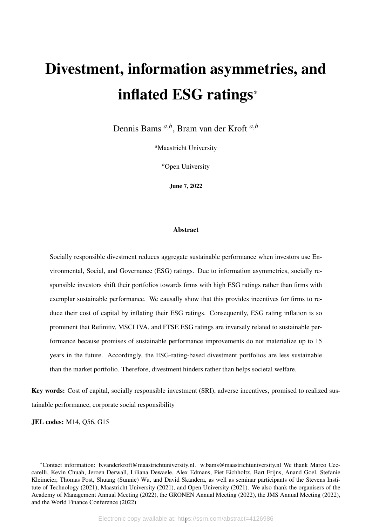# Divestment, information asymmetries, and inflated ESG ratings\*

Dennis Bams *<sup>a</sup>*,*<sup>b</sup>* , Bram van der Kroft *<sup>a</sup>*,*<sup>b</sup>*

*<sup>a</sup>*Maastricht University

*b*Open University

June 7, 2022

#### Abstract

Socially responsible divestment reduces aggregate sustainable performance when investors use Environmental, Social, and Governance (ESG) ratings. Due to information asymmetries, socially responsible investors shift their portfolios towards firms with high ESG ratings rather than firms with exemplar sustainable performance. We causally show that this provides incentives for firms to reduce their cost of capital by inflating their ESG ratings. Consequently, ESG rating inflation is so prominent that Refinitiv, MSCI IVA, and FTSE ESG ratings are inversely related to sustainable performance because promises of sustainable performance improvements do not materialize up to 15 years in the future. Accordingly, the ESG-rating-based divestment portfolios are less sustainable than the market portfolio. Therefore, divestment hinders rather than helps societal welfare.

Key words: Cost of capital, socially responsible investment (SRI), adverse incentives, promised to realized sustainable performance, corporate social responsibility

JEL codes: M14, Q56, G15

<sup>\*</sup>Contact information: b.vanderkroft@maastrichtuniversity.nl. w.bams@maastrichtuniversity.nl We thank Marco Ceccarelli, Kevin Chuah, Jeroen Derwall, Liliana Dewaele, Alex Edmans, Piet Eichholtz, Bart Frijns, Anand Goel, Stefanie Kleimeier, Thomas Post, Shuang (Sunnie) Wu, and David Skandera, as well as seminar participants of the Stevens Institute of Technology (2021), Maastricht University (2021), and Open University (2021). We also thank the organisers of the Academy of Management Annual Meeting (2022), the GRONEN Annual Meeting (2022), the JMS Annual Meeting (2022), and the World Finance Conference (2022)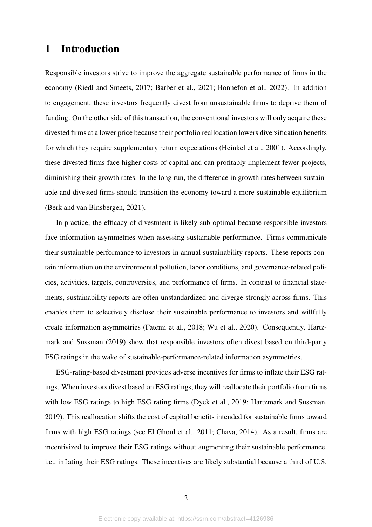# 1 Introduction

Responsible investors strive to improve the aggregate sustainable performance of firms in the economy [\(Riedl and Smeets, 2017;](#page-26-0) [Barber et al., 2021;](#page-23-0) [Bonnefon et al., 2022\)](#page-24-0). In addition to engagement, these investors frequently divest from unsustainable firms to deprive them of funding. On the other side of this transaction, the conventional investors will only acquire these divested firms at a lower price because their portfolio reallocation lowers diversification benefits for which they require supplementary return expectations [\(Heinkel et al., 2001\)](#page-25-0). Accordingly, these divested firms face higher costs of capital and can profitably implement fewer projects, diminishing their growth rates. In the long run, the difference in growth rates between sustainable and divested firms should transition the economy toward a more sustainable equilibrium [\(Berk and van Binsbergen, 2021\)](#page-23-1).

In practice, the efficacy of divestment is likely sub-optimal because responsible investors face information asymmetries when assessing sustainable performance. Firms communicate their sustainable performance to investors in annual sustainability reports. These reports contain information on the environmental pollution, labor conditions, and governance-related policies, activities, targets, controversies, and performance of firms. In contrast to financial statements, sustainability reports are often unstandardized and diverge strongly across firms. This enables them to selectively disclose their sustainable performance to investors and willfully create information asymmetries [\(Fatemi et al., 2018;](#page-25-1) [Wu et al., 2020\)](#page-26-1). Consequently, [Hartz](#page-25-2)[mark and Sussman](#page-25-2) [\(2019\)](#page-25-2) show that responsible investors often divest based on third-party ESG ratings in the wake of sustainable-performance-related information asymmetries.

ESG-rating-based divestment provides adverse incentives for firms to inflate their ESG ratings. When investors divest based on ESG ratings, they will reallocate their portfolio from firms with low ESG ratings to high ESG rating firms [\(Dyck et al., 2019;](#page-24-1) [Hartzmark and Sussman,](#page-25-2) [2019\)](#page-25-2). This reallocation shifts the cost of capital benefits intended for sustainable firms toward firms with high ESG ratings (see [El Ghoul et al., 2011;](#page-24-2) [Chava, 2014\)](#page-24-3). As a result, firms are incentivized to improve their ESG ratings without augmenting their sustainable performance, i.e., inflating their ESG ratings. These incentives are likely substantial because a third of U.S.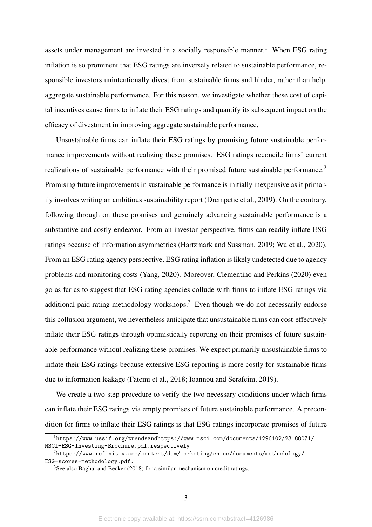assets under management are invested in a socially responsible manner.<sup>[1](#page-2-0)</sup> When ESG rating inflation is so prominent that ESG ratings are inversely related to sustainable performance, responsible investors unintentionally divest from sustainable firms and hinder, rather than help, aggregate sustainable performance. For this reason, we investigate whether these cost of capital incentives cause firms to inflate their ESG ratings and quantify its subsequent impact on the efficacy of divestment in improving aggregate sustainable performance.

Unsustainable firms can inflate their ESG ratings by promising future sustainable performance improvements without realizing these promises. ESG ratings reconcile firms' current realizations of sustainable performance with their promised future sustainable performance.[2](#page-2-1) Promising future improvements in sustainable performance is initially inexpensive as it primarily involves writing an ambitious sustainability report [\(Drempetic et al., 2019\)](#page-24-4). On the contrary, following through on these promises and genuinely advancing sustainable performance is a substantive and costly endeavor. From an investor perspective, firms can readily inflate ESG ratings because of information asymmetries [\(Hartzmark and Sussman, 2019;](#page-25-2) [Wu et al., 2020\)](#page-26-1). From an ESG rating agency perspective, ESG rating inflation is likely undetected due to agency problems and monitoring costs [\(Yang, 2020\)](#page-26-2). Moreover, [Clementino and Perkins](#page-24-5) [\(2020\)](#page-24-5) even go as far as to suggest that ESG rating agencies collude with firms to inflate ESG ratings via additional paid rating methodology workshops.<sup>[3](#page-2-2)</sup> Even though we do not necessarily endorse this collusion argument, we nevertheless anticipate that unsustainable firms can cost-effectively inflate their ESG ratings through optimistically reporting on their promises of future sustainable performance without realizing these promises. We expect primarily unsustainable firms to inflate their ESG ratings because extensive ESG reporting is more costly for sustainable firms due to information leakage [\(Fatemi et al., 2018;](#page-25-1) [Ioannou and Serafeim, 2019\)](#page-25-3).

We create a two-step procedure to verify the two necessary conditions under which firms can inflate their ESG ratings via empty promises of future sustainable performance. A precondition for firms to inflate their ESG ratings is that ESG ratings incorporate promises of future

<span id="page-2-0"></span><sup>1</sup>[https://www.ussif.org/trendsandhttps://www.msci.com/documents/1296102/23188071/](https://www.ussif.org/trends and https://www.msci.com/documents/1296102/23188071/MSCI-ESG-Investing-Brochure.pdf. respectively) [MSCI-ESG-Investing-Brochure.pdf.respectively](https://www.ussif.org/trends and https://www.msci.com/documents/1296102/23188071/MSCI-ESG-Investing-Brochure.pdf. respectively)

<span id="page-2-1"></span><sup>2</sup>[https://www.refinitiv.com/content/dam/marketing/en\\_us/documents/methodology/](https://www.refinitiv.com/content/dam/marketing/en_us/documents/methodology/ESG-scores-methodology.pdf.) [ESG-scores-methodology.pdf.](https://www.refinitiv.com/content/dam/marketing/en_us/documents/methodology/ESG-scores-methodology.pdf.)

<span id="page-2-2"></span><sup>&</sup>lt;sup>3</sup>See also [Baghai and Becker](#page-23-2) [\(2018\)](#page-23-2) for a similar mechanism on credit ratings.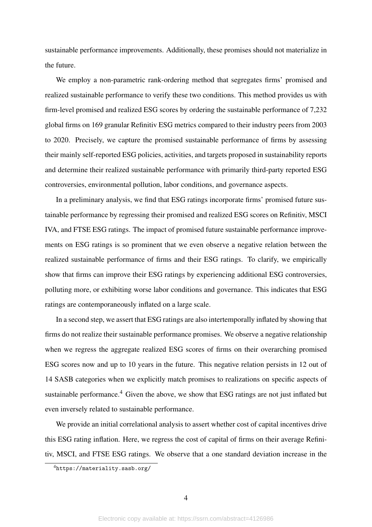sustainable performance improvements. Additionally, these promises should not materialize in the future.

We employ a non-parametric rank-ordering method that segregates firms' promised and realized sustainable performance to verify these two conditions. This method provides us with firm-level promised and realized ESG scores by ordering the sustainable performance of 7,232 global firms on 169 granular Refinitiv ESG metrics compared to their industry peers from 2003 to 2020. Precisely, we capture the promised sustainable performance of firms by assessing their mainly self-reported ESG policies, activities, and targets proposed in sustainability reports and determine their realized sustainable performance with primarily third-party reported ESG controversies, environmental pollution, labor conditions, and governance aspects.

In a preliminary analysis, we find that ESG ratings incorporate firms' promised future sustainable performance by regressing their promised and realized ESG scores on Refinitiv, MSCI IVA, and FTSE ESG ratings. The impact of promised future sustainable performance improvements on ESG ratings is so prominent that we even observe a negative relation between the realized sustainable performance of firms and their ESG ratings. To clarify, we empirically show that firms can improve their ESG ratings by experiencing additional ESG controversies, polluting more, or exhibiting worse labor conditions and governance. This indicates that ESG ratings are contemporaneously inflated on a large scale.

In a second step, we assert that ESG ratings are also intertemporally inflated by showing that firms do not realize their sustainable performance promises. We observe a negative relationship when we regress the aggregate realized ESG scores of firms on their overarching promised ESG scores now and up to 10 years in the future. This negative relation persists in 12 out of 14 SASB categories when we explicitly match promises to realizations on specific aspects of sustainable performance.<sup>[4](#page-3-0)</sup> Given the above, we show that ESG ratings are not just inflated but even inversely related to sustainable performance.

We provide an initial correlational analysis to assert whether cost of capital incentives drive this ESG rating inflation. Here, we regress the cost of capital of firms on their average Refinitiv, MSCI, and FTSE ESG ratings. We observe that a one standard deviation increase in the

<span id="page-3-0"></span><sup>4</sup><https://materiality.sasb.org/>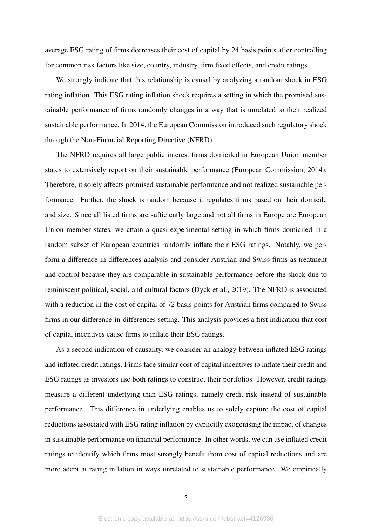average ESG rating of firms decreases their cost of capital by 24 basis points after controlling for common risk factors like size, country, industry, firm fixed effects, and credit ratings.

We strongly indicate that this relationship is causal by analyzing a random shock in ESG rating inflation. This ESG rating inflation shock requires a setting in which the promised sustainable performance of firms randomly changes in a way that is unrelated to their realized sustainable performance. In 2014, the European Commission introduced such regulatory shock through the Non-Financial Reporting Directive (NFRD).

The NFRD requires all large public interest firms domiciled in European Union member states to extensively report on their sustainable performance [\(European Commission, 2014\)](#page-24-6). Therefore, it solely affects promised sustainable performance and not realized sustainable performance. Further, the shock is random because it regulates firms based on their domicile and size. Since all listed firms are sufficiently large and not all firms in Europe are European Union member states, we attain a quasi-experimental setting in which firms domiciled in a random subset of European countries randomly inflate their ESG ratings. Notably, we perform a difference-in-differences analysis and consider Austrian and Swiss firms as treatment and control because they are comparable in sustainable performance before the shock due to reminiscent political, social, and cultural factors [\(Dyck et al., 2019\)](#page-24-1). The NFRD is associated with a reduction in the cost of capital of 72 basis points for Austrian firms compared to Swiss firms in our difference-in-differences setting. This analysis provides a first indication that cost of capital incentives cause firms to inflate their ESG ratings.

As a second indication of causality, we consider an analogy between inflated ESG ratings and inflated credit ratings. Firms face similar cost of capital incentives to inflate their credit and ESG ratings as investors use both ratings to construct their portfolios. However, credit ratings measure a different underlying than ESG ratings, namely credit risk instead of sustainable performance. This difference in underlying enables us to solely capture the cost of capital reductions associated with ESG rating inflation by explicitly exogenising the impact of changes in sustainable performance on financial performance. In other words, we can use inflated credit ratings to identify which firms most strongly benefit from cost of capital reductions and are more adept at rating inflation in ways unrelated to sustainable performance. We empirically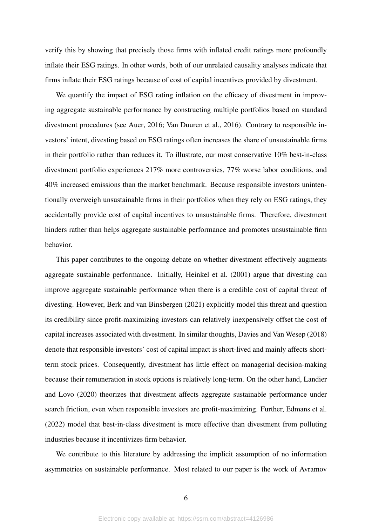verify this by showing that precisely those firms with inflated credit ratings more profoundly inflate their ESG ratings. In other words, both of our unrelated causality analyses indicate that firms inflate their ESG ratings because of cost of capital incentives provided by divestment.

We quantify the impact of ESG rating inflation on the efficacy of divestment in improving aggregate sustainable performance by constructing multiple portfolios based on standard divestment procedures (see [Auer, 2016;](#page-23-3) [Van Duuren et al., 2016\)](#page-26-3). Contrary to responsible investors' intent, divesting based on ESG ratings often increases the share of unsustainable firms in their portfolio rather than reduces it. To illustrate, our most conservative 10% best-in-class divestment portfolio experiences 217% more controversies, 77% worse labor conditions, and 40% increased emissions than the market benchmark. Because responsible investors unintentionally overweigh unsustainable firms in their portfolios when they rely on ESG ratings, they accidentally provide cost of capital incentives to unsustainable firms. Therefore, divestment hinders rather than helps aggregate sustainable performance and promotes unsustainable firm behavior.

This paper contributes to the ongoing debate on whether divestment effectively augments aggregate sustainable performance. Initially, [Heinkel et al.](#page-25-0) [\(2001\)](#page-25-0) argue that divesting can improve aggregate sustainable performance when there is a credible cost of capital threat of divesting. However, [Berk and van Binsbergen](#page-23-1) [\(2021\)](#page-23-1) explicitly model this threat and question its credibility since profit-maximizing investors can relatively inexpensively offset the cost of capital increases associated with divestment. In similar thoughts, [Davies and Van Wesep](#page-24-7) [\(2018\)](#page-24-7) denote that responsible investors' cost of capital impact is short-lived and mainly affects shortterm stock prices. Consequently, divestment has little effect on managerial decision-making because their remuneration in stock options is relatively long-term. On the other hand, [Landier](#page-25-4) [and Lovo](#page-25-4) [\(2020\)](#page-25-4) theorizes that divestment affects aggregate sustainable performance under search friction, even when responsible investors are profit-maximizing. Further, [Edmans et al.](#page-24-8) [\(2022\)](#page-24-8) model that best-in-class divestment is more effective than divestment from polluting industries because it incentivizes firm behavior.

We contribute to this literature by addressing the implicit assumption of no information asymmetries on sustainable performance. Most related to our paper is the work of [Avramov](#page-23-4)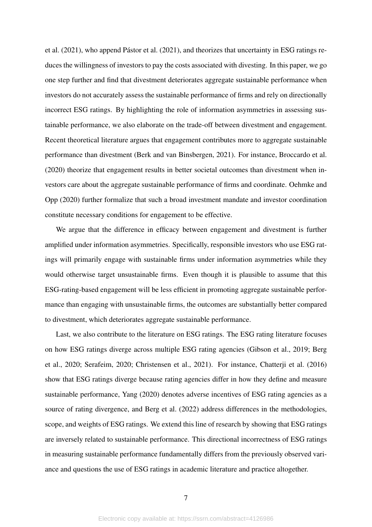[et al.](#page-23-4)  $(2021)$ , who append Pástor et al.  $(2021)$ , and theorizes that uncertainty in ESG ratings reduces the willingness of investors to pay the costs associated with divesting. In this paper, we go one step further and find that divestment deteriorates aggregate sustainable performance when investors do not accurately assess the sustainable performance of firms and rely on directionally incorrect ESG ratings. By highlighting the role of information asymmetries in assessing sustainable performance, we also elaborate on the trade-off between divestment and engagement. Recent theoretical literature argues that engagement contributes more to aggregate sustainable performance than divestment [\(Berk and van Binsbergen, 2021\)](#page-23-1). For instance, [Broccardo et al.](#page-24-9) [\(2020\)](#page-24-9) theorize that engagement results in better societal outcomes than divestment when investors care about the aggregate sustainable performance of firms and coordinate. [Oehmke and](#page-25-5) [Opp](#page-25-5) [\(2020\)](#page-25-5) further formalize that such a broad investment mandate and investor coordination constitute necessary conditions for engagement to be effective.

We argue that the difference in efficacy between engagement and divestment is further amplified under information asymmetries. Specifically, responsible investors who use ESG ratings will primarily engage with sustainable firms under information asymmetries while they would otherwise target unsustainable firms. Even though it is plausible to assume that this ESG-rating-based engagement will be less efficient in promoting aggregate sustainable performance than engaging with unsustainable firms, the outcomes are substantially better compared to divestment, which deteriorates aggregate sustainable performance.

Last, we also contribute to the literature on ESG ratings. The ESG rating literature focuses on how ESG ratings diverge across multiple ESG rating agencies [\(Gibson et al., 2019;](#page-25-6) [Berg](#page-23-5) [et al., 2020;](#page-23-5) [Serafeim, 2020;](#page-26-5) [Christensen et al., 2021\)](#page-24-10). For instance, [Chatterji et al.](#page-24-11) [\(2016\)](#page-24-11) show that ESG ratings diverge because rating agencies differ in how they define and measure sustainable performance, [Yang](#page-26-2) [\(2020\)](#page-26-2) denotes adverse incentives of ESG rating agencies as a source of rating divergence, and [Berg et al.](#page-23-6) [\(2022\)](#page-23-6) address differences in the methodologies, scope, and weights of ESG ratings. We extend this line of research by showing that ESG ratings are inversely related to sustainable performance. This directional incorrectness of ESG ratings in measuring sustainable performance fundamentally differs from the previously observed variance and questions the use of ESG ratings in academic literature and practice altogether.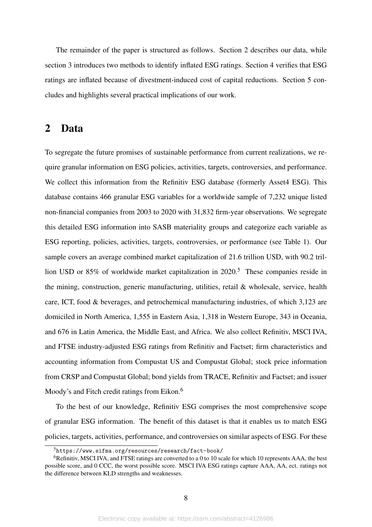The remainder of the paper is structured as follows. Section 2 describes our data, while section 3 introduces two methods to identify inflated ESG ratings. Section 4 verifies that ESG ratings are inflated because of divestment-induced cost of capital reductions. Section 5 concludes and highlights several practical implications of our work.

### 2 Data

To segregate the future promises of sustainable performance from current realizations, we require granular information on ESG policies, activities, targets, controversies, and performance. We collect this information from the Refinitiv ESG database (formerly Asset4 ESG). This database contains 466 granular ESG variables for a worldwide sample of 7,232 unique listed non-financial companies from 2003 to 2020 with 31,832 firm-year observations. We segregate this detailed ESG information into SASB materiality groups and categorize each variable as ESG reporting, policies, activities, targets, controversies, or performance (see Table [1\)](#page-27-0). Our sample covers an average combined market capitalization of 21.6 trillion USD, with 90.2 tril-lion USD or 8[5](#page-7-0)% of worldwide market capitalization in 2020.<sup>5</sup> These companies reside in the mining, construction, generic manufacturing, utilities, retail & wholesale, service, health care, ICT, food & beverages, and petrochemical manufacturing industries, of which 3,123 are domiciled in North America, 1,555 in Eastern Asia, 1,318 in Western Europe, 343 in Oceania, and 676 in Latin America, the Middle East, and Africa. We also collect Refinitiv, MSCI IVA, and FTSE industry-adjusted ESG ratings from Refinitiv and Factset; firm characteristics and accounting information from Compustat US and Compustat Global; stock price information from CRSP and Compustat Global; bond yields from TRACE, Refinitiv and Factset; and issuer Moody's and Fitch credit ratings from Eikon.<sup>[6](#page-7-1)</sup>

To the best of our knowledge, Refinitiv ESG comprises the most comprehensive scope of granular ESG information. The benefit of this dataset is that it enables us to match ESG policies, targets, activities, performance, and controversies on similar aspects of ESG. For these

<span id="page-7-1"></span><span id="page-7-0"></span><sup>5</sup><https://www.sifma.org/resources/research/fact-book/>

 $6R$ efinitiv, MSCI IVA, and FTSE ratings are converted to a 0 to 10 scale for which 10 represents AAA, the best possible score, and 0 CCC, the worst possible score. MSCI IVA ESG ratings capture AAA, AA, ect. ratings not the difference between KLD strengths and weaknesses.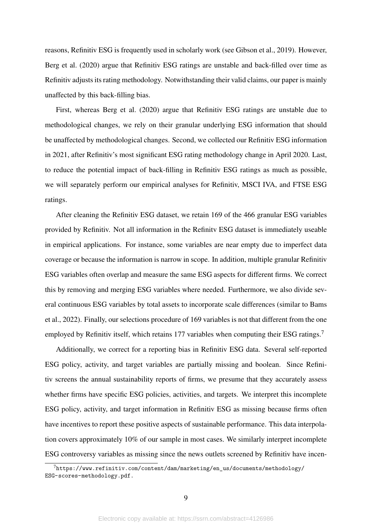reasons, Refinitiv ESG is frequently used in scholarly work (see [Gibson et al., 2019\)](#page-25-6). However, [Berg et al.](#page-23-5) [\(2020\)](#page-23-5) argue that Refinitiv ESG ratings are unstable and back-filled over time as Refinitiv adjusts its rating methodology. Notwithstanding their valid claims, our paper is mainly unaffected by this back-filling bias.

First, whereas [Berg et al.](#page-23-5) [\(2020\)](#page-23-5) argue that Refinitiv ESG ratings are unstable due to methodological changes, we rely on their granular underlying ESG information that should be unaffected by methodological changes. Second, we collected our Refinitiv ESG information in 2021, after Refinitiv's most significant ESG rating methodology change in April 2020. Last, to reduce the potential impact of back-filling in Refinitiv ESG ratings as much as possible, we will separately perform our empirical analyses for Refinitiv, MSCI IVA, and FTSE ESG ratings.

After cleaning the Refinitiv ESG dataset, we retain 169 of the 466 granular ESG variables provided by Refinitiv. Not all information in the Refinitv ESG dataset is immediately useable in empirical applications. For instance, some variables are near empty due to imperfect data coverage or because the information is narrow in scope. In addition, multiple granular Refinitiv ESG variables often overlap and measure the same ESG aspects for different firms. We correct this by removing and merging ESG variables where needed. Furthermore, we also divide several continuous ESG variables by total assets to incorporate scale differences (similar to [Bams](#page-23-7) [et al., 2022\)](#page-23-7). Finally, our selections procedure of 169 variables is not that different from the one employed by Refinitiv itself, which retains 1[7](#page-8-0)7 variables when computing their ESG ratings.<sup>7</sup>

Additionally, we correct for a reporting bias in Refinitiv ESG data. Several self-reported ESG policy, activity, and target variables are partially missing and boolean. Since Refinitiv screens the annual sustainability reports of firms, we presume that they accurately assess whether firms have specific ESG policies, activities, and targets. We interpret this incomplete ESG policy, activity, and target information in Refinitiv ESG as missing because firms often have incentives to report these positive aspects of sustainable performance. This data interpolation covers approximately 10% of our sample in most cases. We similarly interpret incomplete ESG controversy variables as missing since the news outlets screened by Refinitiv have incen-

<span id="page-8-0"></span> $^{7}$ [https://www.refinitiv.com/content/dam/marketing/en\\_us/documents/methodology/](https://www.refinitiv.com/content/dam/marketing/en_us/documents/methodology/ESG-scores-methodology.pdf.) [ESG-scores-methodology.pdf.](https://www.refinitiv.com/content/dam/marketing/en_us/documents/methodology/ESG-scores-methodology.pdf.)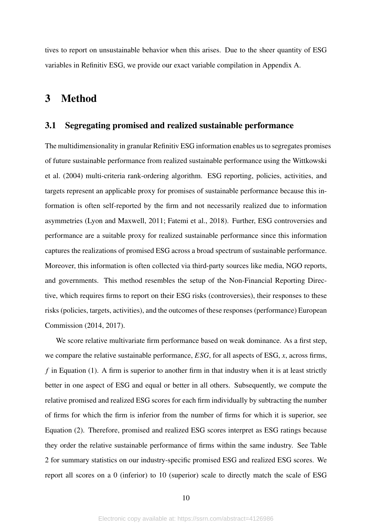tives to report on unsustainable behavior when this arises. Due to the sheer quantity of ESG variables in Refinitiv ESG, we provide our exact variable compilation in Appendix A.

# 3 Method

#### 3.1 Segregating promised and realized sustainable performance

The multidimensionality in granular Refinitiv ESG information enables us to segregates promises of future sustainable performance from realized sustainable performance using the [Wittkowski](#page-26-6) [et al.](#page-26-6) [\(2004\)](#page-26-6) multi-criteria rank-ordering algorithm. ESG reporting, policies, activities, and targets represent an applicable proxy for promises of sustainable performance because this information is often self-reported by the firm and not necessarily realized due to information asymmetries [\(Lyon and Maxwell, 2011;](#page-25-7) [Fatemi et al., 2018\)](#page-25-1). Further, ESG controversies and performance are a suitable proxy for realized sustainable performance since this information captures the realizations of promised ESG across a broad spectrum of sustainable performance. Moreover, this information is often collected via third-party sources like media, NGO reports, and governments. This method resembles the setup of the Non-Financial Reporting Directive, which requires firms to report on their ESG risks (controversies), their responses to these risks (policies, targets, activities), and the outcomes of these responses (performance) [European](#page-24-6) [Commission](#page-24-6) [\(2014,](#page-24-6) [2017\)](#page-24-12).

We score relative multivariate firm performance based on weak dominance. As a first step, we compare the relative sustainable performance, *ESG*, for all aspects of ESG, *x*, across firms, *f* in Equation [\(1\)](#page-10-0). A firm is superior to another firm in that industry when it is at least strictly better in one aspect of ESG and equal or better in all others. Subsequently, we compute the relative promised and realized ESG scores for each firm individually by subtracting the number of firms for which the firm is inferior from the number of firms for which it is superior, see Equation [\(2\)](#page-10-1). Therefore, promised and realized ESG scores interpret as ESG ratings because they order the relative sustainable performance of firms within the same industry. See Table [2](#page-29-0) for summary statistics on our industry-specific promised ESG and realized ESG scores. We report all scores on a 0 (inferior) to 10 (superior) scale to directly match the scale of ESG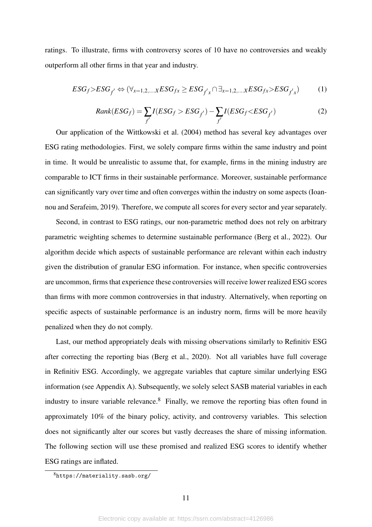ratings. To illustrate, firms with controversy scores of 10 have no controversies and weakly outperform all other firms in that year and industry.

<span id="page-10-0"></span>
$$
ESG_f>ESG_{f'} \Leftrightarrow (\forall_{x=1,2,...x} ESG_{fx} \geq ESG_{f'x} \cap \exists_{x=1,2,...x} ESG_{fx}>ESG_{f'x})
$$
(1)

<span id="page-10-1"></span>
$$
Rank(ESG_f) = \sum_{f'} I(ESG_f > ESG_{f'}) - \sum_{f'} I(ESG_f < ESG_{f'})
$$
\n(2)

Our application of the [Wittkowski et al.](#page-26-6) [\(2004\)](#page-26-6) method has several key advantages over ESG rating methodologies. First, we solely compare firms within the same industry and point in time. It would be unrealistic to assume that, for example, firms in the mining industry are comparable to ICT firms in their sustainable performance. Moreover, sustainable performance can significantly vary over time and often converges within the industry on some aspects [\(Ioan](#page-25-3)[nou and Serafeim, 2019\)](#page-25-3). Therefore, we compute all scores for every sector and year separately.

Second, in contrast to ESG ratings, our non-parametric method does not rely on arbitrary parametric weighting schemes to determine sustainable performance [\(Berg et al., 2022\)](#page-23-6). Our algorithm decide which aspects of sustainable performance are relevant within each industry given the distribution of granular ESG information. For instance, when specific controversies are uncommon, firms that experience these controversies will receive lower realized ESG scores than firms with more common controversies in that industry. Alternatively, when reporting on specific aspects of sustainable performance is an industry norm, firms will be more heavily penalized when they do not comply.

Last, our method appropriately deals with missing observations similarly to Refinitiv ESG after correcting the reporting bias [\(Berg et al., 2020\)](#page-23-5). Not all variables have full coverage in Refinitiv ESG. Accordingly, we aggregate variables that capture similar underlying ESG information (see Appendix A). Subsequently, we solely select SASB material variables in each industry to insure variable relevance.<sup>[8](#page-10-2)</sup> Finally, we remove the reporting bias often found in approximately 10% of the binary policy, activity, and controversy variables. This selection does not significantly alter our scores but vastly decreases the share of missing information. The following section will use these promised and realized ESG scores to identify whether ESG ratings are inflated.

<span id="page-10-2"></span><sup>8</sup><https://materiality.sasb.org/>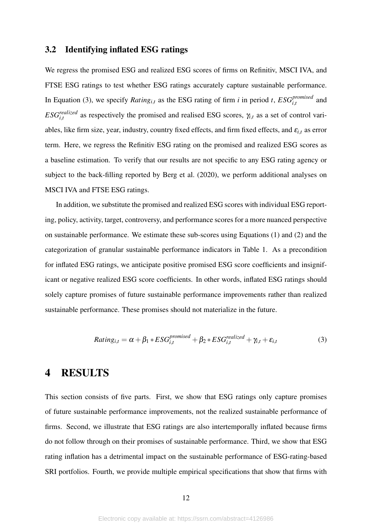#### 3.2 Identifying inflated ESG ratings

We regress the promised ESG and realized ESG scores of firms on Refinitiv, MSCI IVA, and FTSE ESG ratings to test whether ESG ratings accurately capture sustainable performance. In Equation [\(3\)](#page-11-0), we specify *Rating*<sub>*i*,*t*</sub> as the ESG rating of firm *i* in period *t*,  $ESG_{i,t}^{promised}$  and *ESG*<sup>*realized*</sup> as respectively the promised and realised ESG scores,  $\gamma_{i,t}$  as a set of control variables, like firm size, year, industry, country fixed effects, and firm fixed effects, and  $\varepsilon_{i,t}$  as error term. Here, we regress the Refinitiv ESG rating on the promised and realized ESG scores as a baseline estimation. To verify that our results are not specific to any ESG rating agency or subject to the back-filling reported by [Berg et al.](#page-23-5) [\(2020\)](#page-23-5), we perform additional analyses on MSCI IVA and FTSE ESG ratings.

In addition, we substitute the promised and realized ESG scores with individual ESG reporting, policy, activity, target, controversy, and performance scores for a more nuanced perspective on sustainable performance. We estimate these sub-scores using Equations [\(1\)](#page-10-0) and [\(2\)](#page-10-1) and the categorization of granular sustainable performance indicators in Table 1. As a precondition for inflated ESG ratings, we anticipate positive promised ESG score coefficients and insignificant or negative realized ESG score coefficients. In other words, inflated ESG ratings should solely capture promises of future sustainable performance improvements rather than realized sustainable performance. These promises should not materialize in the future.

<span id="page-11-0"></span>
$$
Rating_{i,t} = \alpha + \beta_1 * ESG_{i,t}^{promised} + \beta_2 * ESG_{i,t}^{realized} + \gamma_{i,t} + \varepsilon_{i,t}
$$
\n(3)

## 4 RESULTS

This section consists of five parts. First, we show that ESG ratings only capture promises of future sustainable performance improvements, not the realized sustainable performance of firms. Second, we illustrate that ESG ratings are also intertemporally inflated because firms do not follow through on their promises of sustainable performance. Third, we show that ESG rating inflation has a detrimental impact on the sustainable performance of ESG-rating-based SRI portfolios. Fourth, we provide multiple empirical specifications that show that firms with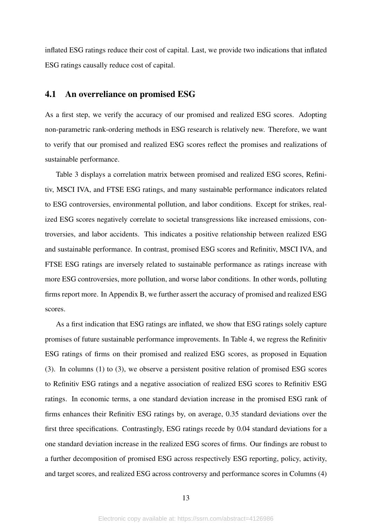inflated ESG ratings reduce their cost of capital. Last, we provide two indications that inflated ESG ratings causally reduce cost of capital.

#### 4.1 An overreliance on promised ESG

As a first step, we verify the accuracy of our promised and realized ESG scores. Adopting non-parametric rank-ordering methods in ESG research is relatively new. Therefore, we want to verify that our promised and realized ESG scores reflect the promises and realizations of sustainable performance.

Table [3](#page-30-0) displays a correlation matrix between promised and realized ESG scores, Refinitiv, MSCI IVA, and FTSE ESG ratings, and many sustainable performance indicators related to ESG controversies, environmental pollution, and labor conditions. Except for strikes, realized ESG scores negatively correlate to societal transgressions like increased emissions, controversies, and labor accidents. This indicates a positive relationship between realized ESG and sustainable performance. In contrast, promised ESG scores and Refinitiv, MSCI IVA, and FTSE ESG ratings are inversely related to sustainable performance as ratings increase with more ESG controversies, more pollution, and worse labor conditions. In other words, polluting firms report more. In Appendix B, we further assert the accuracy of promised and realized ESG scores.

As a first indication that ESG ratings are inflated, we show that ESG ratings solely capture promises of future sustainable performance improvements. In Table [4,](#page-31-0) we regress the Refinitiv ESG ratings of firms on their promised and realized ESG scores, as proposed in Equation [\(3\)](#page-11-0). In columns (1) to (3), we observe a persistent positive relation of promised ESG scores to Refinitiv ESG ratings and a negative association of realized ESG scores to Refinitiv ESG ratings. In economic terms, a one standard deviation increase in the promised ESG rank of firms enhances their Refinitiv ESG ratings by, on average, 0.35 standard deviations over the first three specifications. Contrastingly, ESG ratings recede by 0.04 standard deviations for a one standard deviation increase in the realized ESG scores of firms. Our findings are robust to a further decomposition of promised ESG across respectively ESG reporting, policy, activity, and target scores, and realized ESG across controversy and performance scores in Columns (4)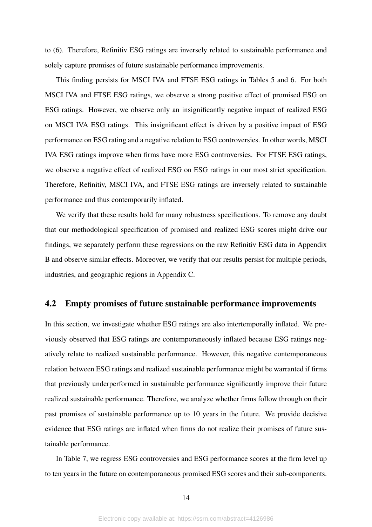to (6). Therefore, Refinitiv ESG ratings are inversely related to sustainable performance and solely capture promises of future sustainable performance improvements.

This finding persists for MSCI IVA and FTSE ESG ratings in Tables [5](#page-32-0) and [6.](#page-33-0) For both MSCI IVA and FTSE ESG ratings, we observe a strong positive effect of promised ESG on ESG ratings. However, we observe only an insignificantly negative impact of realized ESG on MSCI IVA ESG ratings. This insignificant effect is driven by a positive impact of ESG performance on ESG rating and a negative relation to ESG controversies. In other words, MSCI IVA ESG ratings improve when firms have more ESG controversies. For FTSE ESG ratings, we observe a negative effect of realized ESG on ESG ratings in our most strict specification. Therefore, Refinitiv, MSCI IVA, and FTSE ESG ratings are inversely related to sustainable performance and thus contemporarily inflated.

We verify that these results hold for many robustness specifications. To remove any doubt that our methodological specification of promised and realized ESG scores might drive our findings, we separately perform these regressions on the raw Refinitiv ESG data in Appendix B and observe similar effects. Moreover, we verify that our results persist for multiple periods, industries, and geographic regions in Appendix C.

#### 4.2 Empty promises of future sustainable performance improvements

In this section, we investigate whether ESG ratings are also intertemporally inflated. We previously observed that ESG ratings are contemporaneously inflated because ESG ratings negatively relate to realized sustainable performance. However, this negative contemporaneous relation between ESG ratings and realized sustainable performance might be warranted if firms that previously underperformed in sustainable performance significantly improve their future realized sustainable performance. Therefore, we analyze whether firms follow through on their past promises of sustainable performance up to 10 years in the future. We provide decisive evidence that ESG ratings are inflated when firms do not realize their promises of future sustainable performance.

In Table [7,](#page-34-0) we regress ESG controversies and ESG performance scores at the firm level up to ten years in the future on contemporaneous promised ESG scores and their sub-components.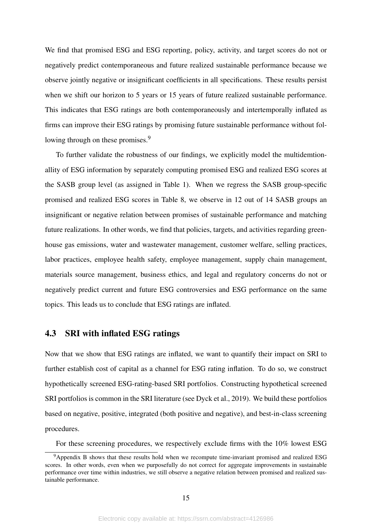We find that promised ESG and ESG reporting, policy, activity, and target scores do not or negatively predict contemporaneous and future realized sustainable performance because we observe jointly negative or insignificant coefficients in all specifications. These results persist when we shift our horizon to 5 years or 15 years of future realized sustainable performance. This indicates that ESG ratings are both contemporaneously and intertemporally inflated as firms can improve their ESG ratings by promising future sustainable performance without fol-lowing through on these promises.<sup>[9](#page-14-0)</sup>

To further validate the robustness of our findings, we explicitly model the multidemtionallity of ESG information by separately computing promised ESG and realized ESG scores at the SASB group level (as assigned in Table [1\)](#page-27-0). When we regress the SASB group-specific promised and realized ESG scores in Table [8,](#page-35-0) we observe in 12 out of 14 SASB groups an insignificant or negative relation between promises of sustainable performance and matching future realizations. In other words, we find that policies, targets, and activities regarding greenhouse gas emissions, water and wastewater management, customer welfare, selling practices, labor practices, employee health safety, employee management, supply chain management, materials source management, business ethics, and legal and regulatory concerns do not or negatively predict current and future ESG controversies and ESG performance on the same topics. This leads us to conclude that ESG ratings are inflated.

#### 4.3 SRI with inflated ESG ratings

Now that we show that ESG ratings are inflated, we want to quantify their impact on SRI to further establish cost of capital as a channel for ESG rating inflation. To do so, we construct hypothetically screened ESG-rating-based SRI portfolios. Constructing hypothetical screened SRI portfolios is common in the SRI literature (see [Dyck et al., 2019\)](#page-24-1). We build these portfolios based on negative, positive, integrated (both positive and negative), and best-in-class screening procedures.

<span id="page-14-0"></span>For these screening procedures, we respectively exclude firms with the 10% lowest ESG

<sup>9</sup>Appendix B shows that these results hold when we recompute time-invariant promised and realized ESG scores. In other words, even when we purposefully do not correct for aggregate improvements in sustainable performance over time within industries, we still observe a negative relation between promised and realized sustainable performance.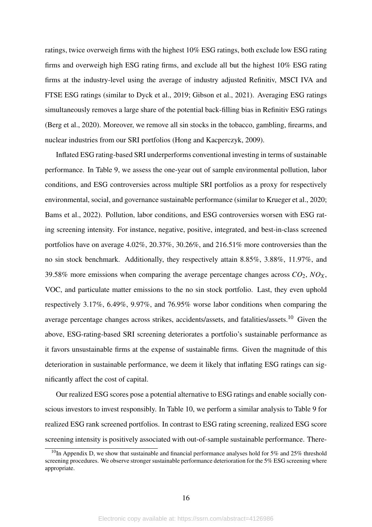ratings, twice overweigh firms with the highest 10% ESG ratings, both exclude low ESG rating firms and overweigh high ESG rating firms, and exclude all but the highest 10% ESG rating firms at the industry-level using the average of industry adjusted Refinitiv, MSCI IVA and FTSE ESG ratings (similar to [Dyck et al., 2019;](#page-24-1) [Gibson et al., 2021\)](#page-25-8). Averaging ESG ratings simultaneously removes a large share of the potential back-filling bias in Refinitiv ESG ratings [\(Berg et al., 2020\)](#page-23-5). Moreover, we remove all sin stocks in the tobacco, gambling, firearms, and nuclear industries from our SRI portfolios [\(Hong and Kacperczyk, 2009\)](#page-25-9).

Inflated ESG rating-based SRI underperforms conventional investing in terms of sustainable performance. In Table [9,](#page-36-0) we assess the one-year out of sample environmental pollution, labor conditions, and ESG controversies across multiple SRI portfolios as a proxy for respectively environmental, social, and governance sustainable performance (similar to [Krueger et al., 2020;](#page-25-10) [Bams et al., 2022\)](#page-23-7). Pollution, labor conditions, and ESG controversies worsen with ESG rating screening intensity. For instance, negative, positive, integrated, and best-in-class screened portfolios have on average 4.02%, 20.37%, 30.26%, and 216.51% more controversies than the no sin stock benchmark. Additionally, they respectively attain 8.85%, 3.88%, 11.97%, and 39.58% more emissions when comparing the average percentage changes across  $CO_2$ ,  $NO_X$ , VOC, and particulate matter emissions to the no sin stock portfolio. Last, they even uphold respectively 3.17%, 6.49%, 9.97%, and 76.95% worse labor conditions when comparing the average percentage changes across strikes, accidents/assets, and fatalities/assets.[10](#page-15-0) Given the above, ESG-rating-based SRI screening deteriorates a portfolio's sustainable performance as it favors unsustainable firms at the expense of sustainable firms. Given the magnitude of this deterioration in sustainable performance, we deem it likely that inflating ESG ratings can significantly affect the cost of capital.

Our realized ESG scores pose a potential alternative to ESG ratings and enable socially conscious investors to invest responsibly. In Table [10,](#page-37-0) we perform a similar analysis to Table [9](#page-36-0) for realized ESG rank screened portfolios. In contrast to ESG rating screening, realized ESG score screening intensity is positively associated with out-of-sample sustainable performance. There-

<span id="page-15-0"></span><sup>&</sup>lt;sup>10</sup>In Appendix D, we show that sustainable and financial performance analyses hold for 5% and 25% threshold screening procedures. We observe stronger sustainable performance deterioration for the 5% ESG screening where appropriate.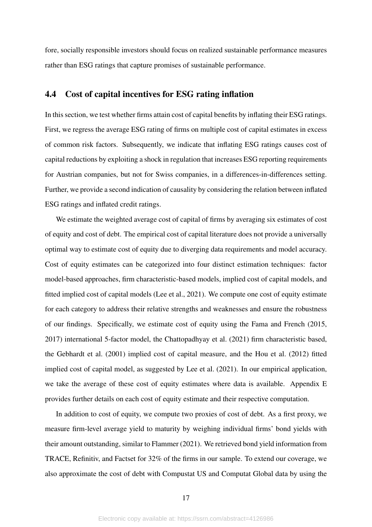fore, socially responsible investors should focus on realized sustainable performance measures rather than ESG ratings that capture promises of sustainable performance.

#### 4.4 Cost of capital incentives for ESG rating inflation

In this section, we test whether firms attain cost of capital benefits by inflating their ESG ratings. First, we regress the average ESG rating of firms on multiple cost of capital estimates in excess of common risk factors. Subsequently, we indicate that inflating ESG ratings causes cost of capital reductions by exploiting a shock in regulation that increases ESG reporting requirements for Austrian companies, but not for Swiss companies, in a differences-in-differences setting. Further, we provide a second indication of causality by considering the relation between inflated ESG ratings and inflated credit ratings.

We estimate the weighted average cost of capital of firms by averaging six estimates of cost of equity and cost of debt. The empirical cost of capital literature does not provide a universally optimal way to estimate cost of equity due to diverging data requirements and model accuracy. Cost of equity estimates can be categorized into four distinct estimation techniques: factor model-based approaches, firm characteristic-based models, implied cost of capital models, and fitted implied cost of capital models [\(Lee et al., 2021\)](#page-25-11). We compute one cost of equity estimate for each category to address their relative strengths and weaknesses and ensure the robustness of our findings. Specifically, we estimate cost of equity using the [Fama and French](#page-25-12) [\(2015,](#page-25-12) [2017\)](#page-25-13) international 5-factor model, the [Chattopadhyay et al.](#page-24-13) [\(2021\)](#page-24-13) firm characteristic based, the [Gebhardt et al.](#page-25-14) [\(2001\)](#page-25-14) implied cost of capital measure, and the [Hou et al.](#page-25-15) [\(2012\)](#page-25-15) fitted implied cost of capital model, as suggested by [Lee et al.](#page-25-11) [\(2021\)](#page-25-11). In our empirical application, we take the average of these cost of equity estimates where data is available. Appendix E provides further details on each cost of equity estimate and their respective computation.

In addition to cost of equity, we compute two proxies of cost of debt. As a first proxy, we measure firm-level average yield to maturity by weighing individual firms' bond yields with their amount outstanding, similar to [Flammer](#page-25-16) [\(2021\)](#page-25-16). We retrieved bond yield information from TRACE, Refinitiv, and Factset for 32% of the firms in our sample. To extend our coverage, we also approximate the cost of debt with Compustat US and Computat Global data by using the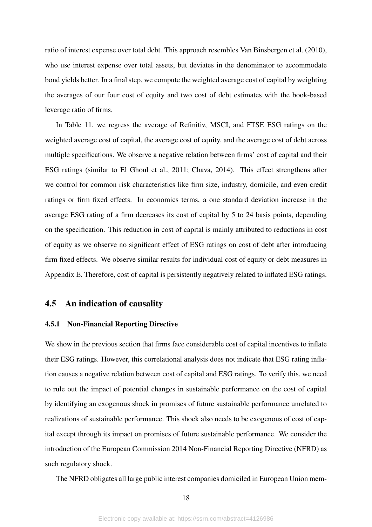ratio of interest expense over total debt. This approach resembles [Van Binsbergen et al.](#page-26-7) [\(2010\)](#page-26-7), who use interest expense over total assets, but deviates in the denominator to accommodate bond yields better. In a final step, we compute the weighted average cost of capital by weighting the averages of our four cost of equity and two cost of debt estimates with the book-based leverage ratio of firms.

In Table [11,](#page-38-0) we regress the average of Refinitiv, MSCI, and FTSE ESG ratings on the weighted average cost of capital, the average cost of equity, and the average cost of debt across multiple specifications. We observe a negative relation between firms' cost of capital and their ESG ratings (similar to [El Ghoul et al., 2011;](#page-24-2) [Chava, 2014\)](#page-24-3). This effect strengthens after we control for common risk characteristics like firm size, industry, domicile, and even credit ratings or firm fixed effects. In economics terms, a one standard deviation increase in the average ESG rating of a firm decreases its cost of capital by 5 to 24 basis points, depending on the specification. This reduction in cost of capital is mainly attributed to reductions in cost of equity as we observe no significant effect of ESG ratings on cost of debt after introducing firm fixed effects. We observe similar results for individual cost of equity or debt measures in Appendix E. Therefore, cost of capital is persistently negatively related to inflated ESG ratings.

#### 4.5 An indication of causality

#### 4.5.1 Non-Financial Reporting Directive

We show in the previous section that firms face considerable cost of capital incentives to inflate their ESG ratings. However, this correlational analysis does not indicate that ESG rating inflation causes a negative relation between cost of capital and ESG ratings. To verify this, we need to rule out the impact of potential changes in sustainable performance on the cost of capital by identifying an exogenous shock in promises of future sustainable performance unrelated to realizations of sustainable performance. This shock also needs to be exogenous of cost of capital except through its impact on promises of future sustainable performance. We consider the introduction of the European Commission 2014 Non-Financial Reporting Directive (NFRD) as such regulatory shock.

The NFRD obligates all large public interest companies domiciled in European Union mem-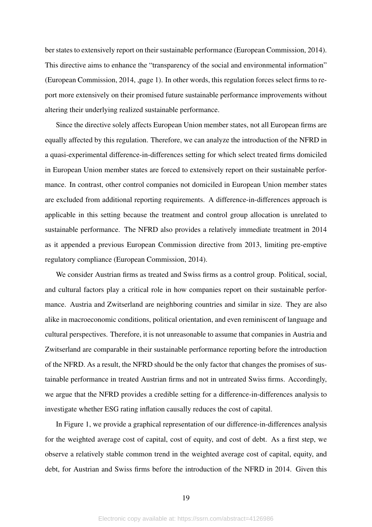ber states to extensively report on their sustainable performance [\(European Commission, 2014\)](#page-24-6). This directive aims to enhance the "transparency of the social and environmental information" [\(European Commission, 2014,](#page-24-6) ,page 1). In other words, this regulation forces select firms to report more extensively on their promised future sustainable performance improvements without altering their underlying realized sustainable performance.

Since the directive solely affects European Union member states, not all European firms are equally affected by this regulation. Therefore, we can analyze the introduction of the NFRD in a quasi-experimental difference-in-differences setting for which select treated firms domiciled in European Union member states are forced to extensively report on their sustainable performance. In contrast, other control companies not domiciled in European Union member states are excluded from additional reporting requirements. A difference-in-differences approach is applicable in this setting because the treatment and control group allocation is unrelated to sustainable performance. The NFRD also provides a relatively immediate treatment in 2014 as it appended a previous European Commission directive from 2013, limiting pre-emptive regulatory compliance [\(European Commission, 2014\)](#page-24-6).

We consider Austrian firms as treated and Swiss firms as a control group. Political, social, and cultural factors play a critical role in how companies report on their sustainable performance. Austria and Zwitserland are neighboring countries and similar in size. They are also alike in macroeconomic conditions, political orientation, and even reminiscent of language and cultural perspectives. Therefore, it is not unreasonable to assume that companies in Austria and Zwitserland are comparable in their sustainable performance reporting before the introduction of the NFRD. As a result, the NFRD should be the only factor that changes the promises of sustainable performance in treated Austrian firms and not in untreated Swiss firms. Accordingly, we argue that the NFRD provides a credible setting for a difference-in-differences analysis to investigate whether ESG rating inflation causally reduces the cost of capital.

In Figure [1,](#page-39-0) we provide a graphical representation of our difference-in-differences analysis for the weighted average cost of capital, cost of equity, and cost of debt. As a first step, we observe a relatively stable common trend in the weighted average cost of capital, equity, and debt, for Austrian and Swiss firms before the introduction of the NFRD in 2014. Given this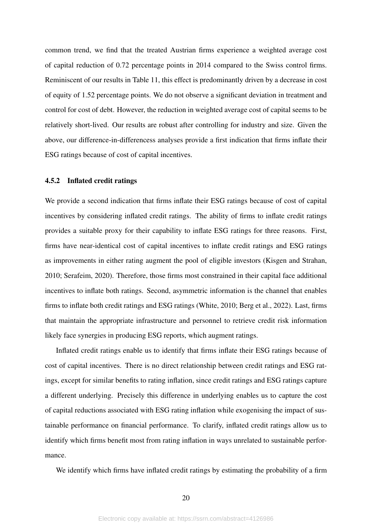common trend, we find that the treated Austrian firms experience a weighted average cost of capital reduction of 0.72 percentage points in 2014 compared to the Swiss control firms. Reminiscent of our results in Table [11,](#page-38-0) this effect is predominantly driven by a decrease in cost of equity of 1.52 percentage points. We do not observe a significant deviation in treatment and control for cost of debt. However, the reduction in weighted average cost of capital seems to be relatively short-lived. Our results are robust after controlling for industry and size. Given the above, our difference-in-differencess analyses provide a first indication that firms inflate their ESG ratings because of cost of capital incentives.

#### 4.5.2 Inflated credit ratings

We provide a second indication that firms inflate their ESG ratings because of cost of capital incentives by considering inflated credit ratings. The ability of firms to inflate credit ratings provides a suitable proxy for their capability to inflate ESG ratings for three reasons. First, firms have near-identical cost of capital incentives to inflate credit ratings and ESG ratings as improvements in either rating augment the pool of eligible investors [\(Kisgen and Strahan,](#page-25-17) [2010;](#page-25-17) [Serafeim, 2020\)](#page-26-5). Therefore, those firms most constrained in their capital face additional incentives to inflate both ratings. Second, asymmetric information is the channel that enables firms to inflate both credit ratings and ESG ratings [\(White, 2010;](#page-26-8) [Berg et al., 2022\)](#page-23-6). Last, firms that maintain the appropriate infrastructure and personnel to retrieve credit risk information likely face synergies in producing ESG reports, which augment ratings.

Inflated credit ratings enable us to identify that firms inflate their ESG ratings because of cost of capital incentives. There is no direct relationship between credit ratings and ESG ratings, except for similar benefits to rating inflation, since credit ratings and ESG ratings capture a different underlying. Precisely this difference in underlying enables us to capture the cost of capital reductions associated with ESG rating inflation while exogenising the impact of sustainable performance on financial performance. To clarify, inflated credit ratings allow us to identify which firms benefit most from rating inflation in ways unrelated to sustainable performance.

We identify which firms have inflated credit ratings by estimating the probability of a firm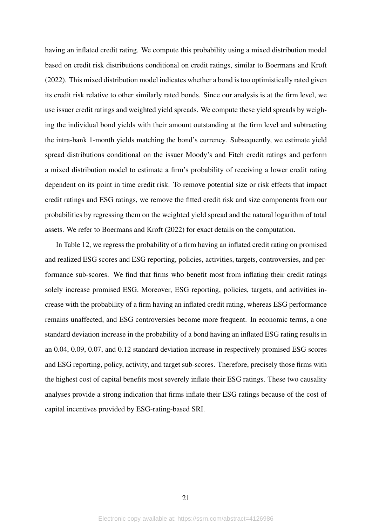having an inflated credit rating. We compute this probability using a mixed distribution model based on credit risk distributions conditional on credit ratings, similar to [Boermans and Kroft](#page-24-14) [\(2022\)](#page-24-14). This mixed distribution model indicates whether a bond is too optimistically rated given its credit risk relative to other similarly rated bonds. Since our analysis is at the firm level, we use issuer credit ratings and weighted yield spreads. We compute these yield spreads by weighing the individual bond yields with their amount outstanding at the firm level and subtracting the intra-bank 1-month yields matching the bond's currency. Subsequently, we estimate yield spread distributions conditional on the issuer Moody's and Fitch credit ratings and perform a mixed distribution model to estimate a firm's probability of receiving a lower credit rating dependent on its point in time credit risk. To remove potential size or risk effects that impact credit ratings and ESG ratings, we remove the fitted credit risk and size components from our probabilities by regressing them on the weighted yield spread and the natural logarithm of total assets. We refer to [Boermans and Kroft](#page-24-14) [\(2022\)](#page-24-14) for exact details on the computation.

In Table [12,](#page-40-0) we regress the probability of a firm having an inflated credit rating on promised and realized ESG scores and ESG reporting, policies, activities, targets, controversies, and performance sub-scores. We find that firms who benefit most from inflating their credit ratings solely increase promised ESG. Moreover, ESG reporting, policies, targets, and activities increase with the probability of a firm having an inflated credit rating, whereas ESG performance remains unaffected, and ESG controversies become more frequent. In economic terms, a one standard deviation increase in the probability of a bond having an inflated ESG rating results in an 0.04, 0.09, 0.07, and 0.12 standard deviation increase in respectively promised ESG scores and ESG reporting, policy, activity, and target sub-scores. Therefore, precisely those firms with the highest cost of capital benefits most severely inflate their ESG ratings. These two causality analyses provide a strong indication that firms inflate their ESG ratings because of the cost of capital incentives provided by ESG-rating-based SRI.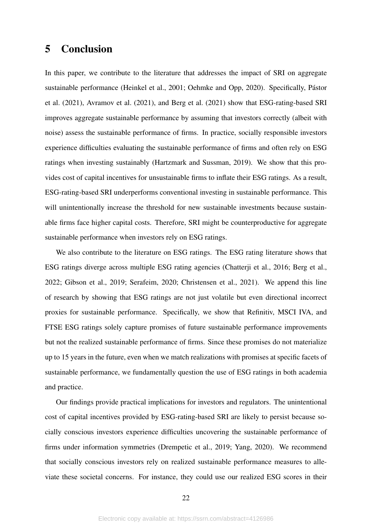# 5 Conclusion

In this paper, we contribute to the literature that addresses the impact of SRI on aggregate sustainable performance [\(Heinkel et al., 2001;](#page-25-0) [Oehmke and Opp, 2020\)](#page-25-5). Specifically, Pástor [et al.](#page-26-4) [\(2021\)](#page-26-4), [Avramov et al.](#page-23-4) [\(2021\)](#page-23-4), and [Berg et al.](#page-23-8) [\(2021\)](#page-23-8) show that ESG-rating-based SRI improves aggregate sustainable performance by assuming that investors correctly (albeit with noise) assess the sustainable performance of firms. In practice, socially responsible investors experience difficulties evaluating the sustainable performance of firms and often rely on ESG ratings when investing sustainably [\(Hartzmark and Sussman, 2019\)](#page-25-2). We show that this provides cost of capital incentives for unsustainable firms to inflate their ESG ratings. As a result, ESG-rating-based SRI underperforms conventional investing in sustainable performance. This will unintentionally increase the threshold for new sustainable investments because sustainable firms face higher capital costs. Therefore, SRI might be counterproductive for aggregate sustainable performance when investors rely on ESG ratings.

We also contribute to the literature on ESG ratings. The ESG rating literature shows that ESG ratings diverge across multiple ESG rating agencies [\(Chatterji et al., 2016;](#page-24-11) [Berg et al.,](#page-23-6) [2022;](#page-23-6) [Gibson et al., 2019;](#page-25-6) [Serafeim, 2020;](#page-26-5) [Christensen et al., 2021\)](#page-24-10). We append this line of research by showing that ESG ratings are not just volatile but even directional incorrect proxies for sustainable performance. Specifically, we show that Refinitiv, MSCI IVA, and FTSE ESG ratings solely capture promises of future sustainable performance improvements but not the realized sustainable performance of firms. Since these promises do not materialize up to 15 years in the future, even when we match realizations with promises at specific facets of sustainable performance, we fundamentally question the use of ESG ratings in both academia and practice.

Our findings provide practical implications for investors and regulators. The unintentional cost of capital incentives provided by ESG-rating-based SRI are likely to persist because socially conscious investors experience difficulties uncovering the sustainable performance of firms under information symmetries [\(Drempetic et al., 2019;](#page-24-4) [Yang, 2020\)](#page-26-2). We recommend that socially conscious investors rely on realized sustainable performance measures to alleviate these societal concerns. For instance, they could use our realized ESG scores in their

22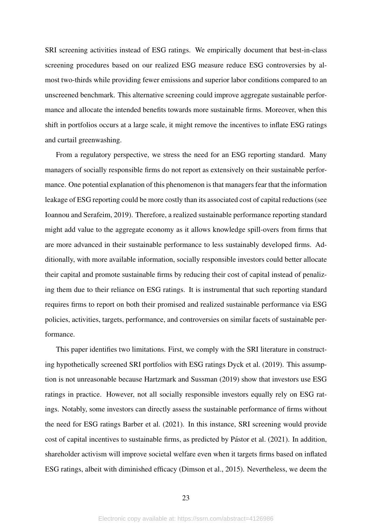SRI screening activities instead of ESG ratings. We empirically document that best-in-class screening procedures based on our realized ESG measure reduce ESG controversies by almost two-thirds while providing fewer emissions and superior labor conditions compared to an unscreened benchmark. This alternative screening could improve aggregate sustainable performance and allocate the intended benefits towards more sustainable firms. Moreover, when this shift in portfolios occurs at a large scale, it might remove the incentives to inflate ESG ratings and curtail greenwashing.

From a regulatory perspective, we stress the need for an ESG reporting standard. Many managers of socially responsible firms do not report as extensively on their sustainable performance. One potential explanation of this phenomenon is that managers fear that the information leakage of ESG reporting could be more costly than its associated cost of capital reductions (see [Ioannou and Serafeim, 2019\)](#page-25-3). Therefore, a realized sustainable performance reporting standard might add value to the aggregate economy as it allows knowledge spill-overs from firms that are more advanced in their sustainable performance to less sustainably developed firms. Additionally, with more available information, socially responsible investors could better allocate their capital and promote sustainable firms by reducing their cost of capital instead of penalizing them due to their reliance on ESG ratings. It is instrumental that such reporting standard requires firms to report on both their promised and realized sustainable performance via ESG policies, activities, targets, performance, and controversies on similar facets of sustainable performance.

This paper identifies two limitations. First, we comply with the SRI literature in constructing hypothetically screened SRI portfolios with ESG ratings [Dyck et al.](#page-24-1) [\(2019\)](#page-24-1). This assumption is not unreasonable because [Hartzmark and Sussman](#page-25-2) [\(2019\)](#page-25-2) show that investors use ESG ratings in practice. However, not all socially responsible investors equally rely on ESG ratings. Notably, some investors can directly assess the sustainable performance of firms without the need for ESG ratings [Barber et al.](#page-23-0) [\(2021\)](#page-23-0). In this instance, SRI screening would provide cost of capital incentives to sustainable firms, as predicted by Pástor et al. [\(2021\)](#page-26-4). In addition, shareholder activism will improve societal welfare even when it targets firms based on inflated ESG ratings, albeit with diminished efficacy [\(Dimson et al., 2015\)](#page-24-15). Nevertheless, we deem the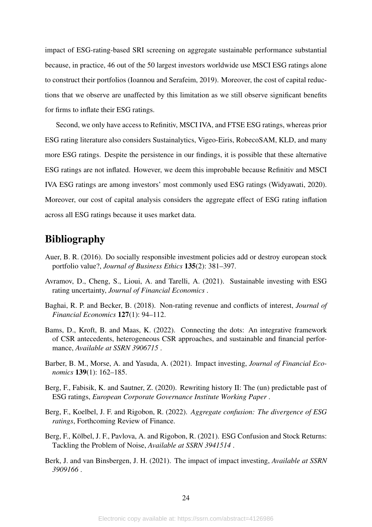impact of ESG-rating-based SRI screening on aggregate sustainable performance substantial because, in practice, 46 out of the 50 largest investors worldwide use MSCI ESG ratings alone to construct their portfolios [\(Ioannou and Serafeim, 2019\)](#page-25-3). Moreover, the cost of capital reductions that we observe are unaffected by this limitation as we still observe significant benefits for firms to inflate their ESG ratings.

Second, we only have access to Refinitiv, MSCI IVA, and FTSE ESG ratings, whereas prior ESG rating literature also considers Sustainalytics, Vigeo-Eiris, RobecoSAM, KLD, and many more ESG ratings. Despite the persistence in our findings, it is possible that these alternative ESG ratings are not inflated. However, we deem this improbable because Refinitiv and MSCI IVA ESG ratings are among investors' most commonly used ESG ratings [\(Widyawati, 2020\)](#page-26-9). Moreover, our cost of capital analysis considers the aggregate effect of ESG rating inflation across all ESG ratings because it uses market data.

# Bibliography

- <span id="page-23-3"></span>Auer, B. R. (2016). Do socially responsible investment policies add or destroy european stock portfolio value?, *Journal of Business Ethics* 135(2): 381–397.
- <span id="page-23-4"></span>Avramov, D., Cheng, S., Lioui, A. and Tarelli, A. (2021). Sustainable investing with ESG rating uncertainty, *Journal of Financial Economics* .
- <span id="page-23-2"></span>Baghai, R. P. and Becker, B. (2018). Non-rating revenue and conflicts of interest, *Journal of Financial Economics* 127(1): 94–112.
- <span id="page-23-7"></span>Bams, D., Kroft, B. and Maas, K. (2022). Connecting the dots: An integrative framework of CSR antecedents, heterogeneous CSR approaches, and sustainable and financial performance, *Available at SSRN 3906715* .
- <span id="page-23-0"></span>Barber, B. M., Morse, A. and Yasuda, A. (2021). Impact investing, *Journal of Financial Economics* 139(1): 162–185.
- <span id="page-23-5"></span>Berg, F., Fabisik, K. and Sautner, Z. (2020). Rewriting history II: The (un) predictable past of ESG ratings, *European Corporate Governance Institute Working Paper* .
- <span id="page-23-6"></span>Berg, F., Koelbel, J. F. and Rigobon, R. (2022). *Aggregate confusion: The divergence of ESG ratings*, Forthcoming Review of Finance.
- <span id="page-23-8"></span>Berg, F., Kölbel, J. F., Pavlova, A. and Rigobon, R. (2021). ESG Confusion and Stock Returns: Tackling the Problem of Noise, *Available at SSRN 3941514* .
- <span id="page-23-1"></span>Berk, J. and van Binsbergen, J. H. (2021). The impact of impact investing, *Available at SSRN 3909166* .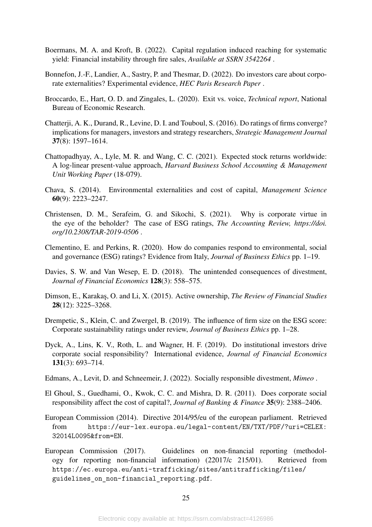- <span id="page-24-14"></span>Boermans, M. A. and Kroft, B. (2022). Capital regulation induced reaching for systematic yield: Financial instability through fire sales, *Available at SSRN 3542264* .
- <span id="page-24-0"></span>Bonnefon, J.-F., Landier, A., Sastry, P. and Thesmar, D. (2022). Do investors care about corporate externalities? Experimental evidence, *HEC Paris Research Paper* .
- <span id="page-24-9"></span>Broccardo, E., Hart, O. D. and Zingales, L. (2020). Exit vs. voice, *Technical report*, National Bureau of Economic Research.
- <span id="page-24-11"></span>Chatterji, A. K., Durand, R., Levine, D. I. and Touboul, S. (2016). Do ratings of firms converge? implications for managers, investors and strategy researchers, *Strategic Management Journal* 37(8): 1597–1614.
- <span id="page-24-13"></span>Chattopadhyay, A., Lyle, M. R. and Wang, C. C. (2021). Expected stock returns worldwide: A log-linear present-value approach, *Harvard Business School Accounting & Management Unit Working Paper* (18-079).
- <span id="page-24-3"></span>Chava, S. (2014). Environmental externalities and cost of capital, *Management Science* 60(9): 2223–2247.
- <span id="page-24-10"></span>Christensen, D. M., Serafeim, G. and Sikochi, S. (2021). Why is corporate virtue in the eye of the beholder? The case of ESG ratings, *The Accounting Review, https://doi. org/10.2308/TAR-2019-0506* .
- <span id="page-24-5"></span>Clementino, E. and Perkins, R. (2020). How do companies respond to environmental, social and governance (ESG) ratings? Evidence from Italy, *Journal of Business Ethics* pp. 1–19.
- <span id="page-24-7"></span>Davies, S. W. and Van Wesep, E. D. (2018). The unintended consequences of divestment, *Journal of Financial Economics* 128(3): 558–575.
- <span id="page-24-15"></span>Dimson, E., Karakas¸, O. and Li, X. (2015). Active ownership, *The Review of Financial Studies* 28(12): 3225–3268.
- <span id="page-24-4"></span>Drempetic, S., Klein, C. and Zwergel, B. (2019). The influence of firm size on the ESG score: Corporate sustainability ratings under review, *Journal of Business Ethics* pp. 1–28.
- <span id="page-24-1"></span>Dyck, A., Lins, K. V., Roth, L. and Wagner, H. F. (2019). Do institutional investors drive corporate social responsibility? International evidence, *Journal of Financial Economics* 131(3): 693–714.
- <span id="page-24-8"></span>Edmans, A., Levit, D. and Schneemeir, J. (2022). Socially responsible divestment, *Mimeo* .
- <span id="page-24-2"></span>El Ghoul, S., Guedhami, O., Kwok, C. C. and Mishra, D. R. (2011). Does corporate social responsibility affect the cost of capital?, *Journal of Banking & Finance* 35(9): 2388–2406.
- <span id="page-24-6"></span>European Commission (2014). Directive 2014/95/eu of the european parliament. Retrieved from [https://eur-lex.europa.eu/legal-content/EN/TXT/PDF/?uri=CELEX:](https://eur-lex.europa.eu/legal-content/EN/TXT/PDF/?uri=CELEX:32014L0095&from=EN) [32014L0095&from=EN](https://eur-lex.europa.eu/legal-content/EN/TXT/PDF/?uri=CELEX:32014L0095&from=EN).
- <span id="page-24-12"></span>European Commission (2017). Guidelines on non-financial reporting (methodology for reporting non-financial information) (22017/c 215/01). Retrieved from [https://ec.europa.eu/anti-trafficking/sites/antitrafficking/files/](https://ec.europa.eu/anti-trafficking/sites/antitrafficking/files/guidelines_on_non-financial_reporting.pdf) guidelines on non-financial reporting.pdf.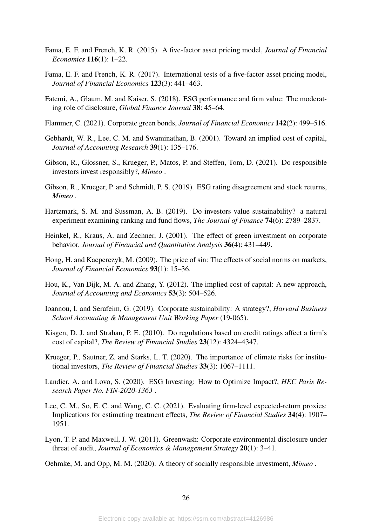- <span id="page-25-12"></span>Fama, E. F. and French, K. R. (2015). A five-factor asset pricing model, *Journal of Financial Economics* 116(1): 1–22.
- <span id="page-25-13"></span>Fama, E. F. and French, K. R. (2017). International tests of a five-factor asset pricing model, *Journal of Financial Economics* 123(3): 441–463.
- <span id="page-25-1"></span>Fatemi, A., Glaum, M. and Kaiser, S. (2018). ESG performance and firm value: The moderating role of disclosure, *Global Finance Journal* 38: 45–64.
- <span id="page-25-16"></span>Flammer, C. (2021). Corporate green bonds, *Journal of Financial Economics* 142(2): 499–516.
- <span id="page-25-14"></span>Gebhardt, W. R., Lee, C. M. and Swaminathan, B. (2001). Toward an implied cost of capital, *Journal of Accounting Research* 39(1): 135–176.
- <span id="page-25-8"></span>Gibson, R., Glossner, S., Krueger, P., Matos, P. and Steffen, Tom, D. (2021). Do responsible investors invest responsibly?, *Mimeo* .
- <span id="page-25-6"></span>Gibson, R., Krueger, P. and Schmidt, P. S. (2019). ESG rating disagreement and stock returns, *Mimeo* .
- <span id="page-25-2"></span>Hartzmark, S. M. and Sussman, A. B. (2019). Do investors value sustainability? a natural experiment examining ranking and fund flows, *The Journal of Finance* 74(6): 2789–2837.
- <span id="page-25-0"></span>Heinkel, R., Kraus, A. and Zechner, J. (2001). The effect of green investment on corporate behavior, *Journal of Financial and Quantitative Analysis* 36(4): 431–449.
- <span id="page-25-9"></span>Hong, H. and Kacperczyk, M. (2009). The price of sin: The effects of social norms on markets, *Journal of Financial Economics* 93(1): 15–36.
- <span id="page-25-15"></span>Hou, K., Van Dijk, M. A. and Zhang, Y. (2012). The implied cost of capital: A new approach, *Journal of Accounting and Economics* 53(3): 504–526.
- <span id="page-25-3"></span>Ioannou, I. and Serafeim, G. (2019). Corporate sustainability: A strategy?, *Harvard Business School Accounting & Management Unit Working Paper* (19-065).
- <span id="page-25-17"></span>Kisgen, D. J. and Strahan, P. E. (2010). Do regulations based on credit ratings affect a firm's cost of capital?, *The Review of Financial Studies* 23(12): 4324–4347.
- <span id="page-25-10"></span>Krueger, P., Sautner, Z. and Starks, L. T. (2020). The importance of climate risks for institutional investors, *The Review of Financial Studies* 33(3): 1067–1111.
- <span id="page-25-4"></span>Landier, A. and Lovo, S. (2020). ESG Investing: How to Optimize Impact?, *HEC Paris Research Paper No. FIN-2020-1363* .
- <span id="page-25-11"></span>Lee, C. M., So, E. C. and Wang, C. C. (2021). Evaluating firm-level expected-return proxies: Implications for estimating treatment effects, *The Review of Financial Studies* 34(4): 1907– 1951.
- <span id="page-25-7"></span>Lyon, T. P. and Maxwell, J. W. (2011). Greenwash: Corporate environmental disclosure under threat of audit, *Journal of Economics & Management Strategy* 20(1): 3–41.

<span id="page-25-5"></span>Oehmke, M. and Opp, M. M. (2020). A theory of socially responsible investment, *Mimeo* .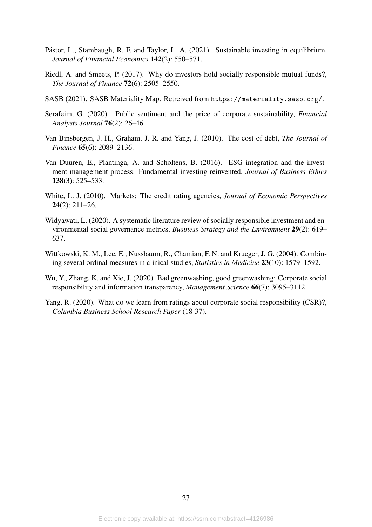- <span id="page-26-4"></span>Pástor, L., Stambaugh, R. F. and Taylor, L. A. (2021). Sustainable investing in equilibrium, *Journal of Financial Economics* 142(2): 550–571.
- <span id="page-26-0"></span>Riedl, A. and Smeets, P. (2017). Why do investors hold socially responsible mutual funds?, *The Journal of Finance* 72(6): 2505–2550.
- <span id="page-26-10"></span>SASB (2021). SASB Materiality Map. Retreived from <https://materiality.sasb.org/>.
- <span id="page-26-5"></span>Serafeim, G. (2020). Public sentiment and the price of corporate sustainability, *Financial Analysts Journal* 76(2): 26–46.
- <span id="page-26-7"></span>Van Binsbergen, J. H., Graham, J. R. and Yang, J. (2010). The cost of debt, *The Journal of Finance* 65(6): 2089–2136.
- <span id="page-26-3"></span>Van Duuren, E., Plantinga, A. and Scholtens, B. (2016). ESG integration and the investment management process: Fundamental investing reinvented, *Journal of Business Ethics* 138(3): 525–533.
- <span id="page-26-8"></span>White, L. J. (2010). Markets: The credit rating agencies, *Journal of Economic Perspectives* 24(2): 211–26.
- <span id="page-26-9"></span>Widyawati, L. (2020). A systematic literature review of socially responsible investment and environmental social governance metrics, *Business Strategy and the Environment* 29(2): 619– 637.
- <span id="page-26-6"></span>Wittkowski, K. M., Lee, E., Nussbaum, R., Chamian, F. N. and Krueger, J. G. (2004). Combining several ordinal measures in clinical studies, *Statistics in Medicine* 23(10): 1579–1592.
- <span id="page-26-1"></span>Wu, Y., Zhang, K. and Xie, J. (2020). Bad greenwashing, good greenwashing: Corporate social responsibility and information transparency, *Management Science* 66(7): 3095–3112.
- <span id="page-26-2"></span>Yang, R. (2020). What do we learn from ratings about corporate social responsibility (CSR)?, *Columbia Business School Research Paper* (18-37).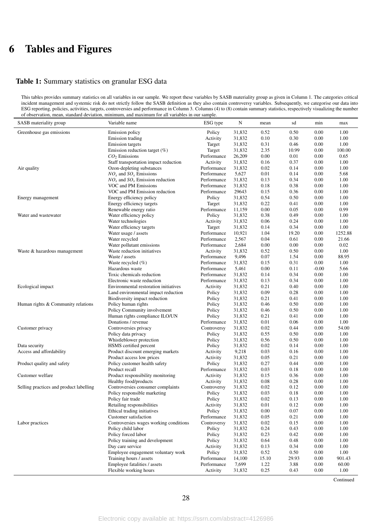# 6 Tables and Figures

#### <span id="page-27-0"></span>Table 1: Summary statistics on granular ESG data

This tables provides summary statistics on all variables in our sample. We report these variables by SASB materiality group as given in Column 1. The categories critical incident management and systemic risk do not strictly follow the SASB definition as they also contain controversy variables. Subsequently, we categorise our data into ESG reporting, policies, activities, targets, controversies and performance in Column 3. Columns (4) to (8) contain summary statistics, respectively visualizing the number of observation, mean, standard deviation, minimum, and maximum for all variables in our sample.

| SASB materiality group                  | Variable name                                   | ESG type              | N                | mean         | sd           | min          | max           |
|-----------------------------------------|-------------------------------------------------|-----------------------|------------------|--------------|--------------|--------------|---------------|
| Greenhouse gas emissions                | Emission policy                                 | Policy                | 31,832           | 0.52         | 0.50         | 0.00         | 1.00          |
|                                         | Emission trading                                | Activity              | 31,832           | 0.10         | 0.30         | 0.00         | 1.00          |
|                                         | <b>Emission</b> targets                         | Target                | 31,832           | 0.31         | 0.46         | 0.00         | 1.00          |
|                                         | Emission reduction target $(\%)$                | Target                | 31,832           | 2.35         | 10.99        | 0.00         | 100.00        |
|                                         | $CO2$ Emissions                                 | Performance           | 26,209           | 0.00         | 0.01         | 0.00         | 0.65          |
|                                         | Staff transportation impact reduction           | Activity              | 31,832           | 0.16         | 0.37         | 0.00         | 1.00          |
| Air quality                             | Ozon-depleting substances                       | Performance           | 31,832           | 0.02         | 0.14         | 0.00         | 1.00          |
|                                         | $NOx$ and $SOx$ Emissions                       | Performance           | 5,627            | 0.01         | 0.14         | 0.00         | 5.68          |
|                                         | $NOx$ and $SOx$ Emission reduction              | Performance           | 31,832           | 0.13         | 0.34         | 0.00         | 1.00          |
|                                         | VOC and PM Emissions                            | Performance           | 31,832           | 0.18         | 0.38         | 0.00         | 1.00          |
|                                         | VOC and PM Emission reduction                   | Performance           | 29643            | 0.15         | 0.36         | 0.00         | 1.00          |
| Energy management                       | Energy efficiency policy                        | Policy                | 31,832           | 0.54         | 0.50         | 0.00         | 1.00          |
|                                         | Energy efficiency targets                       | Target                | 31,832           | 0.22         | 0.41         | 0.00         | 1.00          |
|                                         | Renewable energy ratio                          | Performance           | 11,159           | 0.00         | 0.05         | 0.00         | 0.99          |
| Water and wastewater                    | Water efficiency policy                         | Policy                | 31,832           | 0.38         | 0.49         | 0.00         | 1.00          |
|                                         | Water technologies                              | Activity              | 31,832           | 0.06         | 0.24         | 0.00         | 1.00          |
|                                         | Water efficiency targets                        | Target                | 31,832           | 0.14         | 0.34         | 0.00         | 1.00          |
|                                         | Water usage / assets                            | Performance           | 10,921           | 1.04         | 19.20        | 0.00         | 1252.88       |
|                                         | Water recycled                                  | Performance           | 2,567            | 0.04         | 0.61         | 0.00         | 21.66         |
|                                         | Water pollutant emissions                       | Performance           | 2,684            | 0.00         | 0.00         | 0.00         | 0.02          |
| Waste & hazardous management            | Waste reduction initiatives                     | Activity              | 31,832           | 0.52         | 0.50         | 0.00         | 1.00          |
|                                         | Waste / assets                                  | Performance           | 9,496            | 0.07         | 1.54         | 0.00         | 88.95         |
|                                         | Waste recycled (%)                              | Performance           | 31,832           | 0.15         | 0.31         | 0.00         | 1.00          |
|                                         | Hazardous waste                                 | Performance           | 5,461            | 0.00         | 0.11         | $-0.00$      | 5.66          |
|                                         | Toxic chemicals reduction                       | Performance           | 31,832           | 0.14         | 0.34         | 0.00         | 1.00          |
|                                         | Electronic waste reduction                      | Performance           | 31,832           | 0.13         | 0.34         | 0.00         | 1.00          |
| Ecological impact                       | Environmental restoration initiatives           | Activity              | 31,832           | 0.21         | 0.40         | 0.00         | 1.00          |
|                                         | Land environmental impact reduction             | Policy                | 31,832           | 0.09         | 0.28         | 0.00         | 1.00          |
|                                         | Biodiversity impact reduction                   | Policy                | 31,832           | 0.21         | 0.41         | 0.00         | 1.00          |
| Human rights & Community relations      | Policy human rights                             | Policy                | 31,832           | 0.46         | 0.50         | 0.00         | 1.00          |
|                                         | Policy Community involvement                    | Policy                | 31,832           | 0.46         | 0.50         | 0.00         | 1.00          |
|                                         | Human rights compliance ILO/UN                  | Policy                | 31,832           | 0.21         | 0.41         | 0.00         | 1.00          |
|                                         | Donations / revenue                             | Performance           | 31,832           | 0.01         | 0.06<br>0.44 | 0.00         | 1.00<br>54.00 |
| Customer privacy                        | Controversies privacy                           | Controversy<br>Policy | 31,832<br>31,832 | 0.02<br>0.55 | 0.50         | 0.00<br>0.00 | 1.00          |
|                                         | Policy data privacy<br>Whistleblower protection | Policy                | 31,832           | 0.56         | 0.50         | 0.00         | 1.00          |
| Data security                           | HSMS certified percent                          | Policy                | 31,832           | 0.02         | 0.14         | 0.00         | 1.00          |
| Access and affordability                | Product discount emerging markets               | Activity              | 9,218            | 0.03         | 0.16         | 0.00         | 1.00          |
|                                         | Product access low prices                       | Activity              | 31,832           | 0.05         | 0.21         | 0.00         | 1.00          |
| Product quality and safety              | Policy customer health safety                   | Policy                | 31,832           | 0.27         | 0.44         | 0.00         | 1.00          |
|                                         | Product recall                                  | Performance           | 31,832           | 0.03         | 0.18         | 0.00         | 1.00          |
| Customer welfare                        | Product responsibility monitoring               | Activity              | 31,832           | 0.15         | 0.36         | 0.00         | 1.00          |
|                                         | Healthy food/products                           | Activity              | 31,832           | 0.08         | 0.28         | 0.00         | 1.00          |
| Selling practices and product labelling | Controversies consumer complaints               | Controversy           | 31,832           | 0.02         | 0.12         | 0.00         | 1.00          |
|                                         | Policy responsible marketing                    | Policy                | 31,832           | 0.03         | 0.18         | 0.00         | 1.00          |
|                                         | Policy fair trade                               | Policy                | 31,832           | $0.02\,$     | 0.13         | 0.00         | 1.00          |
|                                         | Retailing responsibilities                      | Activity              | 31,832           | 0.01         | 0.12         | 0.00         | 1.00          |
|                                         | Ethical trading initiatives                     | Policy                | 31,832           | 0.00         | 0.07         | 0.00         | 1.00          |
|                                         | Customer satisfaction                           | Performance           | 31,832           | 0.05         | 0.21         | 0.00         | 1.00          |
| Labor practices                         | Controversies wages working conditions          | Controversy           | 31,832           | 0.02         | 0.15         | 0.00         | 1.00          |
|                                         | Policy child labor                              | Policy                | 31,832           | 0.24         | 0.43         | 0.00         | 1.00          |
|                                         | Policy forced labor                             | Policy                | 31,832           | 0.23         | 0.42         | 0.00         | 1.00          |
|                                         | Policy training and development                 | Policy                | 31,832           | 0.64         | 0.48         | 0.00         | 1.00          |
|                                         | Day care service                                | Activity              | 31,832           | 0.13         | 0.34         | 0.00         | 1.00          |
|                                         | Employee engagement voluntary work              | Policy                | 31,832           | 0.52         | 0.50         | 0.00         | 1.00          |
|                                         | Training hours / assets                         | Performance           | 14,100           | 15.10        | 29.93        | 0.00         | 901.43        |
|                                         | Employee fatalities / assets                    | Performance           | 7,699            | 1.22         | 3.88         | 0.00         | 60.00         |
|                                         | Flexible working hours                          | Activity              | 31,832           | 0.25         | 0.43         | 0.00         | 1.00          |

Continued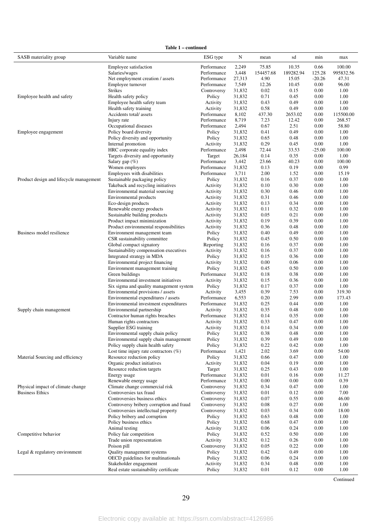Table 1 – continued

| Employee satisfaction<br>10.35<br>0.66<br>Performance<br>2,249<br>75.85<br>100.00<br>189282.94<br>125.28<br>995832.56<br>Salaries/wages<br>Performance<br>3,448<br>154457.68<br>27,313<br>4.90<br>Net employment creation / assets<br>Performance<br>15.05<br>$-20.26$<br>47.31<br>96.00<br>Employee turnover<br>7,549<br>12.26<br>10.45<br>0.00<br>Performance<br><b>Strikes</b><br>31,832<br>0.15<br>1.00<br>0.02<br>0.00<br>Controversy<br>31,832<br>0.71<br>1.00<br>Employee health and safety<br>Health safety policy<br>Policy<br>0.45<br>0.00<br>0.43<br>0.49<br>1.00<br>Employee health safety team<br>Activity<br>31,832<br>0.00<br>31,832<br>0.58<br>0.49<br>1.00<br>Health safety training<br>Activity<br>0.00<br>8,102<br>437.30<br>Accidents total/assets<br>Performance<br>2653.02<br>0.00<br>115500.00<br>8,719<br>Injury rate<br>Performance<br>7.23<br>12.42<br>0.00<br>268.57<br>2,494<br>2.51<br>58.80<br>Occupational diseases<br>Performance<br>0.67<br>0.00<br>31,832<br>0.49<br>0.00<br>1.00<br>Policy board diversity<br>Policy<br>0.41<br>Employee engagement<br>0.65<br>1.00<br>Policy diversity and opportunity<br>Policy<br>31,832<br>0.48<br>0.00<br>Internal promotion<br>31,832<br>0.29<br>0.45<br>1.00<br>Activity<br>0.00<br>HRC corporate equality index<br>2,498<br>72.44<br>33.53<br>100.00<br>Performance<br>$-25.00$<br>0.35<br>Targets diversity and opportunity<br>26,184<br>0.14<br>0.00<br>1.00<br>Target<br>Salary gap $(\%)$<br>Performance<br>3,442<br>23.66<br>40.23<br>0.00<br>100.00<br>0.19<br>0.99<br>Women employees<br>Performance<br>31,832<br>0.13<br>0.00<br>Employees with disabilities<br>3,711<br>2.00<br>1.52<br>0.00<br>15.19<br>Performance<br>Sustainable packaging policy<br>1.00<br>Product design and lifecycle management<br>Policy<br>31,832<br>0.16<br>0.37<br>0.00<br>Takeback and recycling initiatives<br>0.30<br>1.00<br>Activity<br>31,832<br>0.10<br>0.00<br>0.30<br>1.00<br>Environmental material sourcing<br>31,832<br>0.46<br>0.00<br>Activity<br>0.31<br>Environmental products<br>31,832<br>0.46<br>0.00<br>1.00<br>Activity<br>31,832<br>0.34<br>1.00<br>Eco-design products<br>0.13<br>0.00<br>Activity<br>Renewable energy products<br>31,832<br>0.32<br>0.00<br>1.00<br>0.11<br>Activity<br>Sustainable building products<br>0.05<br>0.21<br>0.00<br>1.00<br>31,832<br>Activity<br>Product impact minimization<br>31,832<br>0.19<br>0.39<br>1.00<br>0.00<br>Activity<br>31,832<br>0.48<br>1.00<br>Product environmental responsibilities<br>0.36<br>0.00<br>Activity<br>Business model resilience<br>Environment management team<br>Policy<br>31,832<br>0.40<br>0.49<br>0.00<br>1.00<br>CSR sustainability committee<br>Policy<br>31,832<br>0.45<br>0.50<br>0.00<br>1.00<br>31,832<br>0.16<br>0.37<br>0.00<br>1.00<br>Global compact signatory<br>Reporting<br>Sustainability compensation executives<br>0.16<br>0.37<br>1.00<br>Activity<br>31,832<br>0.00<br>Integrated strategy in MDA<br>31,832<br>0.36<br>1.00<br>Policy<br>0.15<br>0.00<br>Environmental project financing<br>0.00<br>1.00<br>Activity<br>31,832<br>0.06<br>0.00<br>0.50<br>Environment management training<br>Policy<br>31,832<br>0.45<br>0.00<br>1.00<br>0.38<br>Green buildings<br>Performance<br>31,832<br>0.18<br>0.00<br>1.00<br>Environmental investment initiatives<br>1.00<br>Activity<br>31,832<br>0.15<br>0.36<br>0.00<br>31,832<br>0.17<br>0.37<br>0.00<br>1.00<br>Six sigma and quality management system<br>Policy<br>Environmental provisions / assets<br>0.39<br>319.30<br>Activity<br>3,455<br>7.53<br>0.00<br>6,553<br>2.99<br>173.43<br>Environmental expenditures / assets<br>Performance<br>0.20<br>0.00<br>31,832<br>0.25<br>0.44<br>0.00<br>1.00<br>Environmental investment expenditures<br>Performance<br>Environmental partnership<br>31,832<br>0.35<br>0.48<br>0.00<br>1.00<br>Supply chain management<br>Activity<br>31,832<br>0.14<br>0.35<br>1.00<br>Contractor human rights breaches<br>Performance<br>0.00<br>31,832<br>0.33<br>0.47<br>0.00<br>1.00<br>Human rights contractors<br>Activity<br>0.34<br>0.00<br>1.00<br>Supplier ESG training<br>Activity<br>31,832<br>0.14<br>0.00<br>Environmental supply chain policy<br>Policy<br>31,832<br>0.38<br>0.48<br>1.00<br>31,832<br>0.39<br>0.49<br>0.00<br>1.00<br>Environmental supply chain management<br>Policy<br>Policy supply chain health safety<br>Policy<br>31,832<br>0.22<br>0.42<br>0.00<br>1.00<br>Lost time injury rate contractors $(\%)$<br>Performance<br>1,421<br>2.02<br>3.69<br>0.00<br>54.00<br>1.00<br>Material Sourcing and efficiency<br>Resource reduction policy<br>Policy<br>31,832<br>0.66<br>0.47<br>0.00<br>0.04<br>1.00<br>Organic product initiatives<br>Activity<br>31,832<br>0.19<br>0.00<br>1.00<br>Resource reduction targets<br>31,832<br>0.25<br>0.43<br>0.00<br>Target<br>Energy usage<br>Performance<br>31,832<br>0.01<br>0.16<br>0.00<br>11.27<br>0.00<br>0.39<br>Renewable energy usage<br>31,832<br>0.00<br>0.00<br>Performance<br>Climate change commercial risk<br>Physical impact of climate change<br>31,832<br>0.34<br>0.47<br>0.00<br>1.00<br>Controversy<br><b>Business Ethics</b><br>7.00<br>Controversies tax fraud<br>31,832<br>0.01<br>0.12<br>0.00<br>Controversy<br>0.07<br>0.55<br>46.00<br>Controversies business ethics<br>31,832<br>0.00<br>Controversy<br>0.08<br>Controversy bribery corruption and fraud<br>31,832<br>0.27<br>0.00<br>1.00<br>Controversy<br>0.34<br>18.00<br>Controversies intellectual property<br>31,832<br>0.03<br>0.00<br>Controversy<br>1.00<br>Policy bribery and corruption<br>Policy<br>31,832<br>0.63<br>0.48<br>0.00<br>Policy business ethics<br>31,832<br>0.68<br>0.47<br>0.00<br>1.00<br>Policy<br>Animal testing<br>31,832<br>0.06<br>0.24<br>0.00<br>1.00<br>Activity<br>0.52<br>1.00<br>Competitive behavior<br>Policy fair competition<br>Policy<br>31,832<br>0.50<br>0.00<br>1.00<br>Trade union representation<br>Activity<br>31,832<br>0.12<br>0.26<br>0.00<br>Poison pill<br>Controversy<br>31,832<br>0.05<br>0.22<br>0.00<br>1.00<br>Legal & regulatory environment<br>Quality management systems<br>31,832<br>0.42<br>0.49<br>0.00<br>1.00<br>Policy<br>OECD guidelines for multinationals<br>Policy<br>31,832<br>0.06<br>0.24<br>0.00<br>1.00<br>Stakeholder engagement<br>31,832<br>0.34<br>0.48<br>0.00<br>1.00<br>Activity<br>Real estate sustainability certificate<br>Policy<br>31,832<br>0.01<br>0.12<br>0.00<br>1.00 | SASB materiality group | Variable name | ESG type | N | mean | sd | min | max |
|-----------------------------------------------------------------------------------------------------------------------------------------------------------------------------------------------------------------------------------------------------------------------------------------------------------------------------------------------------------------------------------------------------------------------------------------------------------------------------------------------------------------------------------------------------------------------------------------------------------------------------------------------------------------------------------------------------------------------------------------------------------------------------------------------------------------------------------------------------------------------------------------------------------------------------------------------------------------------------------------------------------------------------------------------------------------------------------------------------------------------------------------------------------------------------------------------------------------------------------------------------------------------------------------------------------------------------------------------------------------------------------------------------------------------------------------------------------------------------------------------------------------------------------------------------------------------------------------------------------------------------------------------------------------------------------------------------------------------------------------------------------------------------------------------------------------------------------------------------------------------------------------------------------------------------------------------------------------------------------------------------------------------------------------------------------------------------------------------------------------------------------------------------------------------------------------------------------------------------------------------------------------------------------------------------------------------------------------------------------------------------------------------------------------------------------------------------------------------------------------------------------------------------------------------------------------------------------------------------------------------------------------------------------------------------------------------------------------------------------------------------------------------------------------------------------------------------------------------------------------------------------------------------------------------------------------------------------------------------------------------------------------------------------------------------------------------------------------------------------------------------------------------------------------------------------------------------------------------------------------------------------------------------------------------------------------------------------------------------------------------------------------------------------------------------------------------------------------------------------------------------------------------------------------------------------------------------------------------------------------------------------------------------------------------------------------------------------------------------------------------------------------------------------------------------------------------------------------------------------------------------------------------------------------------------------------------------------------------------------------------------------------------------------------------------------------------------------------------------------------------------------------------------------------------------------------------------------------------------------------------------------------------------------------------------------------------------------------------------------------------------------------------------------------------------------------------------------------------------------------------------------------------------------------------------------------------------------------------------------------------------------------------------------------------------------------------------------------------------------------------------------------------------------------------------------------------------------------------------------------------------------------------------------------------------------------------------------------------------------------------------------------------------------------------------------------------------------------------------------------------------------------------------------------------------------------------------------------------------------------------------------------------------------------------------------------------------------------------------------------------------------------------------------------------------------------------------------------------------------------------------------------------------------------------------------------------------------------------------------------------------------------------------------------------------------------------------------------------------------------------------------------------------------------------------------------------------------------------------------------------------------------------------------------------------------------------------------------------------------------------------------------------------------------------------------------------------------------------------------------------------------------------------------------------------------------------------------------------------------------------------------------------------------------------------------------------------------------------------------------------------------------------------------------------------------------------------------------------------|------------------------|---------------|----------|---|------|----|-----|-----|
|                                                                                                                                                                                                                                                                                                                                                                                                                                                                                                                                                                                                                                                                                                                                                                                                                                                                                                                                                                                                                                                                                                                                                                                                                                                                                                                                                                                                                                                                                                                                                                                                                                                                                                                                                                                                                                                                                                                                                                                                                                                                                                                                                                                                                                                                                                                                                                                                                                                                                                                                                                                                                                                                                                                                                                                                                                                                                                                                                                                                                                                                                                                                                                                                                                                                                                                                                                                                                                                                                                                                                                                                                                                                                                                                                                                                                                                                                                                                                                                                                                                                                                                                                                                                                                                                                                                                                                                                                                                                                                                                                                                                                                                                                                                                                                                                                                                                                                                                                                                                                                                                                                                                                                                                                                                                                                                                                                                                                                                                                                                                                                                                                                                                                                                                                                                                                                                                                                                                                                                                                                                                                                                                                                                                                                                                                                                                                                                                                                                                             |                        |               |          |   |      |    |     |     |
|                                                                                                                                                                                                                                                                                                                                                                                                                                                                                                                                                                                                                                                                                                                                                                                                                                                                                                                                                                                                                                                                                                                                                                                                                                                                                                                                                                                                                                                                                                                                                                                                                                                                                                                                                                                                                                                                                                                                                                                                                                                                                                                                                                                                                                                                                                                                                                                                                                                                                                                                                                                                                                                                                                                                                                                                                                                                                                                                                                                                                                                                                                                                                                                                                                                                                                                                                                                                                                                                                                                                                                                                                                                                                                                                                                                                                                                                                                                                                                                                                                                                                                                                                                                                                                                                                                                                                                                                                                                                                                                                                                                                                                                                                                                                                                                                                                                                                                                                                                                                                                                                                                                                                                                                                                                                                                                                                                                                                                                                                                                                                                                                                                                                                                                                                                                                                                                                                                                                                                                                                                                                                                                                                                                                                                                                                                                                                                                                                                                                             |                        |               |          |   |      |    |     |     |
|                                                                                                                                                                                                                                                                                                                                                                                                                                                                                                                                                                                                                                                                                                                                                                                                                                                                                                                                                                                                                                                                                                                                                                                                                                                                                                                                                                                                                                                                                                                                                                                                                                                                                                                                                                                                                                                                                                                                                                                                                                                                                                                                                                                                                                                                                                                                                                                                                                                                                                                                                                                                                                                                                                                                                                                                                                                                                                                                                                                                                                                                                                                                                                                                                                                                                                                                                                                                                                                                                                                                                                                                                                                                                                                                                                                                                                                                                                                                                                                                                                                                                                                                                                                                                                                                                                                                                                                                                                                                                                                                                                                                                                                                                                                                                                                                                                                                                                                                                                                                                                                                                                                                                                                                                                                                                                                                                                                                                                                                                                                                                                                                                                                                                                                                                                                                                                                                                                                                                                                                                                                                                                                                                                                                                                                                                                                                                                                                                                                                             |                        |               |          |   |      |    |     |     |
|                                                                                                                                                                                                                                                                                                                                                                                                                                                                                                                                                                                                                                                                                                                                                                                                                                                                                                                                                                                                                                                                                                                                                                                                                                                                                                                                                                                                                                                                                                                                                                                                                                                                                                                                                                                                                                                                                                                                                                                                                                                                                                                                                                                                                                                                                                                                                                                                                                                                                                                                                                                                                                                                                                                                                                                                                                                                                                                                                                                                                                                                                                                                                                                                                                                                                                                                                                                                                                                                                                                                                                                                                                                                                                                                                                                                                                                                                                                                                                                                                                                                                                                                                                                                                                                                                                                                                                                                                                                                                                                                                                                                                                                                                                                                                                                                                                                                                                                                                                                                                                                                                                                                                                                                                                                                                                                                                                                                                                                                                                                                                                                                                                                                                                                                                                                                                                                                                                                                                                                                                                                                                                                                                                                                                                                                                                                                                                                                                                                                             |                        |               |          |   |      |    |     |     |
|                                                                                                                                                                                                                                                                                                                                                                                                                                                                                                                                                                                                                                                                                                                                                                                                                                                                                                                                                                                                                                                                                                                                                                                                                                                                                                                                                                                                                                                                                                                                                                                                                                                                                                                                                                                                                                                                                                                                                                                                                                                                                                                                                                                                                                                                                                                                                                                                                                                                                                                                                                                                                                                                                                                                                                                                                                                                                                                                                                                                                                                                                                                                                                                                                                                                                                                                                                                                                                                                                                                                                                                                                                                                                                                                                                                                                                                                                                                                                                                                                                                                                                                                                                                                                                                                                                                                                                                                                                                                                                                                                                                                                                                                                                                                                                                                                                                                                                                                                                                                                                                                                                                                                                                                                                                                                                                                                                                                                                                                                                                                                                                                                                                                                                                                                                                                                                                                                                                                                                                                                                                                                                                                                                                                                                                                                                                                                                                                                                                                             |                        |               |          |   |      |    |     |     |
|                                                                                                                                                                                                                                                                                                                                                                                                                                                                                                                                                                                                                                                                                                                                                                                                                                                                                                                                                                                                                                                                                                                                                                                                                                                                                                                                                                                                                                                                                                                                                                                                                                                                                                                                                                                                                                                                                                                                                                                                                                                                                                                                                                                                                                                                                                                                                                                                                                                                                                                                                                                                                                                                                                                                                                                                                                                                                                                                                                                                                                                                                                                                                                                                                                                                                                                                                                                                                                                                                                                                                                                                                                                                                                                                                                                                                                                                                                                                                                                                                                                                                                                                                                                                                                                                                                                                                                                                                                                                                                                                                                                                                                                                                                                                                                                                                                                                                                                                                                                                                                                                                                                                                                                                                                                                                                                                                                                                                                                                                                                                                                                                                                                                                                                                                                                                                                                                                                                                                                                                                                                                                                                                                                                                                                                                                                                                                                                                                                                                             |                        |               |          |   |      |    |     |     |
|                                                                                                                                                                                                                                                                                                                                                                                                                                                                                                                                                                                                                                                                                                                                                                                                                                                                                                                                                                                                                                                                                                                                                                                                                                                                                                                                                                                                                                                                                                                                                                                                                                                                                                                                                                                                                                                                                                                                                                                                                                                                                                                                                                                                                                                                                                                                                                                                                                                                                                                                                                                                                                                                                                                                                                                                                                                                                                                                                                                                                                                                                                                                                                                                                                                                                                                                                                                                                                                                                                                                                                                                                                                                                                                                                                                                                                                                                                                                                                                                                                                                                                                                                                                                                                                                                                                                                                                                                                                                                                                                                                                                                                                                                                                                                                                                                                                                                                                                                                                                                                                                                                                                                                                                                                                                                                                                                                                                                                                                                                                                                                                                                                                                                                                                                                                                                                                                                                                                                                                                                                                                                                                                                                                                                                                                                                                                                                                                                                                                             |                        |               |          |   |      |    |     |     |
|                                                                                                                                                                                                                                                                                                                                                                                                                                                                                                                                                                                                                                                                                                                                                                                                                                                                                                                                                                                                                                                                                                                                                                                                                                                                                                                                                                                                                                                                                                                                                                                                                                                                                                                                                                                                                                                                                                                                                                                                                                                                                                                                                                                                                                                                                                                                                                                                                                                                                                                                                                                                                                                                                                                                                                                                                                                                                                                                                                                                                                                                                                                                                                                                                                                                                                                                                                                                                                                                                                                                                                                                                                                                                                                                                                                                                                                                                                                                                                                                                                                                                                                                                                                                                                                                                                                                                                                                                                                                                                                                                                                                                                                                                                                                                                                                                                                                                                                                                                                                                                                                                                                                                                                                                                                                                                                                                                                                                                                                                                                                                                                                                                                                                                                                                                                                                                                                                                                                                                                                                                                                                                                                                                                                                                                                                                                                                                                                                                                                             |                        |               |          |   |      |    |     |     |
|                                                                                                                                                                                                                                                                                                                                                                                                                                                                                                                                                                                                                                                                                                                                                                                                                                                                                                                                                                                                                                                                                                                                                                                                                                                                                                                                                                                                                                                                                                                                                                                                                                                                                                                                                                                                                                                                                                                                                                                                                                                                                                                                                                                                                                                                                                                                                                                                                                                                                                                                                                                                                                                                                                                                                                                                                                                                                                                                                                                                                                                                                                                                                                                                                                                                                                                                                                                                                                                                                                                                                                                                                                                                                                                                                                                                                                                                                                                                                                                                                                                                                                                                                                                                                                                                                                                                                                                                                                                                                                                                                                                                                                                                                                                                                                                                                                                                                                                                                                                                                                                                                                                                                                                                                                                                                                                                                                                                                                                                                                                                                                                                                                                                                                                                                                                                                                                                                                                                                                                                                                                                                                                                                                                                                                                                                                                                                                                                                                                                             |                        |               |          |   |      |    |     |     |
|                                                                                                                                                                                                                                                                                                                                                                                                                                                                                                                                                                                                                                                                                                                                                                                                                                                                                                                                                                                                                                                                                                                                                                                                                                                                                                                                                                                                                                                                                                                                                                                                                                                                                                                                                                                                                                                                                                                                                                                                                                                                                                                                                                                                                                                                                                                                                                                                                                                                                                                                                                                                                                                                                                                                                                                                                                                                                                                                                                                                                                                                                                                                                                                                                                                                                                                                                                                                                                                                                                                                                                                                                                                                                                                                                                                                                                                                                                                                                                                                                                                                                                                                                                                                                                                                                                                                                                                                                                                                                                                                                                                                                                                                                                                                                                                                                                                                                                                                                                                                                                                                                                                                                                                                                                                                                                                                                                                                                                                                                                                                                                                                                                                                                                                                                                                                                                                                                                                                                                                                                                                                                                                                                                                                                                                                                                                                                                                                                                                                             |                        |               |          |   |      |    |     |     |
|                                                                                                                                                                                                                                                                                                                                                                                                                                                                                                                                                                                                                                                                                                                                                                                                                                                                                                                                                                                                                                                                                                                                                                                                                                                                                                                                                                                                                                                                                                                                                                                                                                                                                                                                                                                                                                                                                                                                                                                                                                                                                                                                                                                                                                                                                                                                                                                                                                                                                                                                                                                                                                                                                                                                                                                                                                                                                                                                                                                                                                                                                                                                                                                                                                                                                                                                                                                                                                                                                                                                                                                                                                                                                                                                                                                                                                                                                                                                                                                                                                                                                                                                                                                                                                                                                                                                                                                                                                                                                                                                                                                                                                                                                                                                                                                                                                                                                                                                                                                                                                                                                                                                                                                                                                                                                                                                                                                                                                                                                                                                                                                                                                                                                                                                                                                                                                                                                                                                                                                                                                                                                                                                                                                                                                                                                                                                                                                                                                                                             |                        |               |          |   |      |    |     |     |
|                                                                                                                                                                                                                                                                                                                                                                                                                                                                                                                                                                                                                                                                                                                                                                                                                                                                                                                                                                                                                                                                                                                                                                                                                                                                                                                                                                                                                                                                                                                                                                                                                                                                                                                                                                                                                                                                                                                                                                                                                                                                                                                                                                                                                                                                                                                                                                                                                                                                                                                                                                                                                                                                                                                                                                                                                                                                                                                                                                                                                                                                                                                                                                                                                                                                                                                                                                                                                                                                                                                                                                                                                                                                                                                                                                                                                                                                                                                                                                                                                                                                                                                                                                                                                                                                                                                                                                                                                                                                                                                                                                                                                                                                                                                                                                                                                                                                                                                                                                                                                                                                                                                                                                                                                                                                                                                                                                                                                                                                                                                                                                                                                                                                                                                                                                                                                                                                                                                                                                                                                                                                                                                                                                                                                                                                                                                                                                                                                                                                             |                        |               |          |   |      |    |     |     |
|                                                                                                                                                                                                                                                                                                                                                                                                                                                                                                                                                                                                                                                                                                                                                                                                                                                                                                                                                                                                                                                                                                                                                                                                                                                                                                                                                                                                                                                                                                                                                                                                                                                                                                                                                                                                                                                                                                                                                                                                                                                                                                                                                                                                                                                                                                                                                                                                                                                                                                                                                                                                                                                                                                                                                                                                                                                                                                                                                                                                                                                                                                                                                                                                                                                                                                                                                                                                                                                                                                                                                                                                                                                                                                                                                                                                                                                                                                                                                                                                                                                                                                                                                                                                                                                                                                                                                                                                                                                                                                                                                                                                                                                                                                                                                                                                                                                                                                                                                                                                                                                                                                                                                                                                                                                                                                                                                                                                                                                                                                                                                                                                                                                                                                                                                                                                                                                                                                                                                                                                                                                                                                                                                                                                                                                                                                                                                                                                                                                                             |                        |               |          |   |      |    |     |     |
|                                                                                                                                                                                                                                                                                                                                                                                                                                                                                                                                                                                                                                                                                                                                                                                                                                                                                                                                                                                                                                                                                                                                                                                                                                                                                                                                                                                                                                                                                                                                                                                                                                                                                                                                                                                                                                                                                                                                                                                                                                                                                                                                                                                                                                                                                                                                                                                                                                                                                                                                                                                                                                                                                                                                                                                                                                                                                                                                                                                                                                                                                                                                                                                                                                                                                                                                                                                                                                                                                                                                                                                                                                                                                                                                                                                                                                                                                                                                                                                                                                                                                                                                                                                                                                                                                                                                                                                                                                                                                                                                                                                                                                                                                                                                                                                                                                                                                                                                                                                                                                                                                                                                                                                                                                                                                                                                                                                                                                                                                                                                                                                                                                                                                                                                                                                                                                                                                                                                                                                                                                                                                                                                                                                                                                                                                                                                                                                                                                                                             |                        |               |          |   |      |    |     |     |
|                                                                                                                                                                                                                                                                                                                                                                                                                                                                                                                                                                                                                                                                                                                                                                                                                                                                                                                                                                                                                                                                                                                                                                                                                                                                                                                                                                                                                                                                                                                                                                                                                                                                                                                                                                                                                                                                                                                                                                                                                                                                                                                                                                                                                                                                                                                                                                                                                                                                                                                                                                                                                                                                                                                                                                                                                                                                                                                                                                                                                                                                                                                                                                                                                                                                                                                                                                                                                                                                                                                                                                                                                                                                                                                                                                                                                                                                                                                                                                                                                                                                                                                                                                                                                                                                                                                                                                                                                                                                                                                                                                                                                                                                                                                                                                                                                                                                                                                                                                                                                                                                                                                                                                                                                                                                                                                                                                                                                                                                                                                                                                                                                                                                                                                                                                                                                                                                                                                                                                                                                                                                                                                                                                                                                                                                                                                                                                                                                                                                             |                        |               |          |   |      |    |     |     |
|                                                                                                                                                                                                                                                                                                                                                                                                                                                                                                                                                                                                                                                                                                                                                                                                                                                                                                                                                                                                                                                                                                                                                                                                                                                                                                                                                                                                                                                                                                                                                                                                                                                                                                                                                                                                                                                                                                                                                                                                                                                                                                                                                                                                                                                                                                                                                                                                                                                                                                                                                                                                                                                                                                                                                                                                                                                                                                                                                                                                                                                                                                                                                                                                                                                                                                                                                                                                                                                                                                                                                                                                                                                                                                                                                                                                                                                                                                                                                                                                                                                                                                                                                                                                                                                                                                                                                                                                                                                                                                                                                                                                                                                                                                                                                                                                                                                                                                                                                                                                                                                                                                                                                                                                                                                                                                                                                                                                                                                                                                                                                                                                                                                                                                                                                                                                                                                                                                                                                                                                                                                                                                                                                                                                                                                                                                                                                                                                                                                                             |                        |               |          |   |      |    |     |     |
|                                                                                                                                                                                                                                                                                                                                                                                                                                                                                                                                                                                                                                                                                                                                                                                                                                                                                                                                                                                                                                                                                                                                                                                                                                                                                                                                                                                                                                                                                                                                                                                                                                                                                                                                                                                                                                                                                                                                                                                                                                                                                                                                                                                                                                                                                                                                                                                                                                                                                                                                                                                                                                                                                                                                                                                                                                                                                                                                                                                                                                                                                                                                                                                                                                                                                                                                                                                                                                                                                                                                                                                                                                                                                                                                                                                                                                                                                                                                                                                                                                                                                                                                                                                                                                                                                                                                                                                                                                                                                                                                                                                                                                                                                                                                                                                                                                                                                                                                                                                                                                                                                                                                                                                                                                                                                                                                                                                                                                                                                                                                                                                                                                                                                                                                                                                                                                                                                                                                                                                                                                                                                                                                                                                                                                                                                                                                                                                                                                                                             |                        |               |          |   |      |    |     |     |
|                                                                                                                                                                                                                                                                                                                                                                                                                                                                                                                                                                                                                                                                                                                                                                                                                                                                                                                                                                                                                                                                                                                                                                                                                                                                                                                                                                                                                                                                                                                                                                                                                                                                                                                                                                                                                                                                                                                                                                                                                                                                                                                                                                                                                                                                                                                                                                                                                                                                                                                                                                                                                                                                                                                                                                                                                                                                                                                                                                                                                                                                                                                                                                                                                                                                                                                                                                                                                                                                                                                                                                                                                                                                                                                                                                                                                                                                                                                                                                                                                                                                                                                                                                                                                                                                                                                                                                                                                                                                                                                                                                                                                                                                                                                                                                                                                                                                                                                                                                                                                                                                                                                                                                                                                                                                                                                                                                                                                                                                                                                                                                                                                                                                                                                                                                                                                                                                                                                                                                                                                                                                                                                                                                                                                                                                                                                                                                                                                                                                             |                        |               |          |   |      |    |     |     |
|                                                                                                                                                                                                                                                                                                                                                                                                                                                                                                                                                                                                                                                                                                                                                                                                                                                                                                                                                                                                                                                                                                                                                                                                                                                                                                                                                                                                                                                                                                                                                                                                                                                                                                                                                                                                                                                                                                                                                                                                                                                                                                                                                                                                                                                                                                                                                                                                                                                                                                                                                                                                                                                                                                                                                                                                                                                                                                                                                                                                                                                                                                                                                                                                                                                                                                                                                                                                                                                                                                                                                                                                                                                                                                                                                                                                                                                                                                                                                                                                                                                                                                                                                                                                                                                                                                                                                                                                                                                                                                                                                                                                                                                                                                                                                                                                                                                                                                                                                                                                                                                                                                                                                                                                                                                                                                                                                                                                                                                                                                                                                                                                                                                                                                                                                                                                                                                                                                                                                                                                                                                                                                                                                                                                                                                                                                                                                                                                                                                                             |                        |               |          |   |      |    |     |     |
|                                                                                                                                                                                                                                                                                                                                                                                                                                                                                                                                                                                                                                                                                                                                                                                                                                                                                                                                                                                                                                                                                                                                                                                                                                                                                                                                                                                                                                                                                                                                                                                                                                                                                                                                                                                                                                                                                                                                                                                                                                                                                                                                                                                                                                                                                                                                                                                                                                                                                                                                                                                                                                                                                                                                                                                                                                                                                                                                                                                                                                                                                                                                                                                                                                                                                                                                                                                                                                                                                                                                                                                                                                                                                                                                                                                                                                                                                                                                                                                                                                                                                                                                                                                                                                                                                                                                                                                                                                                                                                                                                                                                                                                                                                                                                                                                                                                                                                                                                                                                                                                                                                                                                                                                                                                                                                                                                                                                                                                                                                                                                                                                                                                                                                                                                                                                                                                                                                                                                                                                                                                                                                                                                                                                                                                                                                                                                                                                                                                                             |                        |               |          |   |      |    |     |     |
|                                                                                                                                                                                                                                                                                                                                                                                                                                                                                                                                                                                                                                                                                                                                                                                                                                                                                                                                                                                                                                                                                                                                                                                                                                                                                                                                                                                                                                                                                                                                                                                                                                                                                                                                                                                                                                                                                                                                                                                                                                                                                                                                                                                                                                                                                                                                                                                                                                                                                                                                                                                                                                                                                                                                                                                                                                                                                                                                                                                                                                                                                                                                                                                                                                                                                                                                                                                                                                                                                                                                                                                                                                                                                                                                                                                                                                                                                                                                                                                                                                                                                                                                                                                                                                                                                                                                                                                                                                                                                                                                                                                                                                                                                                                                                                                                                                                                                                                                                                                                                                                                                                                                                                                                                                                                                                                                                                                                                                                                                                                                                                                                                                                                                                                                                                                                                                                                                                                                                                                                                                                                                                                                                                                                                                                                                                                                                                                                                                                                             |                        |               |          |   |      |    |     |     |
|                                                                                                                                                                                                                                                                                                                                                                                                                                                                                                                                                                                                                                                                                                                                                                                                                                                                                                                                                                                                                                                                                                                                                                                                                                                                                                                                                                                                                                                                                                                                                                                                                                                                                                                                                                                                                                                                                                                                                                                                                                                                                                                                                                                                                                                                                                                                                                                                                                                                                                                                                                                                                                                                                                                                                                                                                                                                                                                                                                                                                                                                                                                                                                                                                                                                                                                                                                                                                                                                                                                                                                                                                                                                                                                                                                                                                                                                                                                                                                                                                                                                                                                                                                                                                                                                                                                                                                                                                                                                                                                                                                                                                                                                                                                                                                                                                                                                                                                                                                                                                                                                                                                                                                                                                                                                                                                                                                                                                                                                                                                                                                                                                                                                                                                                                                                                                                                                                                                                                                                                                                                                                                                                                                                                                                                                                                                                                                                                                                                                             |                        |               |          |   |      |    |     |     |
|                                                                                                                                                                                                                                                                                                                                                                                                                                                                                                                                                                                                                                                                                                                                                                                                                                                                                                                                                                                                                                                                                                                                                                                                                                                                                                                                                                                                                                                                                                                                                                                                                                                                                                                                                                                                                                                                                                                                                                                                                                                                                                                                                                                                                                                                                                                                                                                                                                                                                                                                                                                                                                                                                                                                                                                                                                                                                                                                                                                                                                                                                                                                                                                                                                                                                                                                                                                                                                                                                                                                                                                                                                                                                                                                                                                                                                                                                                                                                                                                                                                                                                                                                                                                                                                                                                                                                                                                                                                                                                                                                                                                                                                                                                                                                                                                                                                                                                                                                                                                                                                                                                                                                                                                                                                                                                                                                                                                                                                                                                                                                                                                                                                                                                                                                                                                                                                                                                                                                                                                                                                                                                                                                                                                                                                                                                                                                                                                                                                                             |                        |               |          |   |      |    |     |     |
|                                                                                                                                                                                                                                                                                                                                                                                                                                                                                                                                                                                                                                                                                                                                                                                                                                                                                                                                                                                                                                                                                                                                                                                                                                                                                                                                                                                                                                                                                                                                                                                                                                                                                                                                                                                                                                                                                                                                                                                                                                                                                                                                                                                                                                                                                                                                                                                                                                                                                                                                                                                                                                                                                                                                                                                                                                                                                                                                                                                                                                                                                                                                                                                                                                                                                                                                                                                                                                                                                                                                                                                                                                                                                                                                                                                                                                                                                                                                                                                                                                                                                                                                                                                                                                                                                                                                                                                                                                                                                                                                                                                                                                                                                                                                                                                                                                                                                                                                                                                                                                                                                                                                                                                                                                                                                                                                                                                                                                                                                                                                                                                                                                                                                                                                                                                                                                                                                                                                                                                                                                                                                                                                                                                                                                                                                                                                                                                                                                                                             |                        |               |          |   |      |    |     |     |
|                                                                                                                                                                                                                                                                                                                                                                                                                                                                                                                                                                                                                                                                                                                                                                                                                                                                                                                                                                                                                                                                                                                                                                                                                                                                                                                                                                                                                                                                                                                                                                                                                                                                                                                                                                                                                                                                                                                                                                                                                                                                                                                                                                                                                                                                                                                                                                                                                                                                                                                                                                                                                                                                                                                                                                                                                                                                                                                                                                                                                                                                                                                                                                                                                                                                                                                                                                                                                                                                                                                                                                                                                                                                                                                                                                                                                                                                                                                                                                                                                                                                                                                                                                                                                                                                                                                                                                                                                                                                                                                                                                                                                                                                                                                                                                                                                                                                                                                                                                                                                                                                                                                                                                                                                                                                                                                                                                                                                                                                                                                                                                                                                                                                                                                                                                                                                                                                                                                                                                                                                                                                                                                                                                                                                                                                                                                                                                                                                                                                             |                        |               |          |   |      |    |     |     |
|                                                                                                                                                                                                                                                                                                                                                                                                                                                                                                                                                                                                                                                                                                                                                                                                                                                                                                                                                                                                                                                                                                                                                                                                                                                                                                                                                                                                                                                                                                                                                                                                                                                                                                                                                                                                                                                                                                                                                                                                                                                                                                                                                                                                                                                                                                                                                                                                                                                                                                                                                                                                                                                                                                                                                                                                                                                                                                                                                                                                                                                                                                                                                                                                                                                                                                                                                                                                                                                                                                                                                                                                                                                                                                                                                                                                                                                                                                                                                                                                                                                                                                                                                                                                                                                                                                                                                                                                                                                                                                                                                                                                                                                                                                                                                                                                                                                                                                                                                                                                                                                                                                                                                                                                                                                                                                                                                                                                                                                                                                                                                                                                                                                                                                                                                                                                                                                                                                                                                                                                                                                                                                                                                                                                                                                                                                                                                                                                                                                                             |                        |               |          |   |      |    |     |     |
|                                                                                                                                                                                                                                                                                                                                                                                                                                                                                                                                                                                                                                                                                                                                                                                                                                                                                                                                                                                                                                                                                                                                                                                                                                                                                                                                                                                                                                                                                                                                                                                                                                                                                                                                                                                                                                                                                                                                                                                                                                                                                                                                                                                                                                                                                                                                                                                                                                                                                                                                                                                                                                                                                                                                                                                                                                                                                                                                                                                                                                                                                                                                                                                                                                                                                                                                                                                                                                                                                                                                                                                                                                                                                                                                                                                                                                                                                                                                                                                                                                                                                                                                                                                                                                                                                                                                                                                                                                                                                                                                                                                                                                                                                                                                                                                                                                                                                                                                                                                                                                                                                                                                                                                                                                                                                                                                                                                                                                                                                                                                                                                                                                                                                                                                                                                                                                                                                                                                                                                                                                                                                                                                                                                                                                                                                                                                                                                                                                                                             |                        |               |          |   |      |    |     |     |
|                                                                                                                                                                                                                                                                                                                                                                                                                                                                                                                                                                                                                                                                                                                                                                                                                                                                                                                                                                                                                                                                                                                                                                                                                                                                                                                                                                                                                                                                                                                                                                                                                                                                                                                                                                                                                                                                                                                                                                                                                                                                                                                                                                                                                                                                                                                                                                                                                                                                                                                                                                                                                                                                                                                                                                                                                                                                                                                                                                                                                                                                                                                                                                                                                                                                                                                                                                                                                                                                                                                                                                                                                                                                                                                                                                                                                                                                                                                                                                                                                                                                                                                                                                                                                                                                                                                                                                                                                                                                                                                                                                                                                                                                                                                                                                                                                                                                                                                                                                                                                                                                                                                                                                                                                                                                                                                                                                                                                                                                                                                                                                                                                                                                                                                                                                                                                                                                                                                                                                                                                                                                                                                                                                                                                                                                                                                                                                                                                                                                             |                        |               |          |   |      |    |     |     |
|                                                                                                                                                                                                                                                                                                                                                                                                                                                                                                                                                                                                                                                                                                                                                                                                                                                                                                                                                                                                                                                                                                                                                                                                                                                                                                                                                                                                                                                                                                                                                                                                                                                                                                                                                                                                                                                                                                                                                                                                                                                                                                                                                                                                                                                                                                                                                                                                                                                                                                                                                                                                                                                                                                                                                                                                                                                                                                                                                                                                                                                                                                                                                                                                                                                                                                                                                                                                                                                                                                                                                                                                                                                                                                                                                                                                                                                                                                                                                                                                                                                                                                                                                                                                                                                                                                                                                                                                                                                                                                                                                                                                                                                                                                                                                                                                                                                                                                                                                                                                                                                                                                                                                                                                                                                                                                                                                                                                                                                                                                                                                                                                                                                                                                                                                                                                                                                                                                                                                                                                                                                                                                                                                                                                                                                                                                                                                                                                                                                                             |                        |               |          |   |      |    |     |     |
|                                                                                                                                                                                                                                                                                                                                                                                                                                                                                                                                                                                                                                                                                                                                                                                                                                                                                                                                                                                                                                                                                                                                                                                                                                                                                                                                                                                                                                                                                                                                                                                                                                                                                                                                                                                                                                                                                                                                                                                                                                                                                                                                                                                                                                                                                                                                                                                                                                                                                                                                                                                                                                                                                                                                                                                                                                                                                                                                                                                                                                                                                                                                                                                                                                                                                                                                                                                                                                                                                                                                                                                                                                                                                                                                                                                                                                                                                                                                                                                                                                                                                                                                                                                                                                                                                                                                                                                                                                                                                                                                                                                                                                                                                                                                                                                                                                                                                                                                                                                                                                                                                                                                                                                                                                                                                                                                                                                                                                                                                                                                                                                                                                                                                                                                                                                                                                                                                                                                                                                                                                                                                                                                                                                                                                                                                                                                                                                                                                                                             |                        |               |          |   |      |    |     |     |
|                                                                                                                                                                                                                                                                                                                                                                                                                                                                                                                                                                                                                                                                                                                                                                                                                                                                                                                                                                                                                                                                                                                                                                                                                                                                                                                                                                                                                                                                                                                                                                                                                                                                                                                                                                                                                                                                                                                                                                                                                                                                                                                                                                                                                                                                                                                                                                                                                                                                                                                                                                                                                                                                                                                                                                                                                                                                                                                                                                                                                                                                                                                                                                                                                                                                                                                                                                                                                                                                                                                                                                                                                                                                                                                                                                                                                                                                                                                                                                                                                                                                                                                                                                                                                                                                                                                                                                                                                                                                                                                                                                                                                                                                                                                                                                                                                                                                                                                                                                                                                                                                                                                                                                                                                                                                                                                                                                                                                                                                                                                                                                                                                                                                                                                                                                                                                                                                                                                                                                                                                                                                                                                                                                                                                                                                                                                                                                                                                                                                             |                        |               |          |   |      |    |     |     |
|                                                                                                                                                                                                                                                                                                                                                                                                                                                                                                                                                                                                                                                                                                                                                                                                                                                                                                                                                                                                                                                                                                                                                                                                                                                                                                                                                                                                                                                                                                                                                                                                                                                                                                                                                                                                                                                                                                                                                                                                                                                                                                                                                                                                                                                                                                                                                                                                                                                                                                                                                                                                                                                                                                                                                                                                                                                                                                                                                                                                                                                                                                                                                                                                                                                                                                                                                                                                                                                                                                                                                                                                                                                                                                                                                                                                                                                                                                                                                                                                                                                                                                                                                                                                                                                                                                                                                                                                                                                                                                                                                                                                                                                                                                                                                                                                                                                                                                                                                                                                                                                                                                                                                                                                                                                                                                                                                                                                                                                                                                                                                                                                                                                                                                                                                                                                                                                                                                                                                                                                                                                                                                                                                                                                                                                                                                                                                                                                                                                                             |                        |               |          |   |      |    |     |     |
|                                                                                                                                                                                                                                                                                                                                                                                                                                                                                                                                                                                                                                                                                                                                                                                                                                                                                                                                                                                                                                                                                                                                                                                                                                                                                                                                                                                                                                                                                                                                                                                                                                                                                                                                                                                                                                                                                                                                                                                                                                                                                                                                                                                                                                                                                                                                                                                                                                                                                                                                                                                                                                                                                                                                                                                                                                                                                                                                                                                                                                                                                                                                                                                                                                                                                                                                                                                                                                                                                                                                                                                                                                                                                                                                                                                                                                                                                                                                                                                                                                                                                                                                                                                                                                                                                                                                                                                                                                                                                                                                                                                                                                                                                                                                                                                                                                                                                                                                                                                                                                                                                                                                                                                                                                                                                                                                                                                                                                                                                                                                                                                                                                                                                                                                                                                                                                                                                                                                                                                                                                                                                                                                                                                                                                                                                                                                                                                                                                                                             |                        |               |          |   |      |    |     |     |
|                                                                                                                                                                                                                                                                                                                                                                                                                                                                                                                                                                                                                                                                                                                                                                                                                                                                                                                                                                                                                                                                                                                                                                                                                                                                                                                                                                                                                                                                                                                                                                                                                                                                                                                                                                                                                                                                                                                                                                                                                                                                                                                                                                                                                                                                                                                                                                                                                                                                                                                                                                                                                                                                                                                                                                                                                                                                                                                                                                                                                                                                                                                                                                                                                                                                                                                                                                                                                                                                                                                                                                                                                                                                                                                                                                                                                                                                                                                                                                                                                                                                                                                                                                                                                                                                                                                                                                                                                                                                                                                                                                                                                                                                                                                                                                                                                                                                                                                                                                                                                                                                                                                                                                                                                                                                                                                                                                                                                                                                                                                                                                                                                                                                                                                                                                                                                                                                                                                                                                                                                                                                                                                                                                                                                                                                                                                                                                                                                                                                             |                        |               |          |   |      |    |     |     |
|                                                                                                                                                                                                                                                                                                                                                                                                                                                                                                                                                                                                                                                                                                                                                                                                                                                                                                                                                                                                                                                                                                                                                                                                                                                                                                                                                                                                                                                                                                                                                                                                                                                                                                                                                                                                                                                                                                                                                                                                                                                                                                                                                                                                                                                                                                                                                                                                                                                                                                                                                                                                                                                                                                                                                                                                                                                                                                                                                                                                                                                                                                                                                                                                                                                                                                                                                                                                                                                                                                                                                                                                                                                                                                                                                                                                                                                                                                                                                                                                                                                                                                                                                                                                                                                                                                                                                                                                                                                                                                                                                                                                                                                                                                                                                                                                                                                                                                                                                                                                                                                                                                                                                                                                                                                                                                                                                                                                                                                                                                                                                                                                                                                                                                                                                                                                                                                                                                                                                                                                                                                                                                                                                                                                                                                                                                                                                                                                                                                                             |                        |               |          |   |      |    |     |     |
|                                                                                                                                                                                                                                                                                                                                                                                                                                                                                                                                                                                                                                                                                                                                                                                                                                                                                                                                                                                                                                                                                                                                                                                                                                                                                                                                                                                                                                                                                                                                                                                                                                                                                                                                                                                                                                                                                                                                                                                                                                                                                                                                                                                                                                                                                                                                                                                                                                                                                                                                                                                                                                                                                                                                                                                                                                                                                                                                                                                                                                                                                                                                                                                                                                                                                                                                                                                                                                                                                                                                                                                                                                                                                                                                                                                                                                                                                                                                                                                                                                                                                                                                                                                                                                                                                                                                                                                                                                                                                                                                                                                                                                                                                                                                                                                                                                                                                                                                                                                                                                                                                                                                                                                                                                                                                                                                                                                                                                                                                                                                                                                                                                                                                                                                                                                                                                                                                                                                                                                                                                                                                                                                                                                                                                                                                                                                                                                                                                                                             |                        |               |          |   |      |    |     |     |
|                                                                                                                                                                                                                                                                                                                                                                                                                                                                                                                                                                                                                                                                                                                                                                                                                                                                                                                                                                                                                                                                                                                                                                                                                                                                                                                                                                                                                                                                                                                                                                                                                                                                                                                                                                                                                                                                                                                                                                                                                                                                                                                                                                                                                                                                                                                                                                                                                                                                                                                                                                                                                                                                                                                                                                                                                                                                                                                                                                                                                                                                                                                                                                                                                                                                                                                                                                                                                                                                                                                                                                                                                                                                                                                                                                                                                                                                                                                                                                                                                                                                                                                                                                                                                                                                                                                                                                                                                                                                                                                                                                                                                                                                                                                                                                                                                                                                                                                                                                                                                                                                                                                                                                                                                                                                                                                                                                                                                                                                                                                                                                                                                                                                                                                                                                                                                                                                                                                                                                                                                                                                                                                                                                                                                                                                                                                                                                                                                                                                             |                        |               |          |   |      |    |     |     |
|                                                                                                                                                                                                                                                                                                                                                                                                                                                                                                                                                                                                                                                                                                                                                                                                                                                                                                                                                                                                                                                                                                                                                                                                                                                                                                                                                                                                                                                                                                                                                                                                                                                                                                                                                                                                                                                                                                                                                                                                                                                                                                                                                                                                                                                                                                                                                                                                                                                                                                                                                                                                                                                                                                                                                                                                                                                                                                                                                                                                                                                                                                                                                                                                                                                                                                                                                                                                                                                                                                                                                                                                                                                                                                                                                                                                                                                                                                                                                                                                                                                                                                                                                                                                                                                                                                                                                                                                                                                                                                                                                                                                                                                                                                                                                                                                                                                                                                                                                                                                                                                                                                                                                                                                                                                                                                                                                                                                                                                                                                                                                                                                                                                                                                                                                                                                                                                                                                                                                                                                                                                                                                                                                                                                                                                                                                                                                                                                                                                                             |                        |               |          |   |      |    |     |     |
|                                                                                                                                                                                                                                                                                                                                                                                                                                                                                                                                                                                                                                                                                                                                                                                                                                                                                                                                                                                                                                                                                                                                                                                                                                                                                                                                                                                                                                                                                                                                                                                                                                                                                                                                                                                                                                                                                                                                                                                                                                                                                                                                                                                                                                                                                                                                                                                                                                                                                                                                                                                                                                                                                                                                                                                                                                                                                                                                                                                                                                                                                                                                                                                                                                                                                                                                                                                                                                                                                                                                                                                                                                                                                                                                                                                                                                                                                                                                                                                                                                                                                                                                                                                                                                                                                                                                                                                                                                                                                                                                                                                                                                                                                                                                                                                                                                                                                                                                                                                                                                                                                                                                                                                                                                                                                                                                                                                                                                                                                                                                                                                                                                                                                                                                                                                                                                                                                                                                                                                                                                                                                                                                                                                                                                                                                                                                                                                                                                                                             |                        |               |          |   |      |    |     |     |
|                                                                                                                                                                                                                                                                                                                                                                                                                                                                                                                                                                                                                                                                                                                                                                                                                                                                                                                                                                                                                                                                                                                                                                                                                                                                                                                                                                                                                                                                                                                                                                                                                                                                                                                                                                                                                                                                                                                                                                                                                                                                                                                                                                                                                                                                                                                                                                                                                                                                                                                                                                                                                                                                                                                                                                                                                                                                                                                                                                                                                                                                                                                                                                                                                                                                                                                                                                                                                                                                                                                                                                                                                                                                                                                                                                                                                                                                                                                                                                                                                                                                                                                                                                                                                                                                                                                                                                                                                                                                                                                                                                                                                                                                                                                                                                                                                                                                                                                                                                                                                                                                                                                                                                                                                                                                                                                                                                                                                                                                                                                                                                                                                                                                                                                                                                                                                                                                                                                                                                                                                                                                                                                                                                                                                                                                                                                                                                                                                                                                             |                        |               |          |   |      |    |     |     |
|                                                                                                                                                                                                                                                                                                                                                                                                                                                                                                                                                                                                                                                                                                                                                                                                                                                                                                                                                                                                                                                                                                                                                                                                                                                                                                                                                                                                                                                                                                                                                                                                                                                                                                                                                                                                                                                                                                                                                                                                                                                                                                                                                                                                                                                                                                                                                                                                                                                                                                                                                                                                                                                                                                                                                                                                                                                                                                                                                                                                                                                                                                                                                                                                                                                                                                                                                                                                                                                                                                                                                                                                                                                                                                                                                                                                                                                                                                                                                                                                                                                                                                                                                                                                                                                                                                                                                                                                                                                                                                                                                                                                                                                                                                                                                                                                                                                                                                                                                                                                                                                                                                                                                                                                                                                                                                                                                                                                                                                                                                                                                                                                                                                                                                                                                                                                                                                                                                                                                                                                                                                                                                                                                                                                                                                                                                                                                                                                                                                                             |                        |               |          |   |      |    |     |     |
|                                                                                                                                                                                                                                                                                                                                                                                                                                                                                                                                                                                                                                                                                                                                                                                                                                                                                                                                                                                                                                                                                                                                                                                                                                                                                                                                                                                                                                                                                                                                                                                                                                                                                                                                                                                                                                                                                                                                                                                                                                                                                                                                                                                                                                                                                                                                                                                                                                                                                                                                                                                                                                                                                                                                                                                                                                                                                                                                                                                                                                                                                                                                                                                                                                                                                                                                                                                                                                                                                                                                                                                                                                                                                                                                                                                                                                                                                                                                                                                                                                                                                                                                                                                                                                                                                                                                                                                                                                                                                                                                                                                                                                                                                                                                                                                                                                                                                                                                                                                                                                                                                                                                                                                                                                                                                                                                                                                                                                                                                                                                                                                                                                                                                                                                                                                                                                                                                                                                                                                                                                                                                                                                                                                                                                                                                                                                                                                                                                                                             |                        |               |          |   |      |    |     |     |
|                                                                                                                                                                                                                                                                                                                                                                                                                                                                                                                                                                                                                                                                                                                                                                                                                                                                                                                                                                                                                                                                                                                                                                                                                                                                                                                                                                                                                                                                                                                                                                                                                                                                                                                                                                                                                                                                                                                                                                                                                                                                                                                                                                                                                                                                                                                                                                                                                                                                                                                                                                                                                                                                                                                                                                                                                                                                                                                                                                                                                                                                                                                                                                                                                                                                                                                                                                                                                                                                                                                                                                                                                                                                                                                                                                                                                                                                                                                                                                                                                                                                                                                                                                                                                                                                                                                                                                                                                                                                                                                                                                                                                                                                                                                                                                                                                                                                                                                                                                                                                                                                                                                                                                                                                                                                                                                                                                                                                                                                                                                                                                                                                                                                                                                                                                                                                                                                                                                                                                                                                                                                                                                                                                                                                                                                                                                                                                                                                                                                             |                        |               |          |   |      |    |     |     |
|                                                                                                                                                                                                                                                                                                                                                                                                                                                                                                                                                                                                                                                                                                                                                                                                                                                                                                                                                                                                                                                                                                                                                                                                                                                                                                                                                                                                                                                                                                                                                                                                                                                                                                                                                                                                                                                                                                                                                                                                                                                                                                                                                                                                                                                                                                                                                                                                                                                                                                                                                                                                                                                                                                                                                                                                                                                                                                                                                                                                                                                                                                                                                                                                                                                                                                                                                                                                                                                                                                                                                                                                                                                                                                                                                                                                                                                                                                                                                                                                                                                                                                                                                                                                                                                                                                                                                                                                                                                                                                                                                                                                                                                                                                                                                                                                                                                                                                                                                                                                                                                                                                                                                                                                                                                                                                                                                                                                                                                                                                                                                                                                                                                                                                                                                                                                                                                                                                                                                                                                                                                                                                                                                                                                                                                                                                                                                                                                                                                                             |                        |               |          |   |      |    |     |     |
|                                                                                                                                                                                                                                                                                                                                                                                                                                                                                                                                                                                                                                                                                                                                                                                                                                                                                                                                                                                                                                                                                                                                                                                                                                                                                                                                                                                                                                                                                                                                                                                                                                                                                                                                                                                                                                                                                                                                                                                                                                                                                                                                                                                                                                                                                                                                                                                                                                                                                                                                                                                                                                                                                                                                                                                                                                                                                                                                                                                                                                                                                                                                                                                                                                                                                                                                                                                                                                                                                                                                                                                                                                                                                                                                                                                                                                                                                                                                                                                                                                                                                                                                                                                                                                                                                                                                                                                                                                                                                                                                                                                                                                                                                                                                                                                                                                                                                                                                                                                                                                                                                                                                                                                                                                                                                                                                                                                                                                                                                                                                                                                                                                                                                                                                                                                                                                                                                                                                                                                                                                                                                                                                                                                                                                                                                                                                                                                                                                                                             |                        |               |          |   |      |    |     |     |
|                                                                                                                                                                                                                                                                                                                                                                                                                                                                                                                                                                                                                                                                                                                                                                                                                                                                                                                                                                                                                                                                                                                                                                                                                                                                                                                                                                                                                                                                                                                                                                                                                                                                                                                                                                                                                                                                                                                                                                                                                                                                                                                                                                                                                                                                                                                                                                                                                                                                                                                                                                                                                                                                                                                                                                                                                                                                                                                                                                                                                                                                                                                                                                                                                                                                                                                                                                                                                                                                                                                                                                                                                                                                                                                                                                                                                                                                                                                                                                                                                                                                                                                                                                                                                                                                                                                                                                                                                                                                                                                                                                                                                                                                                                                                                                                                                                                                                                                                                                                                                                                                                                                                                                                                                                                                                                                                                                                                                                                                                                                                                                                                                                                                                                                                                                                                                                                                                                                                                                                                                                                                                                                                                                                                                                                                                                                                                                                                                                                                             |                        |               |          |   |      |    |     |     |
|                                                                                                                                                                                                                                                                                                                                                                                                                                                                                                                                                                                                                                                                                                                                                                                                                                                                                                                                                                                                                                                                                                                                                                                                                                                                                                                                                                                                                                                                                                                                                                                                                                                                                                                                                                                                                                                                                                                                                                                                                                                                                                                                                                                                                                                                                                                                                                                                                                                                                                                                                                                                                                                                                                                                                                                                                                                                                                                                                                                                                                                                                                                                                                                                                                                                                                                                                                                                                                                                                                                                                                                                                                                                                                                                                                                                                                                                                                                                                                                                                                                                                                                                                                                                                                                                                                                                                                                                                                                                                                                                                                                                                                                                                                                                                                                                                                                                                                                                                                                                                                                                                                                                                                                                                                                                                                                                                                                                                                                                                                                                                                                                                                                                                                                                                                                                                                                                                                                                                                                                                                                                                                                                                                                                                                                                                                                                                                                                                                                                             |                        |               |          |   |      |    |     |     |
|                                                                                                                                                                                                                                                                                                                                                                                                                                                                                                                                                                                                                                                                                                                                                                                                                                                                                                                                                                                                                                                                                                                                                                                                                                                                                                                                                                                                                                                                                                                                                                                                                                                                                                                                                                                                                                                                                                                                                                                                                                                                                                                                                                                                                                                                                                                                                                                                                                                                                                                                                                                                                                                                                                                                                                                                                                                                                                                                                                                                                                                                                                                                                                                                                                                                                                                                                                                                                                                                                                                                                                                                                                                                                                                                                                                                                                                                                                                                                                                                                                                                                                                                                                                                                                                                                                                                                                                                                                                                                                                                                                                                                                                                                                                                                                                                                                                                                                                                                                                                                                                                                                                                                                                                                                                                                                                                                                                                                                                                                                                                                                                                                                                                                                                                                                                                                                                                                                                                                                                                                                                                                                                                                                                                                                                                                                                                                                                                                                                                             |                        |               |          |   |      |    |     |     |
|                                                                                                                                                                                                                                                                                                                                                                                                                                                                                                                                                                                                                                                                                                                                                                                                                                                                                                                                                                                                                                                                                                                                                                                                                                                                                                                                                                                                                                                                                                                                                                                                                                                                                                                                                                                                                                                                                                                                                                                                                                                                                                                                                                                                                                                                                                                                                                                                                                                                                                                                                                                                                                                                                                                                                                                                                                                                                                                                                                                                                                                                                                                                                                                                                                                                                                                                                                                                                                                                                                                                                                                                                                                                                                                                                                                                                                                                                                                                                                                                                                                                                                                                                                                                                                                                                                                                                                                                                                                                                                                                                                                                                                                                                                                                                                                                                                                                                                                                                                                                                                                                                                                                                                                                                                                                                                                                                                                                                                                                                                                                                                                                                                                                                                                                                                                                                                                                                                                                                                                                                                                                                                                                                                                                                                                                                                                                                                                                                                                                             |                        |               |          |   |      |    |     |     |
|                                                                                                                                                                                                                                                                                                                                                                                                                                                                                                                                                                                                                                                                                                                                                                                                                                                                                                                                                                                                                                                                                                                                                                                                                                                                                                                                                                                                                                                                                                                                                                                                                                                                                                                                                                                                                                                                                                                                                                                                                                                                                                                                                                                                                                                                                                                                                                                                                                                                                                                                                                                                                                                                                                                                                                                                                                                                                                                                                                                                                                                                                                                                                                                                                                                                                                                                                                                                                                                                                                                                                                                                                                                                                                                                                                                                                                                                                                                                                                                                                                                                                                                                                                                                                                                                                                                                                                                                                                                                                                                                                                                                                                                                                                                                                                                                                                                                                                                                                                                                                                                                                                                                                                                                                                                                                                                                                                                                                                                                                                                                                                                                                                                                                                                                                                                                                                                                                                                                                                                                                                                                                                                                                                                                                                                                                                                                                                                                                                                                             |                        |               |          |   |      |    |     |     |
|                                                                                                                                                                                                                                                                                                                                                                                                                                                                                                                                                                                                                                                                                                                                                                                                                                                                                                                                                                                                                                                                                                                                                                                                                                                                                                                                                                                                                                                                                                                                                                                                                                                                                                                                                                                                                                                                                                                                                                                                                                                                                                                                                                                                                                                                                                                                                                                                                                                                                                                                                                                                                                                                                                                                                                                                                                                                                                                                                                                                                                                                                                                                                                                                                                                                                                                                                                                                                                                                                                                                                                                                                                                                                                                                                                                                                                                                                                                                                                                                                                                                                                                                                                                                                                                                                                                                                                                                                                                                                                                                                                                                                                                                                                                                                                                                                                                                                                                                                                                                                                                                                                                                                                                                                                                                                                                                                                                                                                                                                                                                                                                                                                                                                                                                                                                                                                                                                                                                                                                                                                                                                                                                                                                                                                                                                                                                                                                                                                                                             |                        |               |          |   |      |    |     |     |
|                                                                                                                                                                                                                                                                                                                                                                                                                                                                                                                                                                                                                                                                                                                                                                                                                                                                                                                                                                                                                                                                                                                                                                                                                                                                                                                                                                                                                                                                                                                                                                                                                                                                                                                                                                                                                                                                                                                                                                                                                                                                                                                                                                                                                                                                                                                                                                                                                                                                                                                                                                                                                                                                                                                                                                                                                                                                                                                                                                                                                                                                                                                                                                                                                                                                                                                                                                                                                                                                                                                                                                                                                                                                                                                                                                                                                                                                                                                                                                                                                                                                                                                                                                                                                                                                                                                                                                                                                                                                                                                                                                                                                                                                                                                                                                                                                                                                                                                                                                                                                                                                                                                                                                                                                                                                                                                                                                                                                                                                                                                                                                                                                                                                                                                                                                                                                                                                                                                                                                                                                                                                                                                                                                                                                                                                                                                                                                                                                                                                             |                        |               |          |   |      |    |     |     |
|                                                                                                                                                                                                                                                                                                                                                                                                                                                                                                                                                                                                                                                                                                                                                                                                                                                                                                                                                                                                                                                                                                                                                                                                                                                                                                                                                                                                                                                                                                                                                                                                                                                                                                                                                                                                                                                                                                                                                                                                                                                                                                                                                                                                                                                                                                                                                                                                                                                                                                                                                                                                                                                                                                                                                                                                                                                                                                                                                                                                                                                                                                                                                                                                                                                                                                                                                                                                                                                                                                                                                                                                                                                                                                                                                                                                                                                                                                                                                                                                                                                                                                                                                                                                                                                                                                                                                                                                                                                                                                                                                                                                                                                                                                                                                                                                                                                                                                                                                                                                                                                                                                                                                                                                                                                                                                                                                                                                                                                                                                                                                                                                                                                                                                                                                                                                                                                                                                                                                                                                                                                                                                                                                                                                                                                                                                                                                                                                                                                                             |                        |               |          |   |      |    |     |     |
|                                                                                                                                                                                                                                                                                                                                                                                                                                                                                                                                                                                                                                                                                                                                                                                                                                                                                                                                                                                                                                                                                                                                                                                                                                                                                                                                                                                                                                                                                                                                                                                                                                                                                                                                                                                                                                                                                                                                                                                                                                                                                                                                                                                                                                                                                                                                                                                                                                                                                                                                                                                                                                                                                                                                                                                                                                                                                                                                                                                                                                                                                                                                                                                                                                                                                                                                                                                                                                                                                                                                                                                                                                                                                                                                                                                                                                                                                                                                                                                                                                                                                                                                                                                                                                                                                                                                                                                                                                                                                                                                                                                                                                                                                                                                                                                                                                                                                                                                                                                                                                                                                                                                                                                                                                                                                                                                                                                                                                                                                                                                                                                                                                                                                                                                                                                                                                                                                                                                                                                                                                                                                                                                                                                                                                                                                                                                                                                                                                                                             |                        |               |          |   |      |    |     |     |
|                                                                                                                                                                                                                                                                                                                                                                                                                                                                                                                                                                                                                                                                                                                                                                                                                                                                                                                                                                                                                                                                                                                                                                                                                                                                                                                                                                                                                                                                                                                                                                                                                                                                                                                                                                                                                                                                                                                                                                                                                                                                                                                                                                                                                                                                                                                                                                                                                                                                                                                                                                                                                                                                                                                                                                                                                                                                                                                                                                                                                                                                                                                                                                                                                                                                                                                                                                                                                                                                                                                                                                                                                                                                                                                                                                                                                                                                                                                                                                                                                                                                                                                                                                                                                                                                                                                                                                                                                                                                                                                                                                                                                                                                                                                                                                                                                                                                                                                                                                                                                                                                                                                                                                                                                                                                                                                                                                                                                                                                                                                                                                                                                                                                                                                                                                                                                                                                                                                                                                                                                                                                                                                                                                                                                                                                                                                                                                                                                                                                             |                        |               |          |   |      |    |     |     |
|                                                                                                                                                                                                                                                                                                                                                                                                                                                                                                                                                                                                                                                                                                                                                                                                                                                                                                                                                                                                                                                                                                                                                                                                                                                                                                                                                                                                                                                                                                                                                                                                                                                                                                                                                                                                                                                                                                                                                                                                                                                                                                                                                                                                                                                                                                                                                                                                                                                                                                                                                                                                                                                                                                                                                                                                                                                                                                                                                                                                                                                                                                                                                                                                                                                                                                                                                                                                                                                                                                                                                                                                                                                                                                                                                                                                                                                                                                                                                                                                                                                                                                                                                                                                                                                                                                                                                                                                                                                                                                                                                                                                                                                                                                                                                                                                                                                                                                                                                                                                                                                                                                                                                                                                                                                                                                                                                                                                                                                                                                                                                                                                                                                                                                                                                                                                                                                                                                                                                                                                                                                                                                                                                                                                                                                                                                                                                                                                                                                                             |                        |               |          |   |      |    |     |     |
|                                                                                                                                                                                                                                                                                                                                                                                                                                                                                                                                                                                                                                                                                                                                                                                                                                                                                                                                                                                                                                                                                                                                                                                                                                                                                                                                                                                                                                                                                                                                                                                                                                                                                                                                                                                                                                                                                                                                                                                                                                                                                                                                                                                                                                                                                                                                                                                                                                                                                                                                                                                                                                                                                                                                                                                                                                                                                                                                                                                                                                                                                                                                                                                                                                                                                                                                                                                                                                                                                                                                                                                                                                                                                                                                                                                                                                                                                                                                                                                                                                                                                                                                                                                                                                                                                                                                                                                                                                                                                                                                                                                                                                                                                                                                                                                                                                                                                                                                                                                                                                                                                                                                                                                                                                                                                                                                                                                                                                                                                                                                                                                                                                                                                                                                                                                                                                                                                                                                                                                                                                                                                                                                                                                                                                                                                                                                                                                                                                                                             |                        |               |          |   |      |    |     |     |
|                                                                                                                                                                                                                                                                                                                                                                                                                                                                                                                                                                                                                                                                                                                                                                                                                                                                                                                                                                                                                                                                                                                                                                                                                                                                                                                                                                                                                                                                                                                                                                                                                                                                                                                                                                                                                                                                                                                                                                                                                                                                                                                                                                                                                                                                                                                                                                                                                                                                                                                                                                                                                                                                                                                                                                                                                                                                                                                                                                                                                                                                                                                                                                                                                                                                                                                                                                                                                                                                                                                                                                                                                                                                                                                                                                                                                                                                                                                                                                                                                                                                                                                                                                                                                                                                                                                                                                                                                                                                                                                                                                                                                                                                                                                                                                                                                                                                                                                                                                                                                                                                                                                                                                                                                                                                                                                                                                                                                                                                                                                                                                                                                                                                                                                                                                                                                                                                                                                                                                                                                                                                                                                                                                                                                                                                                                                                                                                                                                                                             |                        |               |          |   |      |    |     |     |
|                                                                                                                                                                                                                                                                                                                                                                                                                                                                                                                                                                                                                                                                                                                                                                                                                                                                                                                                                                                                                                                                                                                                                                                                                                                                                                                                                                                                                                                                                                                                                                                                                                                                                                                                                                                                                                                                                                                                                                                                                                                                                                                                                                                                                                                                                                                                                                                                                                                                                                                                                                                                                                                                                                                                                                                                                                                                                                                                                                                                                                                                                                                                                                                                                                                                                                                                                                                                                                                                                                                                                                                                                                                                                                                                                                                                                                                                                                                                                                                                                                                                                                                                                                                                                                                                                                                                                                                                                                                                                                                                                                                                                                                                                                                                                                                                                                                                                                                                                                                                                                                                                                                                                                                                                                                                                                                                                                                                                                                                                                                                                                                                                                                                                                                                                                                                                                                                                                                                                                                                                                                                                                                                                                                                                                                                                                                                                                                                                                                                             |                        |               |          |   |      |    |     |     |
|                                                                                                                                                                                                                                                                                                                                                                                                                                                                                                                                                                                                                                                                                                                                                                                                                                                                                                                                                                                                                                                                                                                                                                                                                                                                                                                                                                                                                                                                                                                                                                                                                                                                                                                                                                                                                                                                                                                                                                                                                                                                                                                                                                                                                                                                                                                                                                                                                                                                                                                                                                                                                                                                                                                                                                                                                                                                                                                                                                                                                                                                                                                                                                                                                                                                                                                                                                                                                                                                                                                                                                                                                                                                                                                                                                                                                                                                                                                                                                                                                                                                                                                                                                                                                                                                                                                                                                                                                                                                                                                                                                                                                                                                                                                                                                                                                                                                                                                                                                                                                                                                                                                                                                                                                                                                                                                                                                                                                                                                                                                                                                                                                                                                                                                                                                                                                                                                                                                                                                                                                                                                                                                                                                                                                                                                                                                                                                                                                                                                             |                        |               |          |   |      |    |     |     |
|                                                                                                                                                                                                                                                                                                                                                                                                                                                                                                                                                                                                                                                                                                                                                                                                                                                                                                                                                                                                                                                                                                                                                                                                                                                                                                                                                                                                                                                                                                                                                                                                                                                                                                                                                                                                                                                                                                                                                                                                                                                                                                                                                                                                                                                                                                                                                                                                                                                                                                                                                                                                                                                                                                                                                                                                                                                                                                                                                                                                                                                                                                                                                                                                                                                                                                                                                                                                                                                                                                                                                                                                                                                                                                                                                                                                                                                                                                                                                                                                                                                                                                                                                                                                                                                                                                                                                                                                                                                                                                                                                                                                                                                                                                                                                                                                                                                                                                                                                                                                                                                                                                                                                                                                                                                                                                                                                                                                                                                                                                                                                                                                                                                                                                                                                                                                                                                                                                                                                                                                                                                                                                                                                                                                                                                                                                                                                                                                                                                                             |                        |               |          |   |      |    |     |     |
|                                                                                                                                                                                                                                                                                                                                                                                                                                                                                                                                                                                                                                                                                                                                                                                                                                                                                                                                                                                                                                                                                                                                                                                                                                                                                                                                                                                                                                                                                                                                                                                                                                                                                                                                                                                                                                                                                                                                                                                                                                                                                                                                                                                                                                                                                                                                                                                                                                                                                                                                                                                                                                                                                                                                                                                                                                                                                                                                                                                                                                                                                                                                                                                                                                                                                                                                                                                                                                                                                                                                                                                                                                                                                                                                                                                                                                                                                                                                                                                                                                                                                                                                                                                                                                                                                                                                                                                                                                                                                                                                                                                                                                                                                                                                                                                                                                                                                                                                                                                                                                                                                                                                                                                                                                                                                                                                                                                                                                                                                                                                                                                                                                                                                                                                                                                                                                                                                                                                                                                                                                                                                                                                                                                                                                                                                                                                                                                                                                                                             |                        |               |          |   |      |    |     |     |
|                                                                                                                                                                                                                                                                                                                                                                                                                                                                                                                                                                                                                                                                                                                                                                                                                                                                                                                                                                                                                                                                                                                                                                                                                                                                                                                                                                                                                                                                                                                                                                                                                                                                                                                                                                                                                                                                                                                                                                                                                                                                                                                                                                                                                                                                                                                                                                                                                                                                                                                                                                                                                                                                                                                                                                                                                                                                                                                                                                                                                                                                                                                                                                                                                                                                                                                                                                                                                                                                                                                                                                                                                                                                                                                                                                                                                                                                                                                                                                                                                                                                                                                                                                                                                                                                                                                                                                                                                                                                                                                                                                                                                                                                                                                                                                                                                                                                                                                                                                                                                                                                                                                                                                                                                                                                                                                                                                                                                                                                                                                                                                                                                                                                                                                                                                                                                                                                                                                                                                                                                                                                                                                                                                                                                                                                                                                                                                                                                                                                             |                        |               |          |   |      |    |     |     |
|                                                                                                                                                                                                                                                                                                                                                                                                                                                                                                                                                                                                                                                                                                                                                                                                                                                                                                                                                                                                                                                                                                                                                                                                                                                                                                                                                                                                                                                                                                                                                                                                                                                                                                                                                                                                                                                                                                                                                                                                                                                                                                                                                                                                                                                                                                                                                                                                                                                                                                                                                                                                                                                                                                                                                                                                                                                                                                                                                                                                                                                                                                                                                                                                                                                                                                                                                                                                                                                                                                                                                                                                                                                                                                                                                                                                                                                                                                                                                                                                                                                                                                                                                                                                                                                                                                                                                                                                                                                                                                                                                                                                                                                                                                                                                                                                                                                                                                                                                                                                                                                                                                                                                                                                                                                                                                                                                                                                                                                                                                                                                                                                                                                                                                                                                                                                                                                                                                                                                                                                                                                                                                                                                                                                                                                                                                                                                                                                                                                                             |                        |               |          |   |      |    |     |     |

Continued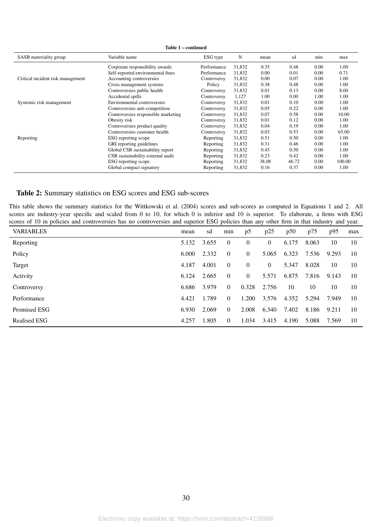| SASB materiality group            | Variable name                       | ESG type    | N      | mean  | sd    | min  | max    |
|-----------------------------------|-------------------------------------|-------------|--------|-------|-------|------|--------|
|                                   | Corporate responsibility awards     | Performance | 31,832 | 0.35  | 0.48  | 0.00 | 1.00   |
|                                   | Self-reported environmental fines   | Performance | 31,832 | 0.00  | 0.01  | 0.00 | 0.71   |
| Critical incident risk management | Accounting controversies            | Controversy | 31,832 | 0.00  | 0.07  | 0.00 | 1.00   |
|                                   | Crisis management systems           | Policy      | 31,832 | 0.38  | 0.48  | 0.00 | 1.00   |
|                                   | Controversies public health         | Controversy | 31,832 | 0.01  | 0.13  | 0.00 | 8.00   |
|                                   | Accidental spills                   | Controversy | 1,127  | 1.00  | 0.00  | 1.00 | 1.00   |
| Systemic risk management          | Environmental controversies         | Controversy | 31,832 | 0.01  | 0.10  | 0.00 | 1.00   |
|                                   | Controversies anti-competition      | Controversy | 31,832 | 0.05  | 0.22  | 0.00 | 1.00   |
|                                   | Controversies responsible marketing | Controversy | 31,832 | 0.07  | 0.58  | 0.00 | 10.00  |
|                                   | Obesity risk                        | Controversy | 31,832 | 0.01  | 0.12  | 0.00 | 1.00   |
|                                   | Controversies product quality       | Controversy | 31,832 | 0.04  | 0.19  | 0.00 | 1.00   |
|                                   | Controversies customer health       | Controversy | 31,832 | 0.03  | 0.53  | 0.00 | 65.00  |
| Reporting                         | ESG reporting scope                 | Reporting   | 31,832 | 0.51  | 0.50  | 0.00 | 1.00   |
|                                   | GRI reporting guidelines            | Reporting   | 31,832 | 0.31  | 0.46  | 0.00 | 1.00   |
|                                   | Global CSR sustainability report    | Reporting   | 31,832 | 0.45  | 0.50  | 0.00 | 1.00   |
|                                   | CSR sustainability external audit   | Reporting   | 31,832 | 0.23  | 0.42  | 0.00 | 1.00   |
|                                   | ESG reporting scope                 | Reporting   | 31,832 | 38.08 | 46.72 | 0.00 | 100.00 |
|                                   | Global compact signatory            | Reporting   | 31,832 | 0.16  | 0.37  | 0.00 | 1.00   |

#### <span id="page-29-0"></span>Table 2: Summary statistics on ESG scores and ESG sub-scores

This table shows the summary statistics for the [Wittkowski et al.](#page-26-6) [\(2004\)](#page-26-6) scores and sub-scores as computed in Equations [1](#page-10-0) and [2.](#page-10-1) All scores are industry-year specific and scaled from 0 to 10, for which 0 is inferior and 10 is superior. To elaborate, a firms with ESG scores of 10 in policies and controversies has no controversies and superior ESG policies than any other firm in that industry and year.

| <b>VARIABLES</b>    | mean  | sd    | min            | p5             | p25            | p50   | p75   | p95   | max |
|---------------------|-------|-------|----------------|----------------|----------------|-------|-------|-------|-----|
| Reporting           | 5.132 | 3.655 | $\overline{0}$ | $\overline{0}$ | $\theta$       | 6.175 | 8.063 | 10    | 10  |
| Policy              | 6.000 | 2.332 | $\overline{0}$ | $\overline{0}$ | 5.065          | 6.323 | 7.536 | 9.293 | 10  |
| Target              | 4.187 | 4.001 | $\overline{0}$ | $\overline{0}$ | $\overline{0}$ | 5.347 | 8.028 | 10    | 10  |
| Activity            | 6.124 | 2.665 | $\overline{0}$ | $\Omega$       | 5.571          | 6.875 | 7.816 | 9.143 | 10  |
| Controversy         | 6.686 | 3.979 | $\overline{0}$ | 0.328          | 2.756          | 10    | 10    | 10    | 10  |
| Performance         | 4.421 | 1.789 | $\Omega$       | 1.200          | 3.576          | 4.352 | 5.294 | 7.949 | 10  |
| Promised ESG        | 6.930 | 2.069 | $\overline{0}$ | 2.008          | 6.340          | 7.402 | 8.186 | 9.211 | 10  |
| <b>Realised ESG</b> | 4.257 | 1.805 | $\theta$       | 1.034          | 3.415          | 4.190 | 5.088 | 7.569 | 10  |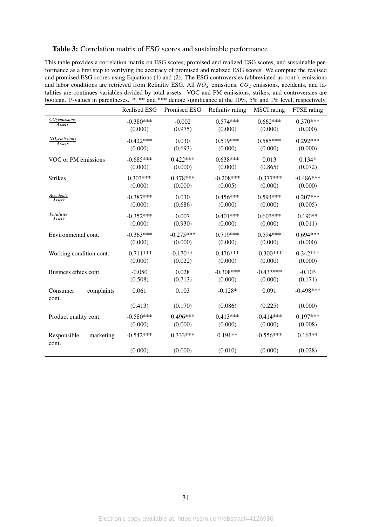#### <span id="page-30-0"></span>Table 3: Correlation matrix of ESG scores and sustainable performance

This table provides a correlation matrix on ESG scores, promised and realized ESG scores, and sustainable performance as a first step to verifying the accuracy of promised and realized ESG scores. We compute the realised and promised ESG scores using Equations [\(1\)](#page-10-0) and [\(2\)](#page-10-1). The ESG controversies (abbreviated as cont.), emissions and labor conditions are retrieved from Refinitiv ESG. All *NO<sub>X</sub>* emissions, *CO*<sub>2</sub> emissions, accidents, and fatalities are continues variables divided by total assets. VOC and PM emissions, strikes, and controversies are boolean. P-values in parentheses. \*, \*\* and \*\*\* denote significance at the 10%, 5% and 1% level, respectively.

|                                     | <b>Realised ESG</b> | Promised ESG | Refinitiv rating | <b>MSCI</b> rating | FTSE rating |
|-------------------------------------|---------------------|--------------|------------------|--------------------|-------------|
| CO <sub>2</sub> emissions<br>Assets | $-0.380***$         | $-0.002$     | $0.574***$       | $0.662***$         | $0.370***$  |
|                                     | (0.000)             | (0.975)      | (0.000)          | (0.000)            | (0.000)     |
| NO <sub>x</sub> emissions<br>Assets | $-0.422***$         | 0.030        | $0.519***$       | $0.585***$         | $0.292***$  |
|                                     | (0.000)             | (0.693)      | (0.000)          | (0.000)            | (0.000)     |
| VOC or PM emissions                 | $-0.685***$         | $0.422***$   | $0.638***$       | 0.013              | $0.134*$    |
|                                     | (0.000)             | (0.000)      | (0.000)          | (0.865)            | (0.072)     |
| <b>Strikes</b>                      | $0.303***$          | $0.478***$   | $-0.208***$      | $-0.377***$        | $-0.486***$ |
|                                     | (0.000)             | (0.000)      | (0.005)          | (0.000)            | (0.000)     |
| Accidents<br><b>Assets</b>          | $-0.387***$         | 0.030        | $0.456***$       | $0.594***$         | $0.207***$  |
|                                     | (0.000)             | (0.686)      | (0.000)          | (0.000)            | (0.005)     |
| Fatalities<br><b>Assets</b>         | $-0.352***$         | 0.007        | $0.401***$       | $0.603***$         | $0.190**$   |
|                                     | (0.000)             | (0.930)      | (0.000)          | (0.000)            | (0.011)     |
| Environmental cont.                 | $-0.363***$         | $-0.275***$  | $0.719***$       | $0.594***$         | $0.694***$  |
|                                     | (0.000)             | (0.000)      | (0.000)          | (0.000)            | (0.000)     |
| Working condition cont.             | $-0.711***$         | $0.170**$    | $0.476***$       | $-0.300***$        | $0.342***$  |
|                                     | (0.000)             | (0.022)      | (0.000)          | (0.000)            | (0.000)     |
| Business ethics cont.               | $-0.050$            | 0.028        | $-0.308***$      | $-0.433***$        | $-0.103$    |
|                                     | (0.508)             | (0.713)      | (0.000)          | (0.000)            | (0.171)     |
| complaints<br>Consumer<br>cont.     | 0.061               | 0.103        | $-0.128*$        | 0.091              | $-0.498***$ |
|                                     | (0.413)             | (0.170)      | (0.086)          | (0.225)            | (0.000)     |
| Product quality cont.               | $-0.580***$         | $0.496***$   | $0.413***$       | $-0.414***$        | $0.197***$  |
|                                     | (0.000)             | (0.000)      | (0.000)          | (0.000)            | (0.008)     |
| marketing<br>Responsible<br>cont.   | $-0.542***$         | $0.333***$   | $0.191**$        | $-0.556***$        | $0.163**$   |
|                                     | (0.000)             | (0.000)      | (0.010)          | (0.000)            | (0.028)     |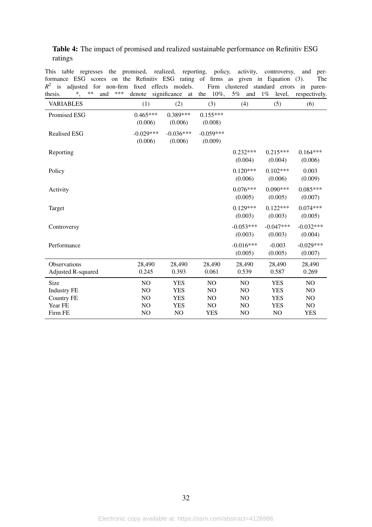<span id="page-31-0"></span>

|         | <b>Table 4:</b> The impact of promised and realized sustainable performance on Refinitiv ESG |  |
|---------|----------------------------------------------------------------------------------------------|--|
| ratings |                                                                                              |  |

This table regresses the promised, realized, reporting, policy, activity, controversy, and performance ESG scores on the Refinitiv ESG rating of firms as given in Equation [\(3\)](#page-11-0). The  $R<sup>2</sup>$  is adjusted for non-firm fixed effects models. Firm clustered standard errors in parenthesis. \*, \*\* and \*\*\* denote significance at the 10%, 5% and 1% level, respectively.

| $^*,$<br>thesis.                          | ** | and | *** | denote                 | significance           | at | the | $10\%$ ,               | 5% | and                    | $1\%$ | level,                 | respectively.          |
|-------------------------------------------|----|-----|-----|------------------------|------------------------|----|-----|------------------------|----|------------------------|-------|------------------------|------------------------|
| <b>VARIABLES</b>                          |    |     |     | (1)                    | (2)                    |    |     | (3)                    |    | (4)                    |       | (5)                    | (6)                    |
| Promised ESG                              |    |     |     | $0.465***$<br>(0.006)  | $0.389***$<br>(0.006)  |    |     | $0.155***$<br>(0.008)  |    |                        |       |                        |                        |
| <b>Realised ESG</b>                       |    |     |     | $-0.029***$<br>(0.006) | $-0.036***$<br>(0.006) |    |     | $-0.059***$<br>(0.009) |    |                        |       |                        |                        |
| Reporting                                 |    |     |     |                        |                        |    |     |                        |    | $0.232***$<br>(0.004)  |       | $0.215***$<br>(0.004)  | $0.164***$<br>(0.006)  |
| Policy                                    |    |     |     |                        |                        |    |     |                        |    | $0.120***$<br>(0.006)  |       | $0.102***$<br>(0.006)  | 0.003<br>(0.009)       |
| Activity                                  |    |     |     |                        |                        |    |     |                        |    | $0.076***$<br>(0.005)  |       | $0.090***$<br>(0.005)  | $0.085***$<br>(0.007)  |
| Target                                    |    |     |     |                        |                        |    |     |                        |    | $0.129***$<br>(0.003)  |       | $0.122***$<br>(0.003)  | $0.074***$<br>(0.005)  |
| Controversy                               |    |     |     |                        |                        |    |     |                        |    | $-0.053***$<br>(0.003) |       | $-0.047***$<br>(0.003) | $-0.032***$<br>(0.004) |
| Performance                               |    |     |     |                        |                        |    |     |                        |    | $-0.016***$<br>(0.005) |       | $-0.003$<br>(0.005)    | $-0.029***$<br>(0.007) |
| Observations<br><b>Adjusted R-squared</b> |    |     |     | 28,490<br>0.245        | 28,490<br>0.393        |    |     | 28,490<br>0.061        |    | 28,490<br>0.539        |       | 28,490<br>0.587        | 28,490<br>0.269        |
| Size                                      |    |     |     | NO                     | <b>YES</b>             |    |     | N <sub>O</sub>         |    | NO                     |       | <b>YES</b>             | NO                     |
| <b>Industry FE</b>                        |    |     |     | NO                     | <b>YES</b>             |    |     | N <sub>O</sub>         |    | NO                     |       | <b>YES</b>             | NO                     |
| <b>Country FE</b>                         |    |     |     | NO.                    | <b>YES</b>             |    |     | N <sub>O</sub>         |    | NO                     |       | <b>YES</b>             | NO                     |
| Year FE                                   |    |     |     | NO                     | <b>YES</b>             |    |     | NO                     |    | NO                     |       | <b>YES</b>             | NO                     |
| Firm FE                                   |    |     |     | N <sub>O</sub>         | NO                     |    |     | <b>YES</b>             |    | NO                     |       | NO                     | <b>YES</b>             |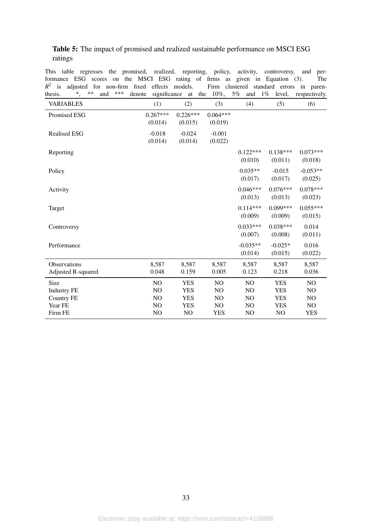#### <span id="page-32-0"></span>Table 5: The impact of promised and realized sustainable performance on MSCI ESG ratings

This table regresses the promised, realized, reporting, policy, activity, controversy, and performance ESG scores on the MSCI ESG rating of firms as given in Equation [\(3\)](#page-11-0). The  $R<sup>2</sup>$  is adjusted for non-firm fixed effects models. Firm clustered standard errors in paren-

| $^*,$<br>**<br>***<br>thesis.<br>and | significance<br>denote | at                    | 10%,<br>the           | 5%<br>and             | $1\%$<br>level,       | respectively.         |
|--------------------------------------|------------------------|-----------------------|-----------------------|-----------------------|-----------------------|-----------------------|
| <b>VARIABLES</b>                     | (1)                    | (2)                   | (3)                   | (4)                   | (5)                   | (6)                   |
| Promised ESG                         | $0.267***$<br>(0.014)  | $0.226***$<br>(0.015) | $0.064***$<br>(0.019) |                       |                       |                       |
| <b>Realised ESG</b>                  | $-0.018$<br>(0.014)    | $-0.024$<br>(0.014)   | $-0.001$<br>(0.022)   |                       |                       |                       |
| Reporting                            |                        |                       |                       | $0.122***$<br>(0.010) | $0.138***$<br>(0.011) | $0.073***$<br>(0.018) |
| Policy                               |                        |                       |                       | $0.035**$<br>(0.017)  | $-0.015$<br>(0.017)   | $-0.053**$<br>(0.025) |
| Activity                             |                        |                       |                       | $0.046***$<br>(0.013) | $0.076***$<br>(0.013) | $0.078***$<br>(0.023) |
| Target                               |                        |                       |                       | $0.114***$<br>(0.009) | $0.099***$<br>(0.009) | $0.055***$<br>(0.015) |
| Controversy                          |                        |                       |                       | $0.033***$<br>(0.007) | $0.038***$<br>(0.008) | 0.014<br>(0.011)      |
| Performance                          |                        |                       |                       | $-0.035**$<br>(0.014) | $-0.025*$<br>(0.015)  | 0.016<br>(0.022)      |
| Observations<br>Adjusted R-squared   | 8,587<br>0.048         | 8,587<br>0.159        | 8,587<br>0.005        | 8,587<br>0.123        | 8,587<br>0.218        | 8,587<br>0.036        |
| Size                                 | NO                     | <b>YES</b>            | NO                    | NO                    | <b>YES</b>            | NO                    |
| <b>Industry FE</b>                   | NO                     | <b>YES</b>            | N <sub>O</sub>        | NO                    | <b>YES</b>            | N <sub>O</sub>        |
| <b>Country FE</b>                    | NO                     | <b>YES</b>            | NO                    | NO                    | <b>YES</b>            | N <sub>O</sub>        |
| Year FE                              | NO                     | <b>YES</b>            | NO                    | NO                    | YES                   | NO                    |
| Firm FE                              | NO                     | NO                    | <b>YES</b>            | NO                    | NO                    | <b>YES</b>            |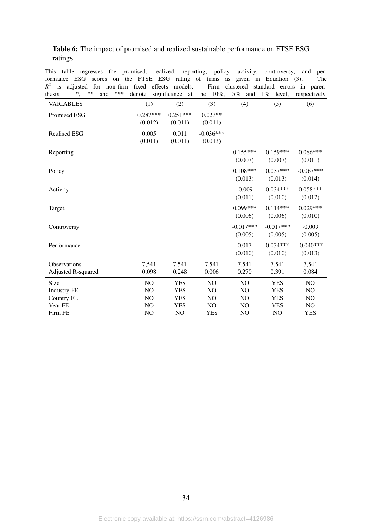#### <span id="page-33-0"></span>Table 6: The impact of promised and realized sustainable performance on FTSE ESG ratings

This table regresses the promised, realized, reporting, policy, activity, controversy, and performance ESG scores on the FTSE ESG rating of firms as given in Equation [\(3\)](#page-11-0). The  $R<sup>2</sup>$  is adjusted for non-firm fixed effects models. Firm clustered standard errors in paren-

| thesis.                                   | $\ddot{\hspace{0.5em}},$ | $**$ | and | *** | denote                | significance          | at | the | $10\%$ ,               | 5% | and                    | $1\%$ | level,                 | respectively.          |
|-------------------------------------------|--------------------------|------|-----|-----|-----------------------|-----------------------|----|-----|------------------------|----|------------------------|-------|------------------------|------------------------|
| <b>VARIABLES</b>                          |                          |      |     |     | (1)                   | (2)                   |    |     | (3)                    |    | (4)                    |       | (5)                    | (6)                    |
| Promised ESG                              |                          |      |     |     | $0.287***$<br>(0.012) | $0.251***$<br>(0.011) |    |     | $0.023**$<br>(0.011)   |    |                        |       |                        |                        |
| <b>Realised ESG</b>                       |                          |      |     |     | 0.005<br>(0.011)      | 0.011<br>(0.011)      |    |     | $-0.036***$<br>(0.013) |    |                        |       |                        |                        |
| Reporting                                 |                          |      |     |     |                       |                       |    |     |                        |    | $0.155***$<br>(0.007)  |       | $0.159***$<br>(0.007)  | $0.086***$<br>(0.011)  |
| Policy                                    |                          |      |     |     |                       |                       |    |     |                        |    | $0.108***$<br>(0.013)  |       | $0.037***$<br>(0.013)  | $-0.067***$<br>(0.014) |
| Activity                                  |                          |      |     |     |                       |                       |    |     |                        |    | $-0.009$<br>(0.011)    |       | $0.034***$<br>(0.010)  | $0.058***$<br>(0.012)  |
| Target                                    |                          |      |     |     |                       |                       |    |     |                        |    | $0.099***$<br>(0.006)  |       | $0.114***$<br>(0.006)  | $0.029***$<br>(0.010)  |
| Controversy                               |                          |      |     |     |                       |                       |    |     |                        |    | $-0.017***$<br>(0.005) |       | $-0.017***$<br>(0.005) | $-0.009$<br>(0.005)    |
| Performance                               |                          |      |     |     |                       |                       |    |     |                        |    | 0.017<br>(0.010)       |       | $0.034***$<br>(0.010)  | $-0.040***$<br>(0.013) |
| Observations<br><b>Adjusted R-squared</b> |                          |      |     |     | 7,541<br>0.098        | 7,541<br>0.248        |    |     | 7,541<br>0.006         |    | 7,541<br>0.270         |       | 7,541<br>0.391         | 7,541<br>0.084         |
| Size                                      |                          |      |     |     | NO                    | <b>YES</b>            |    |     | N <sub>O</sub>         |    | N <sub>O</sub>         |       | <b>YES</b>             | N <sub>O</sub>         |
| <b>Industry FE</b>                        |                          |      |     |     | NO                    | <b>YES</b>            |    |     | NO                     |    | NO                     |       | <b>YES</b>             | NO                     |
| <b>Country FE</b>                         |                          |      |     |     | NO                    | <b>YES</b>            |    |     | NO                     |    | NO.                    |       | <b>YES</b>             | NO                     |
| Year FE                                   |                          |      |     |     | NO                    | <b>YES</b>            |    |     | NO                     |    | N <sub>O</sub>         |       | <b>YES</b>             | NO                     |
| Firm FE                                   |                          |      |     |     | NO                    | NO                    |    |     | <b>YES</b>             |    | NO                     |       | N <sub>O</sub>         | <b>YES</b>             |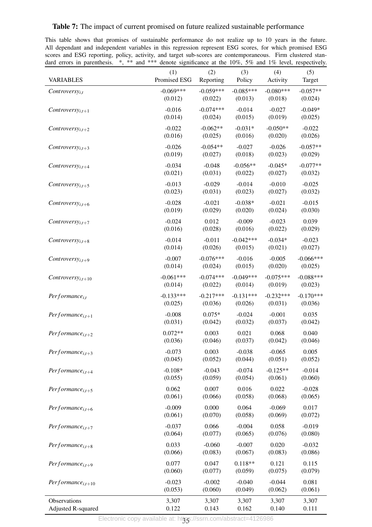#### <span id="page-34-0"></span>Table 7: The impact of current promised on future realized sustainable performance

This table shows that promises of sustainable performance do not realize up to 10 years in the future. All dependant and independent variables in this regression represent ESG scores, for which promised ESG scores and ESG reporting, policy, activity, and target sub-scores are contemporaneous. Firm clustered standard errors in parenthesis.  $*$ ,  $*$  and  $**$  denote significance at the 10%, 5% and 1% level, respectively.

| <b>VARIABLES</b>              | (1)          | (2)         | (3)         | (4)         | (5)         |
|-------------------------------|--------------|-------------|-------------|-------------|-------------|
|                               | Promised ESG | Reporting   | Policy      | Activity    | Target      |
| $Controversy_{i,t}$           | $-0.069***$  | $-0.059***$ | $-0.085***$ | $-0.080***$ | $-0.057**$  |
|                               | (0.012)      | (0.022)     | (0.013)     | (0.018)     | (0.024)     |
| Controversy <sub>i,t+1</sub>  | $-0.016$     | $-0.074***$ | $-0.014$    | $-0.027$    | $-0.049*$   |
|                               | (0.014)      | (0.024)     | (0.015)     | (0.019)     | (0.025)     |
| Controversy <sub>i,t+2</sub>  | $-0.022$     | $-0.062**$  | $-0.031*$   | $-0.050**$  | $-0.022$    |
|                               | (0.016)      | (0.025)     | (0.016)     | (0.020)     | (0.026)     |
| Controvers $y_{i,t+3}$        | $-0.026$     | $-0.054**$  | $-0.027$    | $-0.026$    | $-0.057**$  |
|                               | (0.019)      | (0.027)     | (0.018)     | (0.023)     | (0.029)     |
| Controversy <sub>i,t+4</sub>  | $-0.034$     | $-0.048$    | $-0.056**$  | $-0.045*$   | $-0.077**$  |
|                               | (0.021)      | (0.031)     | (0.022)     | (0.027)     | (0.032)     |
| Controversy <sub>i,t+5</sub>  | $-0.013$     | $-0.029$    | $-0.014$    | $-0.010$    | $-0.025$    |
|                               | (0.023)      | (0.031)     | (0.023)     | (0.027)     | (0.032)     |
| Controversy <sub>i,t+6</sub>  | $-0.028$     | $-0.021$    | $-0.038*$   | $-0.021$    | $-0.015$    |
|                               | (0.019)      | (0.029)     | (0.020)     | (0.024)     | (0.030)     |
| Controversy <sub>i,t+7</sub>  | $-0.024$     | 0.012       | $-0.009$    | $-0.023$    | 0.039       |
|                               | (0.016)      | (0.028)     | (0.016)     | (0.022)     | (0.029)     |
| Controversy <sub>i,t+8</sub>  | $-0.014$     | $-0.011$    | $-0.042***$ | $-0.034*$   | $-0.023$    |
|                               | (0.014)      | (0.026)     | (0.015)     | (0.021)     | (0.027)     |
| Controversy <sub>i,t+9</sub>  | $-0.007$     | $-0.076***$ | $-0.016$    | $-0.005$    | $-0.066***$ |
|                               | (0.014)      | (0.024)     | (0.015)     | (0.020)     | (0.025)     |
| Controversy <sub>i,t+10</sub> | $-0.061***$  | $-0.074***$ | $-0.049***$ | $-0.075***$ | $-0.088***$ |
|                               | (0.014)      | (0.022)     | (0.014)     | (0.019)     | (0.023)     |
| $Performance_{i,t}$           | $-0.133***$  | $-0.217***$ | $-0.131***$ | $-0.232***$ | $-0.170***$ |
|                               | (0.025)      | (0.036)     | (0.026)     | (0.031)     | (0.036)     |
| Performance <sub>i.t+1</sub>  | $-0.008$     | $0.075*$    | $-0.024$    | $-0.001$    | 0.035       |
|                               | (0.031)      | (0.042)     | (0.032)     | (0.037)     | (0.042)     |
| Performance <sub>i.t+2</sub>  | $0.072**$    | 0.003       | 0.021       | 0.068       | 0.040       |
|                               | (0.036)      | (0.046)     | (0.037)     | (0.042)     | (0.046)     |
| $Performance_{i,t+3}$         | $-0.073$     | 0.003       | $-0.038$    | $-0.065$    | 0.005       |
|                               | (0.045)      | (0.052)     | (0.044)     | (0.051)     | (0.052)     |
| $Performance_{i,t+4}$         | $-0.108*$    | $-0.043$    | $-0.074$    | $-0.125**$  | $-0.014$    |
|                               | (0.055)      | (0.059)     | (0.054)     | (0.061)     | (0.060)     |
| $Performance_{i,t+5}$         | 0.062        | 0.007       | 0.016       | 0.022       | $-0.028$    |
|                               | (0.061)      | (0.066)     | (0.058)     | (0.068)     | (0.065)     |
| $Performance_{i,t+6}$         | $-0.009$     | 0.000       | 0.064       | $-0.069$    | 0.017       |
|                               | (0.061)      | (0.070)     | (0.058)     | (0.069)     | (0.072)     |
| Performance <sub>i.t+7</sub>  | $-0.037$     | 0.066       | $-0.004$    | 0.058       | $-0.019$    |
|                               | (0.064)      | (0.077)     | (0.065)     | (0.076)     | (0.080)     |
| Performance <sub>i.t+8</sub>  | 0.033        | $-0.060$    | $-0.007$    | 0.020       | $-0.032$    |
|                               | (0.066)      | (0.083)     | (0.067)     | (0.083)     | (0.086)     |
| $Performance_{i,t+9}$         | 0.077        | 0.047       | $0.118**$   | 0.121       | 0.115       |
|                               | (0.060)      | (0.077)     | (0.059)     | (0.075)     | (0.079)     |
| $Performance_{i,t+10}$        | $-0.023$     | $-0.002$    | $-0.040$    | $-0.044$    | 0.081       |
|                               | (0.053)      | (0.060)     | (0.049)     | (0.062)     | (0.061)     |
| Observations                  | 3,307        | 3,307       | 3,307       | 3,307       | 3,307       |
| <b>Adjusted R-squared</b>     | 0.122        | 0.143       | 0.162       | 0.140       | 0.111       |

35 Electronic copy available at: https://ssrn.com/abstract=4126986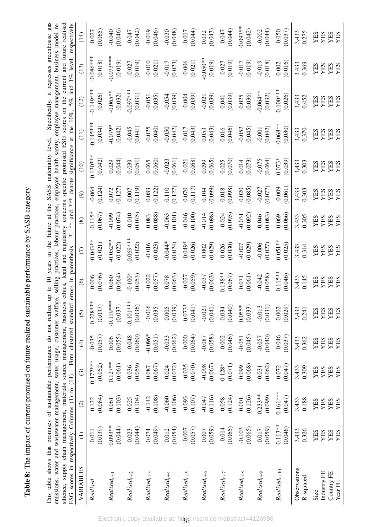| $\frac{1}{\zeta}$        |
|--------------------------|
|                          |
|                          |
|                          |
|                          |
|                          |
|                          |
| ı                        |
|                          |
|                          |
|                          |
| ていこく                     |
| $\frac{1}{2}$            |
| $\overline{\phantom{a}}$ |
|                          |
|                          |
|                          |
|                          |
|                          |
| こうこうこう なん てんこうそく         |
|                          |
| l                        |
|                          |
|                          |
|                          |
|                          |
|                          |
|                          |
| $\vdots$                 |
|                          |
|                          |
| Ć                        |
| l                        |

<span id="page-35-0"></span>Specifically, it regresses greenhouse gas emissions, water and wastewater management, water usage, customer welfare, selling practices, labour practices, employee health safety, employee management, business model re-<br>silience, supply chain management, materials s This table shows that promises of sustainable performance do not realize up to 10 years in the future at the SASB materiality level. Specifically, it regresses greenhouse gas emissions, water and wastewater management, water usage, customer welfare, selling practices, labour practices, employee health safety, employee management, business model resilience, supply chain management, materials source management, business ethics, legal and regulatory concerns specific promised ESG scores on the current and future realised This table shows that promises of sustainable performance do not realize up to 10 years in the future at the SASB materiality level.

| respectively                                                                                                                         | (14)                                   | (0.065)<br>$-0.027$     | $-0.040$<br>(0.046)     | $-0.047$<br>(0.042)    | $-0.019$<br>$(0.046)$                         | (60.010)                                        | $-0.017$<br>(0.044)   | $\begin{array}{c} 0.032 \\ 0.043 \end{array}$   | (0.044)                                         | $-0.097**$<br>(0.042)                           | (0.044)<br>$-0.002$   | $-0.050$<br>(0.037)    | 3,433<br>0.275            | <b>YES<br/>YES<br/>YES</b>                   |
|--------------------------------------------------------------------------------------------------------------------------------------|----------------------------------------|-------------------------|-------------------------|------------------------|-----------------------------------------------|-------------------------------------------------|-----------------------|-------------------------------------------------|-------------------------------------------------|-------------------------------------------------|-----------------------|------------------------|---------------------------|----------------------------------------------|
| $1\%$ level                                                                                                                          | (13)                                   | $0.086**$<br>(0.018)    | $-0.073**$<br>(0.019)   | $-0.027$<br>(0.019)    | $-0.010$<br>$(0.021)$                         | $-0.017$<br>$(0.023)$                           | $-0.006$<br>$(0.021)$ | $-0.050**$<br>(0.019)                           | $-0.027$<br>(0.019)                             | $(610.0 - 0.017)$                               | $-0.019$<br>(0.018)   | (0.016)<br>0.002       | 3,433<br>0.369            | <b>XES<br/>XES<br/>XES</b>                   |
| and<br>10%, 5%                                                                                                                       | (12)                                   | $0.149**$<br>(0.026)    | $-0.065**$<br>(0.032)   | $-0.097***$<br>(0.031) | $-0.051$<br>(0.035)                           | $-0.054$<br>(0.039)                             | $-0.004$<br>(0.039)   | $-0.021$<br>(0.039)                             | $(0.041)$<br>(0.039)                            | $\begin{array}{c} 0.025 \\ (0.036) \end{array}$ | $-0.064**$<br>(0.032) | $0.100***$<br>(0.026)  | 3,433<br>0.452            | <b>YES<br/>YES<br/>YES</b>                   |
| at the                                                                                                                               | $\begin{pmatrix} 1 \\ 2 \end{pmatrix}$ | $0.145***$<br>(0.034)   | $-0.079*$<br>(0.042)    | $-0.045$<br>(0.041)    | $-0.025$<br>(0.040)                           | $-0.050$<br>(0.042)                             | (60.017)              | $\begin{array}{c} 0.053 \\ (0.043) \end{array}$ | $0.016$<br>$(0.046)$                            | $-0.052$<br>(0.045)                             | $-0.001$<br>$(0.042)$ | $0.068**$<br>(0.030)   | 3,433<br>0.370            | <b>XES<br/>XES<br/>XES</b>                   |
| significance                                                                                                                         | (10)                                   | $0.130**$<br>(0.042)    | (0.029)                 | (0.039)                | $\frac{0.065}{(0.060)}$                       | $-0.023$<br>(0.061)                             | $-0.021$<br>(0.068)   | (0.099)                                         | $\frac{0.025}{(0.070)}$                         | $\frac{0.014}{(0.073)}$                         | $-0.075$<br>$(0.064)$ | (0.039)<br>$0.073*$    | 3,433<br>0.303            | <b>XES<br/>XES<br/>XES</b>                   |
| *** denote                                                                                                                           | $\circledcirc$                         | (0.124)<br>$-0.064$     | $\frac{0.072}{(0.127)}$ | (0.119)                | $\begin{array}{c} 0.083 \\ 0.122 \end{array}$ | $\frac{0.110}{(0.127)}$                         | (0.117)               | $0.104$<br>$(0.099)$                            | $\begin{array}{c} 0.018 \\ (0.098) \end{array}$ | (0.020)                                         | $-0.027$<br>(0.077)   | (0.061)<br>$-0.009$    | 3,433<br>0.303            | <b>YES<br/>YES<br/>YES</b>                   |
| and<br>$\frac{*}{*}$                                                                                                                 | $\circledast$                          | (0.067)<br>$-0.115$     | (0.074)<br>$-0.099$     | (0.075)<br>$-0.010$    | (0.088)<br>0.083                              | $-0.063$<br>(0.101)                             | $-0.046$<br>(0.100)   | $-0.014$<br>(0.098)                             | (0.095)<br>$-0.024$                             | (0.092)<br>$-0.031$                             | (0.083)<br>0.046      | (0.066)<br>0.069       | 3,433<br>0.305            | YES<br><b>ESS<br/>NESS</b>                   |
| $\ast$<br>parenthesis.                                                                                                               | $\in$                                  | $-0.043**$<br>(0.021)   | $-0.052**$<br>(0.022)   | $-0.069***$<br>(0.022) | $-0.016$<br>$(0.023)$                         | $-0.044*$<br>(0.024)                            | $-0.049*$<br>(0.026)  | (0.002)                                         | $0.026$<br>$(0.030)$                            | $-0.027$<br>(0.029)                             | $-0.006$<br>(0.027)   | $-0.051**$<br>(0.025)  | 3,433<br>0.314            | YES<br><b>XHS<br/>XHS</b>                    |
| errors in                                                                                                                            | $\circledcirc$                         | $\frac{0.006}{(0.076)}$ | (0.060)                 | $-0.100*$<br>(0.053)   | $-0.022$<br>(0.057)                           | $\begin{array}{c} 0.078 \\ (0.063) \end{array}$ | $-0.027$<br>(0.059)   | $-0.037$<br>(0.063)                             | $0.138**$<br>(0.067)                            | $(0.071$<br>(0.061)                             | $-0.042$<br>(0.058)   | $-0.115**$<br>(0.046)  | 3,433<br>0.145            | <b>YES<br/>YES<br/>YES</b>                   |
| standard<br><b>CATTERS</b>                                                                                                           | $\odot$                                | $0.228***$<br>(0.037)   | $-0.119***$<br>(0.037)  | $-0.101***$<br>(0.036) | (0.035)<br>$-0.016$                           | (0.039)<br>0.005                                | $-0.073*$<br>(0.041)  | (0.041)<br>$-0.021$                             | (0.040)<br>0.034                                | (0.033)<br>$0.055*$                             | (0.031)<br>$-0.013$   | (0.029)<br>0.002       | 3,433<br>0.241            | YES<br>YES<br>YES<br>YES                     |
| Firm clustered                                                                                                                       | $\widehat{f}$                          | (0.057)<br>$-0.035$     | (0.055)<br>0.006        | (0.060)<br>$-0.048$    | $-0.096*$<br>(0.051)                          | (0.062)<br>$-0.033$                             | (0.064)<br>$-0.000$   | (0.058)<br>$-0.087$                             | (0.046)<br>$-0.002$                             | (0.045)<br>$-0.051$                             | (0.040)<br>$-0.057$   | (0.037)<br>$-0.046$    | 3,433<br>0.362            | YES<br>YES<br>YES<br>YES                     |
| ž                                                                                                                                    | $\odot$                                | $0.172***$<br>(0.052)   | $0.127***$<br>(0.061)   | (0.059)<br>0.036       | (0.067)<br>0.087                              | (0.072)<br>0.024                                | (0.070)<br>$-0.035$   | (0.067)<br>$-0.098$                             | (0.071)<br>$0.128*$                             | (0.068)<br>0.099                                | (0.062)<br>0.031      | (0.047)<br>0.072       | 3,433<br>0.309            | <b>YES<br/>YES</b><br>YES<br>YES             |
| $\begin{array}{c} \begin{array}{c} \begin{array}{c} \begin{array}{c} \end{array} \\ \end{array} \end{array} \end{array} \end{array}$ | $\widehat{c}$                          | (0.084)<br>0.122        | (0.103)<br>0.061        | (0.104)<br>0.025       | (0.108)<br>$-0.142$                           | (0.106)<br>$-0.060$                             | (0.107)<br>$-0.093$   | (0.116)<br>$-0.047$                             | (0.124)<br>0.058                                | (0.126)<br>0.001                                | $0.233**$<br>(0.099)  | $-0.161***$<br>(0.047) | 3,433<br>0.188            | YES<br>YES<br>YES<br>YES                     |
| $m_{\rm S}$ and $n_{\rm H}$                                                                                                          | $\widehat{\Xi}$                        | (0.039)<br>0.011        | $0.093**$<br>(0.044)    | (0.044)<br>0.023       | (0.049)<br>0.074                              | (0.054)<br>0.012                                | (0.057)<br>$-0.007$   | (0.059)<br>$0.007$                              | $-0.014$<br>(0.065)                             | $-0.103$<br>(0.065)                             | (0.059)<br>0.017      | $-0.113**$<br>(0.046)  | 3,433<br>0.326            | YES<br>YES<br>YES<br>YES                     |
| ESG scores in respectively Columns (1) to (14).<br>,,,,,,,,,,<br>$\sim$ , $\sim$                                                     | VARIABLES                              | Realised                | $Realised_{t+1}$        | $Realised_{t+2}$       | $Realised_{t+3}$                              | $Realised_{t+4}$                                | $Realised_{t+5}$      | $Realised_{t+6}$                                | $Realised_{t+7}$                                | $Realised_{t+8}$                                | $Realised_{t+9}$      | $Realised_{t+10}$      | Observations<br>R-squared | Industry FE<br>Country FE<br>Year FE<br>Size |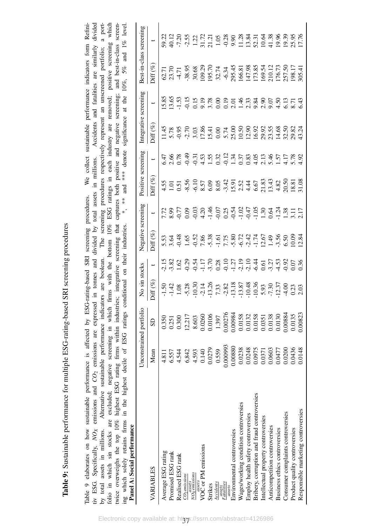Table 9: Sustainable performance for multiple ESG-rating-based SRI screening procedures Table 9: Sustainable performance for multiple ESG-rating-based SRI screening procedures

<span id="page-36-0"></span>tiv ESG. Specifically,  $NO_X$  emissions and  $CO_2$  emissions are expressed in tonnes and divided by total assets in millions. Accidents and fatalities are similarly divided by total assets in millions. Alternative sustainable performance indicators are boolean. The screening procedures respectively represent an unscreened portfolio; a portfolio in which sin stocks are excluded; negative screening in which firms with the bottom 10% ESG ratings in each industry are removed; positive screening which twice overweighs the top 10% highest ESG rating firms within industries; integrative screening that captures both positive and negative screening; and best-in-class screen-We collect sustainable performance indicators form Refini-\*, \*\* and \*\*\* denote significance at the  $10\%$ ,  $5\%$  and  $1\%$  level. Table [9](#page-36-0) elaborates on how sustainable performance is affected by ESG-rating-based SRI screening procedures. We collect sustainable performance indicators form Refinitiv ESG. Specifically, *NOX* emissions and *CO*2 emissions are expressed in tonnes and divided by total assets in millions. Accidents and fatalities are similarly divided by total assets in millions. Alternative sustainable performance indicators are boolean. The screening procedures respectively represent an unscreened portfolio; a portfolio in which sin stocks are excluded; negative screening in which firms with the bottom 10% ESG ratings in each industry are removed; positive screening which twice overweighs the top 10% highest ESG rating firms within industries; integrative screening that captures both positive and negative screening; and best-in-class screening which solely retains firms in the highest decile of ESG ratings conditional on their industries. \*, \*\* and \*\*\* denote significance at the 10%, 5% and 1% level. Table 9 elaborates on how sustainable performance is affected by ESG-rating-based SRI screening procedures. ing which solely retains firms in the highest decile of ESG ratings conditional on their industries.<br>Panel A: Social performance Panel A: Social performance

| Tanci Go Social berton mance                  |          |                         |                                                                                                                                                                                                                                                                                 |                    |                                                                                                                                                                                                                               |                          |                                                                                                                                                                                                                               |                                |                                                                                                                                                |
|-----------------------------------------------|----------|-------------------------|---------------------------------------------------------------------------------------------------------------------------------------------------------------------------------------------------------------------------------------------------------------------------------|--------------------|-------------------------------------------------------------------------------------------------------------------------------------------------------------------------------------------------------------------------------|--------------------------|-------------------------------------------------------------------------------------------------------------------------------------------------------------------------------------------------------------------------------|--------------------------------|------------------------------------------------------------------------------------------------------------------------------------------------|
|                                               |          | Unconstrained portfolio | No sin stocks                                                                                                                                                                                                                                                                   | legative screening | ositive screening                                                                                                                                                                                                             |                          | ntegrative screening                                                                                                                                                                                                          |                                | 3est-in-class screening                                                                                                                        |
| VARIABLES                                     | Mean     | $\overline{\text{S}}$   |                                                                                                                                                                                                                                                                                 | $\inf(\%)$         | $\mathop{\rm aff}\nolimits\left( \mathscr{G}_{\ell}\right)$                                                                                                                                                                   | $\overline{\phantom{0}}$ |                                                                                                                                                                                                                               | $\mathrm{diff}\left(\%\right)$ |                                                                                                                                                |
| Average ESG rating                            | 4.811    | 0.350                   |                                                                                                                                                                                                                                                                                 |                    |                                                                                                                                                                                                                               |                          |                                                                                                                                                                                                                               |                                | $2220$<br>$2520$ $2520$ $2520$ $2520$ $2520$ $2520$ $2520$ $2520$ $2520$ $2520$ $2520$ $2520$ $2520$ $2520$ $2520$ $2520$ $2520$ $2520$ $2520$ |
| Promised ESG rank                             | 6.557    | 0.251                   |                                                                                                                                                                                                                                                                                 |                    |                                                                                                                                                                                                                               |                          |                                                                                                                                                                                                                               |                                |                                                                                                                                                |
| Realised ESG rank                             | 4.544    | 0.300                   |                                                                                                                                                                                                                                                                                 |                    |                                                                                                                                                                                                                               |                          |                                                                                                                                                                                                                               |                                |                                                                                                                                                |
| CO <sub>2</sub> emissions                     | 6,842    | 12,217                  | $\begin{array}{cccccc}\n1.50 & 0.30 & 0.30 & 0.30 & 0.30 & 0.30 & 0.30 & 0.30 & 0.30 & 0.30 & 0.30 & 0.30 & 0.30 & 0.30 & 0.30 & 0.30 & 0.30 & 0.30 & 0.30 & 0.30 & 0.30 & 0.30 & 0.30 & 0.30 & 0.30 & 0.30 & 0.30 & 0.30 & 0.30 & 0.30 & 0.30 & 0.30 & 0.30 & 0.30 & 0.30 & 0$ |                    | 4.5.5 % 9.6 % 9.9 % 4.5 % 4.6 % 4.8 % 6.8 % 4.6 % 4.6 % 9.8 % 6.8 % 4.6 % 9.8 % 6.8 % 6.8 % 6.8 % 6.8 % 6.8 % 6.8 % 6.8 % 6.8 % 6.8 % 6.8 % 6.8 % 6.8 % 6.8 % 6.8 % 6.8 % 6.8 % 6.8 % 6.8 % 6.8 % 6.8 % 6.8 % 6.8 % 6.8 % 6.8 |                          | $4.8$ $8.8$ $8.7$ $8.8$ $4.3$ $4.8$ $8.8$ $8.8$ $8.8$ $8.8$ $8.8$ $8.8$ $8.8$ $8.8$ $8.8$ $8.8$ $8.8$ $8.8$ $8.8$ $8.8$ $8.8$ $8.8$ $8.8$ $8.8$ $8.8$ $8.8$ $8.8$ $8.8$ $8.8$ $8.8$ $8.8$ $8.8$ $8.8$ $8.8$ $8.8$ $8.8$ $8.8$ |                                |                                                                                                                                                |
| assets<br>NO <sub>X</sub> emissions<br>assets | 4.593    | 8.603                   |                                                                                                                                                                                                                                                                                 |                    |                                                                                                                                                                                                                               |                          |                                                                                                                                                                                                                               |                                |                                                                                                                                                |
| VOC or PM emissions                           | 0.140    | 0.0260                  |                                                                                                                                                                                                                                                                                 |                    |                                                                                                                                                                                                                               |                          |                                                                                                                                                                                                                               |                                |                                                                                                                                                |
| Strikes                                       | 0.0279   | 0.0106                  |                                                                                                                                                                                                                                                                                 |                    |                                                                                                                                                                                                                               |                          |                                                                                                                                                                                                                               |                                |                                                                                                                                                |
| Accidents                                     | 0.559    | 1.397                   |                                                                                                                                                                                                                                                                                 |                    |                                                                                                                                                                                                                               |                          |                                                                                                                                                                                                                               |                                |                                                                                                                                                |
| Fatalities<br>assets                          | 0.000993 | 0.00276                 |                                                                                                                                                                                                                                                                                 |                    |                                                                                                                                                                                                                               |                          |                                                                                                                                                                                                                               |                                |                                                                                                                                                |
| Environmental controversies                   | 08800.0  | 00984.                  |                                                                                                                                                                                                                                                                                 |                    |                                                                                                                                                                                                                               |                          |                                                                                                                                                                                                                               |                                |                                                                                                                                                |
| Wages/working condition controversies         | 0.0238   | 0.0158                  |                                                                                                                                                                                                                                                                                 |                    |                                                                                                                                                                                                                               |                          |                                                                                                                                                                                                                               |                                |                                                                                                                                                |
| Employ health safety controversies            | 0.0248   | 0.0132                  |                                                                                                                                                                                                                                                                                 |                    |                                                                                                                                                                                                                               |                          |                                                                                                                                                                                                                               |                                |                                                                                                                                                |
| Bribery, corruption and fraud controversies   | 0.0975   | 0.0158                  |                                                                                                                                                                                                                                                                                 |                    |                                                                                                                                                                                                                               |                          |                                                                                                                                                                                                                               |                                |                                                                                                                                                |
| Intellectual property controversies           | 0.0371   | 0.0351                  |                                                                                                                                                                                                                                                                                 |                    |                                                                                                                                                                                                                               |                          |                                                                                                                                                                                                                               |                                |                                                                                                                                                |
| Anticompetition controversies                 | 0.0603   | 0.0138                  |                                                                                                                                                                                                                                                                                 |                    |                                                                                                                                                                                                                               |                          |                                                                                                                                                                                                                               |                                |                                                                                                                                                |
| Business ethics controversies                 | 1.0477   | 0.0130                  |                                                                                                                                                                                                                                                                                 |                    |                                                                                                                                                                                                                               |                          |                                                                                                                                                                                                                               |                                |                                                                                                                                                |
| Consumer complaints controversies             | 0.0200   | 1,00884                 |                                                                                                                                                                                                                                                                                 |                    |                                                                                                                                                                                                                               |                          |                                                                                                                                                                                                                               |                                |                                                                                                                                                |
| Product quality controversies                 | 0.0436   | 0.0135                  |                                                                                                                                                                                                                                                                                 |                    |                                                                                                                                                                                                                               |                          |                                                                                                                                                                                                                               |                                |                                                                                                                                                |
| Responsible marketing controversies           | 0.0148   | 0.0823                  |                                                                                                                                                                                                                                                                                 |                    |                                                                                                                                                                                                                               |                          |                                                                                                                                                                                                                               |                                |                                                                                                                                                |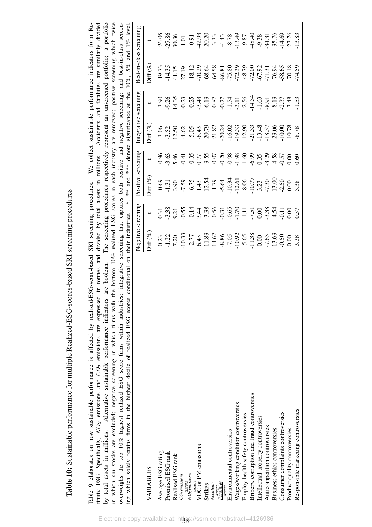Table 10: Sustainable performance for multiple Realized-ESG-scores-based SRI screening procedures Table 10: Sustainable performance for multiple Realized-ESG-scores-based SRI screening procedures

<span id="page-37-0"></span>

| Table 9 elaborates on how sustainable performance is affected by realized-ESG-score-based SRI screening procedures. We collect sustainable performance indicators form Re-<br>finitiv ESG. Specifically, $NO_X$ emissions and $CO_2$ emissions are expressed in tonnes and divided by total assets in millions. Accidents and fatalities are similarly divided<br>in which sin stocks are excluded; negative screening in which firms with the bottom 10% realized ESG scores in each industry are removed; positive screening which twice<br>overweighs the top 10% highest realized ESG score firms within industries; integrative screening that captures both positive and negative screening; and best-in-class screen-<br>ing which solely retains firms in the highest decile of realized ESG scores conditional on their industries. *, ** and *** denote significance at the 10%, 5% and 1% level.<br>by total assets in millions. Alternative sustainable performance indicators | are boolean. The screening procedures respectively represent an unscreened portfolio; a portfolio |                    |             |               |             |         |                                                                                     |             |
|--------------------------------------------------------------------------------------------------------------------------------------------------------------------------------------------------------------------------------------------------------------------------------------------------------------------------------------------------------------------------------------------------------------------------------------------------------------------------------------------------------------------------------------------------------------------------------------------------------------------------------------------------------------------------------------------------------------------------------------------------------------------------------------------------------------------------------------------------------------------------------------------------------------------------------------------------------------------------------------------|---------------------------------------------------------------------------------------------------|--------------------|-------------|---------------|-------------|---------|-------------------------------------------------------------------------------------|-------------|
|                                                                                                                                                                                                                                                                                                                                                                                                                                                                                                                                                                                                                                                                                                                                                                                                                                                                                                                                                                                            |                                                                                                   |                    |             |               |             |         | Negative screening Positive screening Integrative screening Best-in-class screening |             |
| VARIABLES                                                                                                                                                                                                                                                                                                                                                                                                                                                                                                                                                                                                                                                                                                                                                                                                                                                                                                                                                                                  | $Diff(\%)$                                                                                        |                    | $Diff(%)$ t |               | $Diff (\%)$ |         | $Diff(\%)$                                                                          |             |
| Average ESG rating                                                                                                                                                                                                                                                                                                                                                                                                                                                                                                                                                                                                                                                                                                                                                                                                                                                                                                                                                                         | 0.23                                                                                              | 0.31               | $-0.69$     | $-0.96$       | $-3.06$     | $-3.90$ | $-19.73$                                                                            | $-26.05$    |
| Promised ESG rank                                                                                                                                                                                                                                                                                                                                                                                                                                                                                                                                                                                                                                                                                                                                                                                                                                                                                                                                                                          | $-1.22$                                                                                           | $-3.38$            | $-1.31$     | $-3.63$       | $-3.52$     | $-9.26$ | $-14.35$                                                                            | $-27.86$    |
| $\frac{1}{2}$ . The state is a set of $\frac{1}{2}$                                                                                                                                                                                                                                                                                                                                                                                                                                                                                                                                                                                                                                                                                                                                                                                                                                                                                                                                        | くて                                                                                                | $\tilde{\epsilon}$ | ς<br>Ο      | $\frac{1}{2}$ | C<br>C<br>T | 140E    | 411E                                                                                | <b>VVVV</b> |

| VARIABLES                                   | $\mathsf{diff}\left(\%\right)$                                                                                                                                                                                                                                                                                |                                                                                                                                                                                                                                                                            |                                                                                                                                                                                                                                | $\overline{a}$ | $\frac{1}{\text{iff}}$ (%) | iff $(\%)$ |                                                                                                                                                                                                                                                        |
|---------------------------------------------|---------------------------------------------------------------------------------------------------------------------------------------------------------------------------------------------------------------------------------------------------------------------------------------------------------------|----------------------------------------------------------------------------------------------------------------------------------------------------------------------------------------------------------------------------------------------------------------------------|--------------------------------------------------------------------------------------------------------------------------------------------------------------------------------------------------------------------------------|----------------|----------------------------|------------|--------------------------------------------------------------------------------------------------------------------------------------------------------------------------------------------------------------------------------------------------------|
| Average ESG rating                          |                                                                                                                                                                                                                                                                                                               |                                                                                                                                                                                                                                                                            |                                                                                                                                                                                                                                |                |                            |            | $26.05$ $86.8$ , $87.0$ $10.5$ , $10.5$ , $10.5$ , $10.5$ , $10.5$ , $10.5$ , $10.5$ , $10.5$ , $10.5$ , $10.5$ , $10.5$ , $10.5$ , $10.5$ , $10.5$ , $10.5$ , $10.5$ , $10.5$ , $10.5$ , $10.5$ , $10.5$ , $10.5$ , $10.5$ , $10.5$ , $10.5$ , $10.5$ |
| Promised ESG rank                           |                                                                                                                                                                                                                                                                                                               |                                                                                                                                                                                                                                                                            |                                                                                                                                                                                                                                |                |                            |            |                                                                                                                                                                                                                                                        |
| Realised ESG rank                           |                                                                                                                                                                                                                                                                                                               |                                                                                                                                                                                                                                                                            |                                                                                                                                                                                                                                |                |                            |            |                                                                                                                                                                                                                                                        |
| $CO_2$ emissions                            | $\begin{array}{l} 0.23 \\ 0.71 \\ 1.72 \\ 0.93 \\ 0.94 \\ 0.95 \\ 0.97 \\ 0.97 \\ 0.98 \\ 0.97 \\ 0.99 \\ 0.91 \\ 0.93 \\ 0.92 \\ 0.93 \\ 0.94 \\ 0.97 \\ 0.99 \\ 0.99 \\ 0.99 \\ 0.99 \\ 0.99 \\ 0.99 \\ 0.99 \\ 0.99 \\ 0.99 \\ 0.99 \\ 0.99 \\ 0.99 \\ 0.99 \\ 0.99 \\ 0.99 \\ 0.99 \\ 0.99 \\ 0.99 \\ 0.$ | $\begin{array}{l} 3.83\\ 0.92\\ 7.84\\ 8.95\\ 7.86\\ 7.87\\ 7.87\\ 7.88\\ 7.87\\ 7.88\\ 7.87\\ 7.87\\ 7.88\\ 7.87\\ 7.87\\ 7.87\\ 7.87\\ 7.87\\ 7.87\\ 7.87\\ 7.87\\ 7.87\\ 7.87\\ 7.87\\ 7.87\\ 7.87\\ 7.87\\ 7.87\\ 7.87\\ 7.87\\ 7.87\\ 7.87\\ 7.87\\ 7.87\\ 7.87\\ 7.$ | $9.5738$ $7.58$ $7.547$ $7.527$ $7.547$ $7.547$ $7.547$ $7.547$ $7.547$ $7.547$ $7.547$ $7.547$ $7.547$ $7.547$ $7.547$ $7.547$ $7.547$ $7.547$ $7.547$ $7.547$ $7.547$ $7.547$ $7.547$ $7.547$ $7.547$ $7.547$ $7.547$ $7.54$ |                |                            |            |                                                                                                                                                                                                                                                        |
| NO <i>gusets</i><br>NO <i>genussions</i>    |                                                                                                                                                                                                                                                                                                               |                                                                                                                                                                                                                                                                            |                                                                                                                                                                                                                                |                |                            |            |                                                                                                                                                                                                                                                        |
| assets<br>VOC or PM emissions               |                                                                                                                                                                                                                                                                                                               |                                                                                                                                                                                                                                                                            |                                                                                                                                                                                                                                |                |                            |            |                                                                                                                                                                                                                                                        |
| Strikes                                     |                                                                                                                                                                                                                                                                                                               |                                                                                                                                                                                                                                                                            |                                                                                                                                                                                                                                |                |                            |            |                                                                                                                                                                                                                                                        |
| Accidents                                   |                                                                                                                                                                                                                                                                                                               |                                                                                                                                                                                                                                                                            |                                                                                                                                                                                                                                |                |                            |            |                                                                                                                                                                                                                                                        |
| eassets<br>Fatalities<br>asserts            |                                                                                                                                                                                                                                                                                                               |                                                                                                                                                                                                                                                                            |                                                                                                                                                                                                                                |                |                            |            |                                                                                                                                                                                                                                                        |
| Environmental controversies                 |                                                                                                                                                                                                                                                                                                               |                                                                                                                                                                                                                                                                            |                                                                                                                                                                                                                                |                |                            |            |                                                                                                                                                                                                                                                        |
| Wages/working condition controversies       |                                                                                                                                                                                                                                                                                                               |                                                                                                                                                                                                                                                                            |                                                                                                                                                                                                                                |                |                            |            |                                                                                                                                                                                                                                                        |
| Employ health safety controversies          |                                                                                                                                                                                                                                                                                                               |                                                                                                                                                                                                                                                                            |                                                                                                                                                                                                                                |                |                            |            |                                                                                                                                                                                                                                                        |
| Bribery, corruption and fraud controversies |                                                                                                                                                                                                                                                                                                               |                                                                                                                                                                                                                                                                            |                                                                                                                                                                                                                                |                |                            |            |                                                                                                                                                                                                                                                        |
| Intellectual property controversies         |                                                                                                                                                                                                                                                                                                               |                                                                                                                                                                                                                                                                            |                                                                                                                                                                                                                                |                |                            |            |                                                                                                                                                                                                                                                        |
| Anticompetition controversies               |                                                                                                                                                                                                                                                                                                               |                                                                                                                                                                                                                                                                            |                                                                                                                                                                                                                                |                |                            |            |                                                                                                                                                                                                                                                        |
| Business ethics controversies               |                                                                                                                                                                                                                                                                                                               |                                                                                                                                                                                                                                                                            |                                                                                                                                                                                                                                |                |                            |            |                                                                                                                                                                                                                                                        |
| Consumer complaints controversies           |                                                                                                                                                                                                                                                                                                               |                                                                                                                                                                                                                                                                            |                                                                                                                                                                                                                                |                |                            |            |                                                                                                                                                                                                                                                        |
| Product quality controversies               |                                                                                                                                                                                                                                                                                                               |                                                                                                                                                                                                                                                                            |                                                                                                                                                                                                                                |                |                            |            |                                                                                                                                                                                                                                                        |
| Responsible marketing controversies         |                                                                                                                                                                                                                                                                                                               |                                                                                                                                                                                                                                                                            |                                                                                                                                                                                                                                |                |                            |            |                                                                                                                                                                                                                                                        |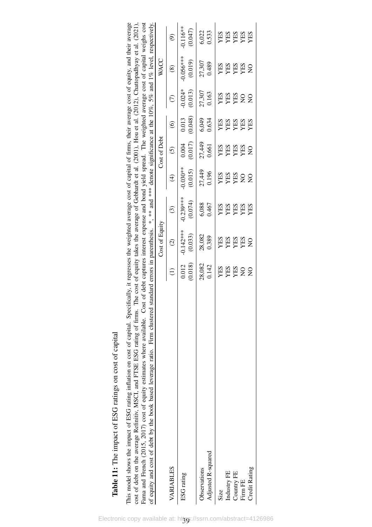| $\frac{1}{2}$<br>ׇׇ֠֕֡                                 |
|--------------------------------------------------------|
|                                                        |
|                                                        |
|                                                        |
|                                                        |
|                                                        |
| estimare an anot at conital<br>.<br>1                  |
|                                                        |
| ١                                                      |
|                                                        |
|                                                        |
|                                                        |
| $\frac{2}{1}$                                          |
| くくしゃ                                                   |
|                                                        |
| $\sim$ the terms of $\sim$                             |
|                                                        |
| I<br>֖֖֖֖֧ׅ֧֖֧֧֚֚֚֚֚֚֚֚֚֚֚֚֚֚֚֚֚֚֚֚֚֚֚֚֚֚֚֚֚֚֡֝֝֬֝֓֝֓֞ |
|                                                        |
| ļ<br>i                                                 |
| Ē                                                      |
|                                                        |
|                                                        |
|                                                        |
| ļ                                                      |
| l                                                      |
|                                                        |

<span id="page-38-0"></span>This model shows the impact of ESG rating inflation on cost of capital. Specifically, it regresses the weighted average cost of capital of firms, their average cost of equity, and their average cost of debt on the average Refinitiv, MSCI, and FTSE ESG rating of firms. The cost of equity takes the average of Gebhardt et al. (2001), Hou et al. (2012), Chattopadhyay et al. (2021), Fama and French (2015, 2017) cost of equity estimates where available. Cost of debt captures interest expense and bond yield spread. The weighted average cost of capital weighs cost This model shows the impact of ESG rating inflation on cost of capital. Specifically, it regresses the weighted average cost of capital of firms, their average cost of equity, and their average cost of debt on the average Refinitiv, MSCI, and FTSE ESG rating of firms. The cost of equity takes the average of [Gebhardt](#page-25-14) et al. [\(2001\)](#page-25-14), [Hou](#page-25-15) et al. [\(2012\)](#page-25-15), [Chattopadhyay](#page-24-13) et al. [\(2021\)](#page-24-13), Fama and [French](#page-25-12) [\(2015,](#page-25-12) [2017\)](#page-25-13) cost of equity estimates where available. Cost of debt captures interest expense and bond yield spread. The weighted average cost of capital weighs cost of equity and cost of debt by the book based leverage ratio. Firm clustered standard errors in parenthesis. \*, \*\* and \*\*\* denote significance at the 10%, 5% and 1% level, respectively.

| of equity and cost of debt by the book based leverage ratio. Firm clustered standard errors in parenthesis. *, ** and *** denote significance at the 10%, 5% and 1% level, respectively |                            |                                            |                                    |                                   |                                    |                                               |                                   |                                           |                                   |
|-----------------------------------------------------------------------------------------------------------------------------------------------------------------------------------------|----------------------------|--------------------------------------------|------------------------------------|-----------------------------------|------------------------------------|-----------------------------------------------|-----------------------------------|-------------------------------------------|-----------------------------------|
|                                                                                                                                                                                         |                            | Cost of Equity                             |                                    |                                   | Cost of Debt                       |                                               |                                   | WACC                                      |                                   |
| VARIABLES                                                                                                                                                                               |                            | $\widehat{c}$                              | $\odot$                            | $\bigoplus$                       | $\odot$                            | $\odot$                                       |                                   | $\circledast$                             | $\widehat{\mathcal{O}}$           |
| ESG rating                                                                                                                                                                              | $\frac{0.012}{0.018}$      | $0.142***$<br>(0.033)                      | $0.239***$<br>(0.074)              | $0.030**$<br>(0.015)              | (0.017)<br>0.004                   | $\begin{array}{c} 0.013 \\ 0.048 \end{array}$ | $0.024*$<br>$(0.013)$             | $0.056***$<br>(0.019)                     | $0.116**$<br>(0.047)              |
| Adjusted R-squared<br>Observations                                                                                                                                                      | 28,082<br>0.142            | 28,082<br>0.389                            | 6,088<br>0.467                     | 27,449<br>0.196                   | 27,449<br>0.661                    | 6,049<br>0.634                                | 27,307<br>0.163                   | 27,307<br>0.489                           | 6,022<br>0.533                    |
| Size                                                                                                                                                                                    |                            |                                            |                                    |                                   |                                    |                                               |                                   |                                           |                                   |
| Industry FE                                                                                                                                                                             | <b>ARS<br/>ARS<br/>ARS</b> | <b>NES<br/>VES<br/>VES<br/>VES<br/>VES</b> | <b>XES<br/>YES<br/>YES<br/>YES</b> | <b>NES<br/>VES<br/>VES<br/>SO</b> | <b>AHS<br/>AHS<br/>AHS<br/>AHS</b> | <b>XES<br/>XES<br/>XES</b><br>XES             | <b>NES<br/>YES<br/>YES</b><br>YES | <b>NES<br/>VES<br/>VES<br/>VES</b><br>NES | <b>YES<br/>YES<br/>YES</b><br>YES |
| Country FE                                                                                                                                                                              |                            |                                            |                                    |                                   |                                    |                                               |                                   |                                           |                                   |
| Firm FE                                                                                                                                                                                 |                            |                                            |                                    |                                   |                                    |                                               |                                   |                                           |                                   |
| Credit Rating                                                                                                                                                                           |                            |                                            |                                    |                                   |                                    |                                               |                                   |                                           |                                   |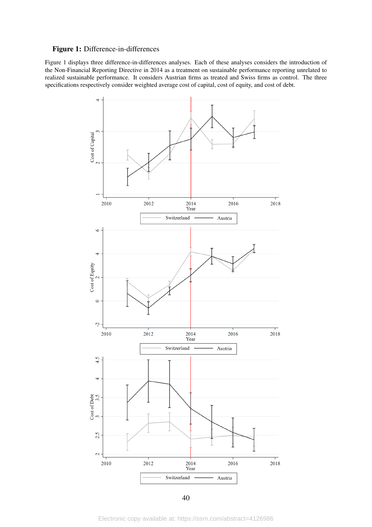#### <span id="page-39-0"></span>Figure 1: Difference-in-differences

Figure [1](#page-39-0) displays three difference-in-differences analyses. Each of these analyses considers the introduction of the Non-Financial Reporting Directive in 2014 as a treatment on sustainable performance reporting unrelated to realized sustainable performance. It considers Austrian firms as treated and Swiss firms as control. The three specifications respectively consider weighted average cost of capital, cost of equity, and cost of debt.



40

Electronic copy available at: https://ssrn.com/abstract=4126986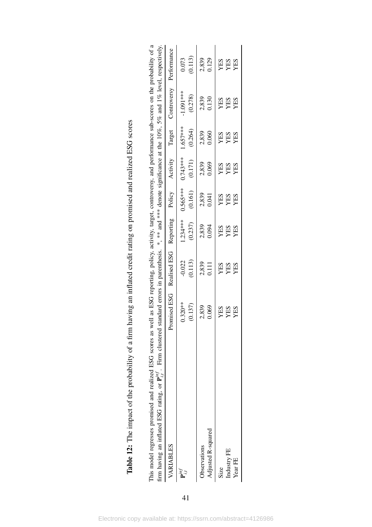<span id="page-40-0"></span>

|                                                                                                                                                                                                                                                                                                                                                                            | Performance                         | $\frac{0.073}{0.113}$  | 2,839<br>0.129                     | <b>YES<br/>YES</b>             |
|----------------------------------------------------------------------------------------------------------------------------------------------------------------------------------------------------------------------------------------------------------------------------------------------------------------------------------------------------------------------------|-------------------------------------|------------------------|------------------------------------|--------------------------------|
|                                                                                                                                                                                                                                                                                                                                                                            |                                     |                        |                                    |                                |
|                                                                                                                                                                                                                                                                                                                                                                            | Controversy                         | $-1.091***$<br>(0.278) | 2,839<br>0.130                     | YES<br>YES<br>YES              |
|                                                                                                                                                                                                                                                                                                                                                                            | Target                              | $1.657***$<br>(0.264)  | 2,839<br>0.060                     | <b>SHI</b><br>YES<br>YES       |
|                                                                                                                                                                                                                                                                                                                                                                            | Activity                            | $0.743***$<br>(0.171)  | 2,839<br>0.069                     | YES<br>YES<br>YES              |
|                                                                                                                                                                                                                                                                                                                                                                            | Policy                              | $0.565***$<br>(0.161)  | 2,839<br>0.041                     | YES<br>YES<br>YES              |
|                                                                                                                                                                                                                                                                                                                                                                            |                                     | $1.234***$<br>(0.237)  | 2,839<br>0.094                     | YES<br>YES<br>YES              |
|                                                                                                                                                                                                                                                                                                                                                                            | Promised ESG Realised ESG Reporting | $-0.022$<br>(0.113)    | 2,839<br>0.111                     | YES<br>YES<br>YES              |
|                                                                                                                                                                                                                                                                                                                                                                            |                                     | $0.320***$<br>(0.137)  | 2,839<br>0.069                     | <b>YES<br/>YES</b>             |
| This model regresses promised and realized ESG scores as well as ESG reporting, policy, activity, target, controversy, and performance sub-scores on the probability of a<br>firm having an inflated ESG rating, or $\mathbf{P}_{i,j}^{m,f}$ . Firm clustered standard errors in parenthesis. *, ** and *** denote significance at the 10%, 5% and 1% level, respectively, | VARIABLES                           |                        | Adjusted R-squared<br>Observations | Industry FE<br>Year FE<br>Size |

Table 12: The impact of the probability of a firm having an inflated credit rating on promised and realized ESG scores Table 12: The impact of the probability of a firm having an inflated credit rating on promised and realized ESG scores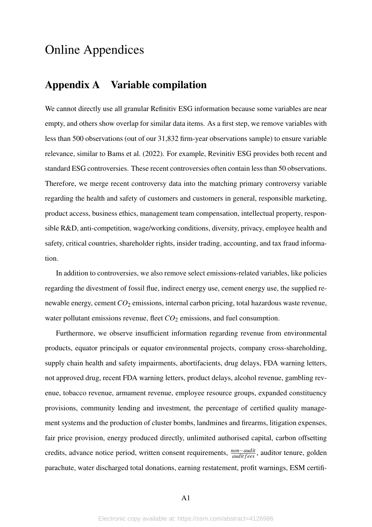# Online Appendices

# Appendix A Variable compilation

We cannot directly use all granular Refinitiv ESG information because some variables are near empty, and others show overlap for similar data items. As a first step, we remove variables with less than 500 observations (out of our 31,832 firm-year observations sample) to ensure variable relevance, similar to [Bams et al.](#page-23-7) [\(2022\)](#page-23-7). For example, Revinitiv ESG provides both recent and standard ESG controversies. These recent controversies often contain less than 50 observations. Therefore, we merge recent controversy data into the matching primary controversy variable regarding the health and safety of customers and customers in general, responsible marketing, product access, business ethics, management team compensation, intellectual property, responsible R&D, anti-competition, wage/working conditions, diversity, privacy, employee health and safety, critical countries, shareholder rights, insider trading, accounting, and tax fraud information.

In addition to controversies, we also remove select emissions-related variables, like policies regarding the divestment of fossil flue, indirect energy use, cement energy use, the supplied renewable energy, cement  $CO_2$  emissions, internal carbon pricing, total hazardous waste revenue, water pollutant emissions revenue, fleet  $CO<sub>2</sub>$  emissions, and fuel consumption.

Furthermore, we observe insufficient information regarding revenue from environmental products, equator principals or equator environmental projects, company cross-shareholding, supply chain health and safety impairments, abortifacients, drug delays, FDA warning letters, not approved drug, recent FDA warning letters, product delays, alcohol revenue, gambling revenue, tobacco revenue, armament revenue, employee resource groups, expanded constituency provisions, community lending and investment, the percentage of certified quality management systems and the production of cluster bombs, landmines and firearms, litigation expenses, fair price provision, energy produced directly, unlimited authorised capital, carbon offsetting credits, advance notice period, written consent requirements, *non*−*audit audit f ees* , auditor tenure, golden parachute, water discharged total donations, earning restatement, profit warnings, ESM certifi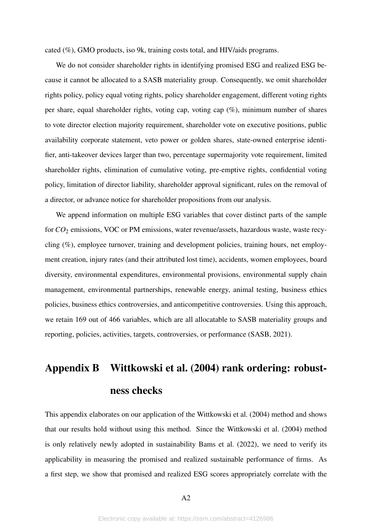cated (%), GMO products, iso 9k, training costs total, and HIV/aids programs.

We do not consider shareholder rights in identifying promised ESG and realized ESG because it cannot be allocated to a SASB materiality group. Consequently, we omit shareholder rights policy, policy equal voting rights, policy shareholder engagement, different voting rights per share, equal shareholder rights, voting cap, voting cap (%), minimum number of shares to vote director election majority requirement, shareholder vote on executive positions, public availability corporate statement, veto power or golden shares, state-owned enterprise identifier, anti-takeover devices larger than two, percentage supermajority vote requirement, limited shareholder rights, elimination of cumulative voting, pre-emptive rights, confidential voting policy, limitation of director liability, shareholder approval significant, rules on the removal of a director, or advance notice for shareholder propositions from our analysis.

We append information on multiple ESG variables that cover distinct parts of the sample for *CO*<sup>2</sup> emissions, VOC or PM emissions, water revenue/assets, hazardous waste, waste recycling (%), employee turnover, training and development policies, training hours, net employment creation, injury rates (and their attributed lost time), accidents, women employees, board diversity, environmental expenditures, environmental provisions, environmental supply chain management, environmental partnerships, renewable energy, animal testing, business ethics policies, business ethics controversies, and anticompetitive controversies. Using this approach, we retain 169 out of 466 variables, which are all allocatable to SASB materiality groups and reporting, policies, activities, targets, controversies, or performance [\(SASB, 2021\)](#page-26-10).

# Appendix B [Wittkowski et al.](#page-26-6) [\(2004\)](#page-26-6) rank ordering: robustness checks

This appendix elaborates on our application of the [Wittkowski et al.](#page-26-6) [\(2004\)](#page-26-6) method and shows that our results hold without using this method. Since the [Wittkowski et al.](#page-26-6) [\(2004\)](#page-26-6) method is only relatively newly adopted in sustainability [Bams et al.](#page-23-7) [\(2022\)](#page-23-7), we need to verify its applicability in measuring the promised and realized sustainable performance of firms. As a first step, we show that promised and realized ESG scores appropriately correlate with the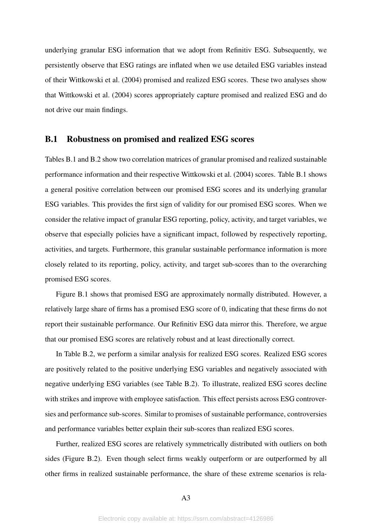underlying granular ESG information that we adopt from Refinitiv ESG. Subsequently, we persistently observe that ESG ratings are inflated when we use detailed ESG variables instead of their [Wittkowski et al.](#page-26-6) [\(2004\)](#page-26-6) promised and realized ESG scores. These two analyses show that [Wittkowski et al.](#page-26-6) [\(2004\)](#page-26-6) scores appropriately capture promised and realized ESG and do not drive our main findings.

#### B.1 Robustness on promised and realized ESG scores

Tables [B.1](#page-46-0) and [B.2](#page-48-0) show two correlation matrices of granular promised and realized sustainable performance information and their respective [Wittkowski et al.](#page-26-6) [\(2004\)](#page-26-6) scores. Table [B.1](#page-46-0) shows a general positive correlation between our promised ESG scores and its underlying granular ESG variables. This provides the first sign of validity for our promised ESG scores. When we consider the relative impact of granular ESG reporting, policy, activity, and target variables, we observe that especially policies have a significant impact, followed by respectively reporting, activities, and targets. Furthermore, this granular sustainable performance information is more closely related to its reporting, policy, activity, and target sub-scores than to the overarching promised ESG scores.

Figure [B.1](#page-51-0) shows that promised ESG are approximately normally distributed. However, a relatively large share of firms has a promised ESG score of 0, indicating that these firms do not report their sustainable performance. Our Refinitiv ESG data mirror this. Therefore, we argue that our promised ESG scores are relatively robust and at least directionally correct.

In Table [B.2,](#page-48-0) we perform a similar analysis for realized ESG scores. Realized ESG scores are positively related to the positive underlying ESG variables and negatively associated with negative underlying ESG variables (see Table B.2). To illustrate, realized ESG scores decline with strikes and improve with employee satisfaction. This effect persists across ESG controversies and performance sub-scores. Similar to promises of sustainable performance, controversies and performance variables better explain their sub-scores than realized ESG scores.

Further, realized ESG scores are relatively symmetrically distributed with outliers on both sides (Figure [B.2\)](#page-51-1). Even though select firms weakly outperform or are outperformed by all other firms in realized sustainable performance, the share of these extreme scenarios is rela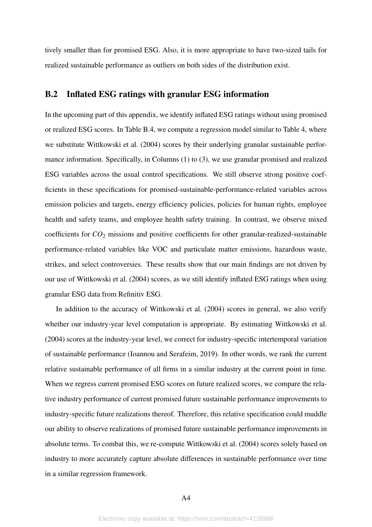tively smaller than for promised ESG. Also, it is more appropriate to have two-sized tails for realized sustainable performance as outliers on both sides of the distribution exist.

#### B.2 Inflated ESG ratings with granular ESG information

In the upcoming part of this appendix, we identify inflated ESG ratings without using promised or realized ESG scores. In Table [B.4,](#page-50-0) we compute a regression model similar to Table [4,](#page-31-0) where we substitute [Wittkowski et al.](#page-26-6) [\(2004\)](#page-26-6) scores by their underlying granular sustainable performance information. Specifically, in Columns (1) to (3), we use granular promised and realized ESG variables across the usual control specifications. We still observe strong positive coefficients in these specifications for promised-sustainable-performance-related variables across emission policies and targets, energy efficiency policies, policies for human rights, employee health and safety teams, and employee health safety training. In contrast, we observe mixed coefficients for *CO*<sup>2</sup> missions and positive coefficients for other granular-realized-sustainable performance-related variables like VOC and particulate matter emissions, hazardous waste, strikes, and select controversies. These results show that our main findings are not driven by our use of [Wittkowski et al.](#page-26-6) [\(2004\)](#page-26-6) scores, as we still identify inflated ESG ratings when using granular ESG data from Refinitiv ESG.

In addition to the accuracy of [Wittkowski et al.](#page-26-6) [\(2004\)](#page-26-6) scores in general, we also verify whether our industry-year level computation is appropriate. By estimating [Wittkowski et al.](#page-26-6) [\(2004\)](#page-26-6) scores at the industry-year level, we correct for industry-specific intertemporal variation of sustainable performance [\(Ioannou and Serafeim, 2019\)](#page-25-3). In other words, we rank the current relative sustainable performance of all firms in a similar industry at the current point in time. When we regress current promised ESG scores on future realized scores, we compare the relative industry performance of current promised future sustainable performance improvements to industry-specific future realizations thereof. Therefore, this relative specification could muddle our ability to observe realizations of promised future sustainable performance improvements in absolute terms. To combat this, we re-compute [Wittkowski et al.](#page-26-6) [\(2004\)](#page-26-6) scores solely based on industry to more accurately capture absolute differences in sustainable performance over time in a similar regression framework.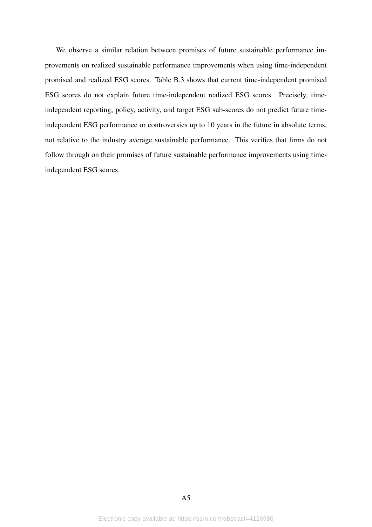We observe a similar relation between promises of future sustainable performance improvements on realized sustainable performance improvements when using time-independent promised and realized ESG scores. Table [B.3](#page-49-0) shows that current time-independent promised ESG scores do not explain future time-independent realized ESG scores. Precisely, timeindependent reporting, policy, activity, and target ESG sub-scores do not predict future timeindependent ESG performance or controversies up to 10 years in the future in absolute terms, not relative to the industry average sustainable performance. This verifies that firms do not follow through on their promises of future sustainable performance improvements using timeindependent ESG scores.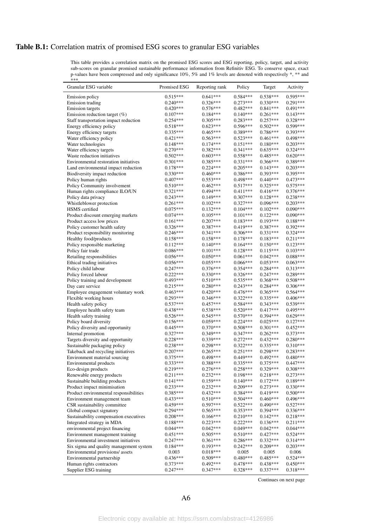# <span id="page-46-0"></span>Table B.1: Correlation matrix of promised ESG scores to granular ESG variables

This table provides a correlation matrix on the promised ESG scores and ESG reporting, policy, target, and activity sub-scores on granular promised sustainable performance information from Refinitiv ESG. To conserve space, exact p-values have been compressed and only significance 10%, 5% and 1% levels are denoted with respectively \*, \*\* and

| ***                                                                |                          |                          |                          |                          |                          |
|--------------------------------------------------------------------|--------------------------|--------------------------|--------------------------|--------------------------|--------------------------|
| Granular ESG variable                                              | Promised ESG             | Reporting rank           | Policy                   | Target                   | Activity                 |
| <b>Emission policy</b>                                             | $0.515***$               | $0.641***$               | $0.584***$               | $0.538***$               | $0.595***$               |
| <b>Emission</b> trading                                            | $0.240***$               | 0.326***                 | $0.273***$               | $0.330***$               | $0.291***$               |
| <b>Emission</b> targets                                            | $0.420***$               | $0.576***$               | $0.482***$               | $0.841***$               | $0.491***$               |
| Emission reduction target $(\%)$                                   | $0.107***$               | $0.184***$               | $0.140***$               | $0.261***$               | $0.143***$               |
| Staff transportation impact reduction                              | $0.254***$               | $0.305***$               | $0.283***$               | $0.257***$               | $0.328***$               |
| Energy efficiency policy                                           | $0.518***$               | $0.623***$               | $0.596***$               | $0.502***$               | $0.599***$               |
| Energy efficiency targets                                          | $0.335***$               | $0.465***$               | $0.389***$               | $0.786***$               | $0.393***$               |
| Water efficiency policy                                            | $0.421***$               | $0.563***$<br>$0.174***$ | $0.523***$               | $0.461***$               | 0.498***<br>$0.203***$   |
| Water technologies                                                 | $0.148***$<br>$0.270***$ | $0.382***$               | $0.151***$<br>$0.341***$ | $0.180***$<br>$0.635***$ | $0.324***$               |
| Water efficiency targets<br>Waste reduction initiatives            | $0.502***$               | $0.603***$               | $0.558***$               | $0.485***$               | $0.620***$               |
| Environmental restoration initiatives                              | $0.301***$               | $0.385***$               | $0.331***$               | $0.366***$               | 0.389***                 |
| Land environmental impact reduction                                | $0.178***$               | $0.224***$               | $0.205***$               | $0.143***$               | $0.203***$               |
| Biodiversity impact reduction                                      | $0.330***$               | $0.460***$               | $0.386***$               | $0.393***$               | $0.395***$               |
| Policy human rights                                                | $0.407***$               | $0.553***$               | 0.498***                 | $0.440***$               | $0.473***$               |
| Policy Community involvement                                       | $0.510***$               | $0.462***$               | $0.517***$               | $0.325***$               | $0.575***$               |
| Human rights compliance ILO/UN                                     | $0.321***$               | 0.494 ***                | $0.411***$               | $0.416***$               | $0.376***$               |
| Policy data privacy                                                | $0.243***$               | $0.149***$               | $0.307***$               | $0.128***$               | $0.238***$               |
| Whistleblower protection                                           | $0.261***$               | $0.102***$               | 0.327***                 | $0.096***$               | $0.203***$               |
| HSMS certified                                                     | $0.075***$               | $0.132***$               | $0.104***$               | $0.102***$               | $0.090***$               |
| Product discount emerging markets                                  | $0.074***$               | $0.105***$               | $0.101***$               | $0.122***$               | $0.090***$               |
| Product access low prices                                          | $0.161***$               | $0.207***$               | $0.183***$               | $0.193***$               | $0.188***$               |
| Policy customer health safety                                      | $0.326***$               | $0.387***$<br>$0.341***$ | $0.419***$               | $0.387***$               | $0.392***$               |
| Product responsibility monitoring                                  | $0.246***$<br>$0.158***$ | $0.158***$               | $0.306***$<br>$0.178***$ | $0.331***$<br>$0.183***$ | $0.324***$<br>$0.211***$ |
| Healthy food/products                                              | $0.112***$               | $0.140***$               | $0.164***$               | $0.150***$               | $0.123***$               |
| Policy responsible marketing<br>Policy fair trade                  | $0.086***$               | $0.101***$               | $0.128***$               | $0.115***$               | $0.103***$               |
| Retailing responsibilities                                         | $0.056***$               | $0.050***$               | $0.061***$               | $0.042***$               | $0.088***$               |
| Ethical trading initiatives                                        | $0.056***$               | $0.055***$               | $0.066***$               | $0.053***$               | $0.063***$               |
| Policy child labour                                                | $0.247***$               | $0.376***$               | $0.354***$               | $0.284***$               | $0.313***$               |
| Policy forced labour                                               | $0.222***$               | $0.330***$               | $0.326***$               | $0.247***$               | $0.289***$               |
| Policy training and development                                    | $0.493***$               | $0.510***$               | 0.535***                 | $0.368***$               | $0.508***$               |
| Day care service                                                   | $0.215***$               | $0.280***$               | $0.243***$               | $0.284***$               | $0.306***$               |
| Employee engagement voluntary work                                 | $0.463***$               | $0.420***$               | $0.476***$               | $0.365***$               | $0.564***$               |
| Flexible working hours                                             | $0.293***$               | $0.346***$               | $0.322***$               | $0.335***$               | $0.406***$               |
| Health safety policy                                               | $0.537***$               | $0.457***$               | $0.584***$               | $0.343***$               | $0.539***$               |
| Employee health safety team                                        | $0.438***$               | $0.538***$               | $0.520***$               | $0.417***$               | $0.495***$               |
| Health safety training                                             | $0.526***$               | $0.545***$               | $0.570***$<br>$0.224***$ | 0.394***<br>$0.025***$   | $0.629***$<br>$0.127***$ |
| Policy board diversity<br>Policy diversity and opportunity         | $0.156***$<br>$0.445***$ | $0.059***$<br>$0.370***$ | $0.508***$               | $0.301***$               | $0.452***$               |
| Internal promotion                                                 | $0.327***$               | $0.349***$               | $0.347***$               | $0.262***$               | $0.373***$               |
| Targets diversity and opportunity                                  | $0.228***$               | $0.339***$               | $0.272***$               | $0.432***$               | $0.280***$               |
| Sustainable packaging policy                                       | $0.238***$               | $0.298***$               | $0.322***$               | $0.335***$               | $0.310***$               |
| Takeback and recycling initiatives                                 | $0.207***$               | $0.265***$               | $0.251***$               | $0.298***$               | $0.283***$               |
| Environment material sourcing                                      | $0.375***$               | $0.498***$               | $0.449***$               | $0.492***$               | $0.480***$               |
| Environmental products                                             | $0.333***$               | $0.388***$               | $0.335***$               | $0.375***$               | $0.447***$               |
| Eco-design products                                                | $0.219***$               | $0.276***$               | $0.258***$               | $0.329***$               | $0.308***$               |
| Renewable energy products                                          | $0.211***$               | $0.232***$               | $0.198***$               | $0.218***$               | $0.273***$               |
| Sustainable building products                                      | $0.141***$               | $0.159***$               | $0.140***$               | $0.172***$               | $0.189***$               |
| Product impact minimisation                                        | $0.233***$               | $0.232***$               | $0.209***$               | $0.273***$               | $0.330***$               |
| Product environmental responsibilities                             | $0.385***$               | $0.432***$               | 0.384***                 | $0.419***$               | $0.500***$               |
| Environment management team                                        | $0.433***$<br>$0.459***$ | $0.510***$               | $0.504***$               | $0.460***$               | $0.496***$               |
| CSR sustainability committee                                       |                          | $0.597***$               | $0.522***$               | $0.490***$               | $0.527***$<br>$0.336***$ |
| Global compact signatory<br>Sustainability compensation executives | $0.294***$<br>$0.208***$ | $0.565***$<br>$0.166***$ | $0.353***$<br>$0.210***$ | $0.394***$<br>$0.142***$ | $0.218***$               |
| Integrated strategy in MDA                                         | $0.188***$               | $0.223***$               | $0.222***$               | $0.136***$               | $0.211***$               |
| environmental project financing                                    | $0.044***$               | $0.042***$               | $0.049***$               | $0.042***$               | $0.044***$               |
| Environment management training                                    | $0.451***$               | $0.505***$               | $0.510***$               | $0.427***$               | $0.524***$               |
| Environmental investment initiatives                               | $0.247***$               | $0.361***$               | $0.286***$               | $0.332***$               | $0.314***$               |
| Six sigma and quality management system                            | $0.184***$               | $0.193***$               | $0.242***$               | $0.209***$               | $0.203***$               |
| Environmental provisions/assets                                    | 0.003                    | $0.018***$               | 0.005                    | 0.005                    | 0.006                    |
| Environmental partnership                                          | $0.436***$               | $0.509***$               | $0.480***$               | $0.485***$               | $0.524***$               |
| Human rights contractors                                           | $0.373***$               | $0.492***$               | $0.478***$               | $0.438***$               | $0.450***$               |
| Supplier ESG training                                              | $0.247***$               | $0.347***$               | $0.328***$               | $0.337***$               | $0.318***$               |

Continues on next page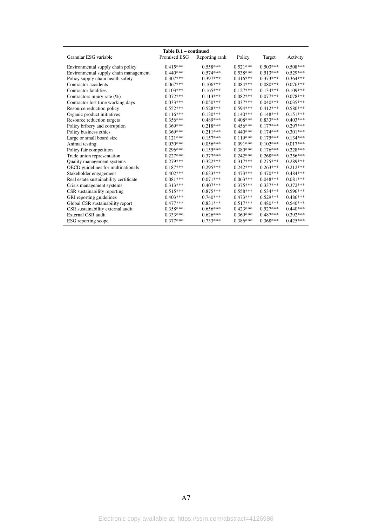|                                        | Table B.1 – continued |                |            |            |            |
|----------------------------------------|-----------------------|----------------|------------|------------|------------|
| Granular ESG variable                  | Promised ESG          | Reporting rank | Policy     | Target     | Activity   |
| Environmental supply chain policy      | $0.415***$            | $0.558***$     | $0.521***$ | $0.503***$ | $0.508***$ |
| Environmental supply chain management  | $0.440***$            | $0.574***$     | $0.538***$ | $0.513***$ | $0.529***$ |
| Policy supply chain health safety      | $0.307***$            | $0.397***$     | $0.416***$ | $0.373***$ | $0.364***$ |
| Contractor accidents                   | $0.067***$            | $0.106***$     | $0.084***$ | $0.080***$ | $0.076***$ |
| Contractor fatalities                  | $0.103***$            | $0.165***$     | $0.127***$ | $0.134***$ | $0.109***$ |
| Contractors injury rate $(\%)$         | $0.072***$            | $0.113***$     | $0.082***$ | $0.077***$ | $0.078***$ |
| Contractor lost time working days      | $0.033***$            | $0.050***$     | $0.037***$ | $0.040***$ | $0.035***$ |
| Resource reduction policy              | $0.552***$            | $0.528***$     | $0.594***$ | $0.412***$ | $0.580***$ |
| Organic product initiatives            | $0.116***$            | $0.130***$     | $0.140***$ | $0.148***$ | $0.151***$ |
| Resource reduction targets             | $0.356***$            | $0.489***$     | $0.408***$ | $0.833***$ | $0.403***$ |
| Policy bribery and corruption          | $0.369***$            | $0.218***$     | $0.456***$ | $0.177***$ | $0.297***$ |
| Policy business ethics                 | $0.369***$            | $0.211***$     | $0.440***$ | $0.174***$ | $0.301***$ |
| Large or small board size              | $0.121***$            | $0.157***$     | $0.119***$ | $0.175***$ | $0.134***$ |
| Animal testing                         | $0.030***$            | $0.056***$     | $0.091***$ | $0.102***$ | $0.017***$ |
| Policy fair competition                | $0.296***$            | $0.155***$     | $0.380***$ | $0.176***$ | $0.228***$ |
| Trade union representation             | $0.227***$            | $0.377***$     | $0.242***$ | $0.268***$ | $0.256***$ |
| Quality management systems             | $0.279***$            | $0.322***$     | $0.317***$ | $0.275***$ | $0.289***$ |
| OECD guidelines for multinationals     | $0.187***$            | $0.295***$     | $0.242***$ | $0.263***$ | $0.212***$ |
| Stakeholder engagement                 | $0.402***$            | $0.633***$     | $0.473***$ | $0.470***$ | $0.484***$ |
| Real estate sustainability certificate | $0.081***$            | $0.071***$     | $0.063***$ | $0.048***$ | $0.081***$ |
| Crisis management systems              | $0.313***$            | $0.407***$     | $0.375***$ | $0.337***$ | $0.372***$ |
| CSR sustainability reporting           | $0.515***$            | $0.875***$     | $0.558***$ | $0.534***$ | $0.596***$ |
| GRI reporting guidelines               | $0.403***$            | $0.740***$     | $0.473***$ | $0.529***$ | $0.486***$ |
| Global CSR sustainability report       | $0.477***$            | $0.831***$     | $0.517***$ | $0.480***$ | $0.540***$ |
| CSR sustainability external audit      | $0.358***$            | $0.656***$     | $0.423***$ | $0.527***$ | $0.440***$ |
| External CSR audit                     | $0.333***$            | $0.626***$     | $0.369***$ | $0.487***$ | $0.392***$ |
| ESG reporting scope                    | $0.377***$            | $0.733***$     | $0.386***$ | $0.368***$ | $0.425***$ |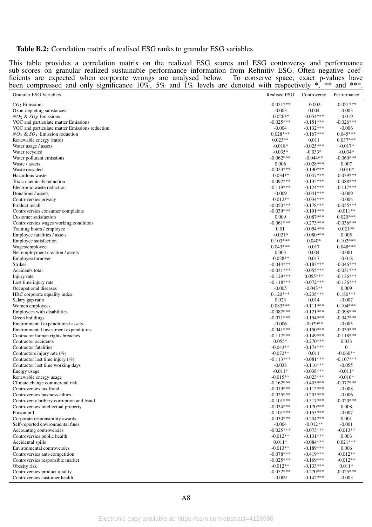#### <span id="page-48-0"></span>Table B.2: Correlation matrix of realised ESG ranks to granular ESG variables

This table provides a correlation matrix on the realized ESG scores and ESG controversy and performance sub-scores on granular realized sustainable performance information from Refinitiv ESG. Often negative coefficients are expected when corporate wrongs are analysed below. To conserve space, exact p-values have been compressed and only significance  $10\%$ , 5% and 1% levels are denoted with respectively  $\ast$ ,  $\ast\ast$  and  $\ast\ast\ast$ .

| $-0.021***$<br>$-0.002$<br>$-0.021***$<br>$CO2$ Emissions<br>$-0.003$<br>0.004<br>$-0.003$<br>Ozon-depleting substances<br>$-0.026**$<br>$-0.054***$<br>$-0.019$<br>$NOX$ & $SOX$ Emissions<br>$-0.025***$<br>$-0.151***$<br>$-0.026***$<br>VOC and particulate matter Emissions<br>$-0.004$<br>$-0.132***$<br>$-0.006$<br>VOC and particulate matter Emissions reduction<br>$0.045***$<br>$0.028***$<br>$-0.167***$<br>$NOX$ & $SOX$ Emission reduction<br>$0.023**$<br>$0.037***$<br>0.011<br>Renewable energy (ratio)<br>$-0.018*$<br>$-0.025***$<br>$-0.017*$<br>Water usage / assets<br>$-0.035*$<br>$-0.033*$<br>$-0.034*$<br>Water recycled<br>$-0.062***$<br>$-0.060***$<br>$-0.044**$<br>Water pollutant emissions<br>$-0.028***$<br>0.006<br>0.007<br>Waste / assets<br>$-0.023***$<br>$-0.130***$<br>$-0.010*$<br>Waste recycled<br>$-0.034**$<br>$-0.047***$<br>$-0.039***$<br>Hazardous waste<br>$-0.092***$<br>$-0.135***$<br>$-0.088***$<br>Toxic chemicals reduction<br>$-0.119***$<br>$-0.124***$<br>$-0.117***$<br>Electronic waste reduction<br>$-0.009$<br>$-0.009$<br>$-0.041***$<br>Donations / assets<br>$-0.012**$<br>$-0.034***$<br>$-0.004$<br>Controversies privacy<br>$-0.050***$<br>$-0.178***$<br>$-0.055***$<br>Product recall<br>$-0.039***$<br>$-0.191***$<br>$-0.011**$<br>Controversies consumer complaints<br>$0.020***$<br>0.009<br>$-0.087***$<br>Customer satisfaction<br>$-0.061***$<br>$-0.273***$<br>$-0.036***$<br>Controversies wages working conditions<br>$-0.054***$<br>$0.021**$<br>0.01<br>Training hours / employee<br>$-0.021*$<br>$-0.080***$<br>0.005<br>Employee fatalities / assets<br>$0.102***$<br>$0.103***$<br>$0.040*$<br>Employee satisfaction<br>$0.043***$<br>0.017<br>$0.048***$<br>Wages/employee<br>0.003<br>0.004<br>$-0.001$<br>Net employment creation / assets<br>$-0.028**$<br>0.017<br>$-0.018$<br>Employee turnover<br><b>Strikes</b><br>$-0.044***$<br>$-0.183***$<br>$-0.046***$<br>$-0.031***$<br>Accidents total<br>$-0.031***$<br>$-0.055***$<br>$-0.129***$<br>$0.055***$<br>$-0.136***$<br>Injury rate<br>$-0.118***$<br>$-0.072***$<br>$-0.136***$<br>Lost time injury rate<br>$-0.043**$<br>0.009<br>$-0.005$<br>Occupational diseases<br>$0.120***$<br>$-0.235***$<br>$0.180***$<br>HRC corporate equality index<br>0.023<br>0.014<br>$-0.007$<br>Salary gap ratio<br>$0.083***$<br>$-0.111***$<br>$0.104***$<br>Women employees<br>$-0.087***$<br>$-0.121***$<br>$-0.098***$<br>Employees with disabilities<br>$-0.071***$<br>$-0.194***$<br>$-0.047***$<br>Green buildings<br>$-0.029**$<br>$-0.005$<br>$-0.006$<br>Environmental expenditures/assets<br>$-0.041***$<br>$-0.150***$<br>$-0.030***$<br>Environmental investment expenditures<br>$-0.117***$<br>$-0.149***$<br>$-0.118***$<br>Contractor human rights breaches<br>$0.055*$<br>$-0.270***$<br>0.033<br>Contractor accidents<br>Contractor fatalities<br>$-0.043**$<br>$-0.174***$<br>0<br>$-0.072**$<br>$-0.060**$<br>0.011<br>Contractors injury rate $(\%)$<br>$-0.113***$<br>$-0.081***$<br>$-0.107***$<br>Contractor lost time injury $(\%)$<br>$-0.116***$<br>$-0.038$<br>$-0.055$<br>Contractor lost time working days<br>$-0.038***$<br>$-0.011*$<br>$-0.011*$<br>Energy usage<br>$-0.015**$<br>$-0.023***$<br>$-0.010*$<br>Renewable energy usage<br>$-0.162***$<br>$-0.405***$<br>$-0.077***$<br>Climate change commercial risk<br>$-0.019***$<br>$-0.112***$<br>Controversies tax fraud<br>$-0.008$<br>$-0.025***$<br>$-0.205***$<br>$-0.006$<br>Controversies business ethics<br>$-0.517***$<br>$-0.020***$<br>$-0.101***$<br>Controversy bribery corruption and fraud<br>$-0.034***$<br>$-0.170***$<br>0.008<br>Controversies intellectual property<br>$-0.101***$<br>$-0.153***$<br>$-0.007$<br>Poison pill<br>$-0.030***$<br>$-0.204***$<br>0.001<br>Corporate responsibility awards<br>$-0.004$<br>$-0.012**$<br>$-0.001$<br>Self-reported environmental fines<br>$-0.025***$<br>$-0.073***$<br>$-0.013**$<br>Accounting controversies<br>$-0.012**$<br>$-0.131***$<br>0.003<br>Controversies public health<br>$0.011*$<br>$-0.084***$<br>$0.021***$<br>Accidental spills<br>$-0.189***$<br>$-0.013**$<br>0.006<br>Environmental controversies<br>$-0.078***$<br>$-0.419***$<br>$-0.012**$<br>Controversies anti-competition<br>$-0.012**$<br>$-0.025***$<br>$-0.169***$<br>Controversies responsible market<br>$-0.012**$<br>$-0.133***$<br>$0.011*$<br>Obesity risk<br>$-0.052***$<br>$-0.270***$<br>$-0.025***$<br>Controversies product quality | <b>Granular ESG Variables</b> | <b>Realised ESG</b> | Controversy | Performance |
|----------------------------------------------------------------------------------------------------------------------------------------------------------------------------------------------------------------------------------------------------------------------------------------------------------------------------------------------------------------------------------------------------------------------------------------------------------------------------------------------------------------------------------------------------------------------------------------------------------------------------------------------------------------------------------------------------------------------------------------------------------------------------------------------------------------------------------------------------------------------------------------------------------------------------------------------------------------------------------------------------------------------------------------------------------------------------------------------------------------------------------------------------------------------------------------------------------------------------------------------------------------------------------------------------------------------------------------------------------------------------------------------------------------------------------------------------------------------------------------------------------------------------------------------------------------------------------------------------------------------------------------------------------------------------------------------------------------------------------------------------------------------------------------------------------------------------------------------------------------------------------------------------------------------------------------------------------------------------------------------------------------------------------------------------------------------------------------------------------------------------------------------------------------------------------------------------------------------------------------------------------------------------------------------------------------------------------------------------------------------------------------------------------------------------------------------------------------------------------------------------------------------------------------------------------------------------------------------------------------------------------------------------------------------------------------------------------------------------------------------------------------------------------------------------------------------------------------------------------------------------------------------------------------------------------------------------------------------------------------------------------------------------------------------------------------------------------------------------------------------------------------------------------------------------------------------------------------------------------------------------------------------------------------------------------------------------------------------------------------------------------------------------------------------------------------------------------------------------------------------------------------------------------------------------------------------------------------------------------------------------------------------------------------------------------------------------------------------------------------------------------------------------------------------------------------------------------------------------------------------------------------------------------------------------------------------------------------------------------------------------------------------------------------------------------------------------------------------------------------------------------------------------------------------------------------------------------------------------------------------------------------------------------------------------------------------------------------------------------------------------------------------------------------------------------------------------------------------------------------------------------------------|-------------------------------|---------------------|-------------|-------------|
|                                                                                                                                                                                                                                                                                                                                                                                                                                                                                                                                                                                                                                                                                                                                                                                                                                                                                                                                                                                                                                                                                                                                                                                                                                                                                                                                                                                                                                                                                                                                                                                                                                                                                                                                                                                                                                                                                                                                                                                                                                                                                                                                                                                                                                                                                                                                                                                                                                                                                                                                                                                                                                                                                                                                                                                                                                                                                                                                                                                                                                                                                                                                                                                                                                                                                                                                                                                                                                                                                                                                                                                                                                                                                                                                                                                                                                                                                                                                                                                                                                                                                                                                                                                                                                                                                                                                                                                                                                                                                                                      |                               |                     |             |             |
|                                                                                                                                                                                                                                                                                                                                                                                                                                                                                                                                                                                                                                                                                                                                                                                                                                                                                                                                                                                                                                                                                                                                                                                                                                                                                                                                                                                                                                                                                                                                                                                                                                                                                                                                                                                                                                                                                                                                                                                                                                                                                                                                                                                                                                                                                                                                                                                                                                                                                                                                                                                                                                                                                                                                                                                                                                                                                                                                                                                                                                                                                                                                                                                                                                                                                                                                                                                                                                                                                                                                                                                                                                                                                                                                                                                                                                                                                                                                                                                                                                                                                                                                                                                                                                                                                                                                                                                                                                                                                                                      |                               |                     |             |             |
|                                                                                                                                                                                                                                                                                                                                                                                                                                                                                                                                                                                                                                                                                                                                                                                                                                                                                                                                                                                                                                                                                                                                                                                                                                                                                                                                                                                                                                                                                                                                                                                                                                                                                                                                                                                                                                                                                                                                                                                                                                                                                                                                                                                                                                                                                                                                                                                                                                                                                                                                                                                                                                                                                                                                                                                                                                                                                                                                                                                                                                                                                                                                                                                                                                                                                                                                                                                                                                                                                                                                                                                                                                                                                                                                                                                                                                                                                                                                                                                                                                                                                                                                                                                                                                                                                                                                                                                                                                                                                                                      |                               |                     |             |             |
|                                                                                                                                                                                                                                                                                                                                                                                                                                                                                                                                                                                                                                                                                                                                                                                                                                                                                                                                                                                                                                                                                                                                                                                                                                                                                                                                                                                                                                                                                                                                                                                                                                                                                                                                                                                                                                                                                                                                                                                                                                                                                                                                                                                                                                                                                                                                                                                                                                                                                                                                                                                                                                                                                                                                                                                                                                                                                                                                                                                                                                                                                                                                                                                                                                                                                                                                                                                                                                                                                                                                                                                                                                                                                                                                                                                                                                                                                                                                                                                                                                                                                                                                                                                                                                                                                                                                                                                                                                                                                                                      |                               |                     |             |             |
|                                                                                                                                                                                                                                                                                                                                                                                                                                                                                                                                                                                                                                                                                                                                                                                                                                                                                                                                                                                                                                                                                                                                                                                                                                                                                                                                                                                                                                                                                                                                                                                                                                                                                                                                                                                                                                                                                                                                                                                                                                                                                                                                                                                                                                                                                                                                                                                                                                                                                                                                                                                                                                                                                                                                                                                                                                                                                                                                                                                                                                                                                                                                                                                                                                                                                                                                                                                                                                                                                                                                                                                                                                                                                                                                                                                                                                                                                                                                                                                                                                                                                                                                                                                                                                                                                                                                                                                                                                                                                                                      |                               |                     |             |             |
|                                                                                                                                                                                                                                                                                                                                                                                                                                                                                                                                                                                                                                                                                                                                                                                                                                                                                                                                                                                                                                                                                                                                                                                                                                                                                                                                                                                                                                                                                                                                                                                                                                                                                                                                                                                                                                                                                                                                                                                                                                                                                                                                                                                                                                                                                                                                                                                                                                                                                                                                                                                                                                                                                                                                                                                                                                                                                                                                                                                                                                                                                                                                                                                                                                                                                                                                                                                                                                                                                                                                                                                                                                                                                                                                                                                                                                                                                                                                                                                                                                                                                                                                                                                                                                                                                                                                                                                                                                                                                                                      |                               |                     |             |             |
|                                                                                                                                                                                                                                                                                                                                                                                                                                                                                                                                                                                                                                                                                                                                                                                                                                                                                                                                                                                                                                                                                                                                                                                                                                                                                                                                                                                                                                                                                                                                                                                                                                                                                                                                                                                                                                                                                                                                                                                                                                                                                                                                                                                                                                                                                                                                                                                                                                                                                                                                                                                                                                                                                                                                                                                                                                                                                                                                                                                                                                                                                                                                                                                                                                                                                                                                                                                                                                                                                                                                                                                                                                                                                                                                                                                                                                                                                                                                                                                                                                                                                                                                                                                                                                                                                                                                                                                                                                                                                                                      |                               |                     |             |             |
|                                                                                                                                                                                                                                                                                                                                                                                                                                                                                                                                                                                                                                                                                                                                                                                                                                                                                                                                                                                                                                                                                                                                                                                                                                                                                                                                                                                                                                                                                                                                                                                                                                                                                                                                                                                                                                                                                                                                                                                                                                                                                                                                                                                                                                                                                                                                                                                                                                                                                                                                                                                                                                                                                                                                                                                                                                                                                                                                                                                                                                                                                                                                                                                                                                                                                                                                                                                                                                                                                                                                                                                                                                                                                                                                                                                                                                                                                                                                                                                                                                                                                                                                                                                                                                                                                                                                                                                                                                                                                                                      |                               |                     |             |             |
|                                                                                                                                                                                                                                                                                                                                                                                                                                                                                                                                                                                                                                                                                                                                                                                                                                                                                                                                                                                                                                                                                                                                                                                                                                                                                                                                                                                                                                                                                                                                                                                                                                                                                                                                                                                                                                                                                                                                                                                                                                                                                                                                                                                                                                                                                                                                                                                                                                                                                                                                                                                                                                                                                                                                                                                                                                                                                                                                                                                                                                                                                                                                                                                                                                                                                                                                                                                                                                                                                                                                                                                                                                                                                                                                                                                                                                                                                                                                                                                                                                                                                                                                                                                                                                                                                                                                                                                                                                                                                                                      |                               |                     |             |             |
|                                                                                                                                                                                                                                                                                                                                                                                                                                                                                                                                                                                                                                                                                                                                                                                                                                                                                                                                                                                                                                                                                                                                                                                                                                                                                                                                                                                                                                                                                                                                                                                                                                                                                                                                                                                                                                                                                                                                                                                                                                                                                                                                                                                                                                                                                                                                                                                                                                                                                                                                                                                                                                                                                                                                                                                                                                                                                                                                                                                                                                                                                                                                                                                                                                                                                                                                                                                                                                                                                                                                                                                                                                                                                                                                                                                                                                                                                                                                                                                                                                                                                                                                                                                                                                                                                                                                                                                                                                                                                                                      |                               |                     |             |             |
|                                                                                                                                                                                                                                                                                                                                                                                                                                                                                                                                                                                                                                                                                                                                                                                                                                                                                                                                                                                                                                                                                                                                                                                                                                                                                                                                                                                                                                                                                                                                                                                                                                                                                                                                                                                                                                                                                                                                                                                                                                                                                                                                                                                                                                                                                                                                                                                                                                                                                                                                                                                                                                                                                                                                                                                                                                                                                                                                                                                                                                                                                                                                                                                                                                                                                                                                                                                                                                                                                                                                                                                                                                                                                                                                                                                                                                                                                                                                                                                                                                                                                                                                                                                                                                                                                                                                                                                                                                                                                                                      |                               |                     |             |             |
|                                                                                                                                                                                                                                                                                                                                                                                                                                                                                                                                                                                                                                                                                                                                                                                                                                                                                                                                                                                                                                                                                                                                                                                                                                                                                                                                                                                                                                                                                                                                                                                                                                                                                                                                                                                                                                                                                                                                                                                                                                                                                                                                                                                                                                                                                                                                                                                                                                                                                                                                                                                                                                                                                                                                                                                                                                                                                                                                                                                                                                                                                                                                                                                                                                                                                                                                                                                                                                                                                                                                                                                                                                                                                                                                                                                                                                                                                                                                                                                                                                                                                                                                                                                                                                                                                                                                                                                                                                                                                                                      |                               |                     |             |             |
|                                                                                                                                                                                                                                                                                                                                                                                                                                                                                                                                                                                                                                                                                                                                                                                                                                                                                                                                                                                                                                                                                                                                                                                                                                                                                                                                                                                                                                                                                                                                                                                                                                                                                                                                                                                                                                                                                                                                                                                                                                                                                                                                                                                                                                                                                                                                                                                                                                                                                                                                                                                                                                                                                                                                                                                                                                                                                                                                                                                                                                                                                                                                                                                                                                                                                                                                                                                                                                                                                                                                                                                                                                                                                                                                                                                                                                                                                                                                                                                                                                                                                                                                                                                                                                                                                                                                                                                                                                                                                                                      |                               |                     |             |             |
|                                                                                                                                                                                                                                                                                                                                                                                                                                                                                                                                                                                                                                                                                                                                                                                                                                                                                                                                                                                                                                                                                                                                                                                                                                                                                                                                                                                                                                                                                                                                                                                                                                                                                                                                                                                                                                                                                                                                                                                                                                                                                                                                                                                                                                                                                                                                                                                                                                                                                                                                                                                                                                                                                                                                                                                                                                                                                                                                                                                                                                                                                                                                                                                                                                                                                                                                                                                                                                                                                                                                                                                                                                                                                                                                                                                                                                                                                                                                                                                                                                                                                                                                                                                                                                                                                                                                                                                                                                                                                                                      |                               |                     |             |             |
|                                                                                                                                                                                                                                                                                                                                                                                                                                                                                                                                                                                                                                                                                                                                                                                                                                                                                                                                                                                                                                                                                                                                                                                                                                                                                                                                                                                                                                                                                                                                                                                                                                                                                                                                                                                                                                                                                                                                                                                                                                                                                                                                                                                                                                                                                                                                                                                                                                                                                                                                                                                                                                                                                                                                                                                                                                                                                                                                                                                                                                                                                                                                                                                                                                                                                                                                                                                                                                                                                                                                                                                                                                                                                                                                                                                                                                                                                                                                                                                                                                                                                                                                                                                                                                                                                                                                                                                                                                                                                                                      |                               |                     |             |             |
|                                                                                                                                                                                                                                                                                                                                                                                                                                                                                                                                                                                                                                                                                                                                                                                                                                                                                                                                                                                                                                                                                                                                                                                                                                                                                                                                                                                                                                                                                                                                                                                                                                                                                                                                                                                                                                                                                                                                                                                                                                                                                                                                                                                                                                                                                                                                                                                                                                                                                                                                                                                                                                                                                                                                                                                                                                                                                                                                                                                                                                                                                                                                                                                                                                                                                                                                                                                                                                                                                                                                                                                                                                                                                                                                                                                                                                                                                                                                                                                                                                                                                                                                                                                                                                                                                                                                                                                                                                                                                                                      |                               |                     |             |             |
|                                                                                                                                                                                                                                                                                                                                                                                                                                                                                                                                                                                                                                                                                                                                                                                                                                                                                                                                                                                                                                                                                                                                                                                                                                                                                                                                                                                                                                                                                                                                                                                                                                                                                                                                                                                                                                                                                                                                                                                                                                                                                                                                                                                                                                                                                                                                                                                                                                                                                                                                                                                                                                                                                                                                                                                                                                                                                                                                                                                                                                                                                                                                                                                                                                                                                                                                                                                                                                                                                                                                                                                                                                                                                                                                                                                                                                                                                                                                                                                                                                                                                                                                                                                                                                                                                                                                                                                                                                                                                                                      |                               |                     |             |             |
|                                                                                                                                                                                                                                                                                                                                                                                                                                                                                                                                                                                                                                                                                                                                                                                                                                                                                                                                                                                                                                                                                                                                                                                                                                                                                                                                                                                                                                                                                                                                                                                                                                                                                                                                                                                                                                                                                                                                                                                                                                                                                                                                                                                                                                                                                                                                                                                                                                                                                                                                                                                                                                                                                                                                                                                                                                                                                                                                                                                                                                                                                                                                                                                                                                                                                                                                                                                                                                                                                                                                                                                                                                                                                                                                                                                                                                                                                                                                                                                                                                                                                                                                                                                                                                                                                                                                                                                                                                                                                                                      |                               |                     |             |             |
|                                                                                                                                                                                                                                                                                                                                                                                                                                                                                                                                                                                                                                                                                                                                                                                                                                                                                                                                                                                                                                                                                                                                                                                                                                                                                                                                                                                                                                                                                                                                                                                                                                                                                                                                                                                                                                                                                                                                                                                                                                                                                                                                                                                                                                                                                                                                                                                                                                                                                                                                                                                                                                                                                                                                                                                                                                                                                                                                                                                                                                                                                                                                                                                                                                                                                                                                                                                                                                                                                                                                                                                                                                                                                                                                                                                                                                                                                                                                                                                                                                                                                                                                                                                                                                                                                                                                                                                                                                                                                                                      |                               |                     |             |             |
|                                                                                                                                                                                                                                                                                                                                                                                                                                                                                                                                                                                                                                                                                                                                                                                                                                                                                                                                                                                                                                                                                                                                                                                                                                                                                                                                                                                                                                                                                                                                                                                                                                                                                                                                                                                                                                                                                                                                                                                                                                                                                                                                                                                                                                                                                                                                                                                                                                                                                                                                                                                                                                                                                                                                                                                                                                                                                                                                                                                                                                                                                                                                                                                                                                                                                                                                                                                                                                                                                                                                                                                                                                                                                                                                                                                                                                                                                                                                                                                                                                                                                                                                                                                                                                                                                                                                                                                                                                                                                                                      |                               |                     |             |             |
|                                                                                                                                                                                                                                                                                                                                                                                                                                                                                                                                                                                                                                                                                                                                                                                                                                                                                                                                                                                                                                                                                                                                                                                                                                                                                                                                                                                                                                                                                                                                                                                                                                                                                                                                                                                                                                                                                                                                                                                                                                                                                                                                                                                                                                                                                                                                                                                                                                                                                                                                                                                                                                                                                                                                                                                                                                                                                                                                                                                                                                                                                                                                                                                                                                                                                                                                                                                                                                                                                                                                                                                                                                                                                                                                                                                                                                                                                                                                                                                                                                                                                                                                                                                                                                                                                                                                                                                                                                                                                                                      |                               |                     |             |             |
|                                                                                                                                                                                                                                                                                                                                                                                                                                                                                                                                                                                                                                                                                                                                                                                                                                                                                                                                                                                                                                                                                                                                                                                                                                                                                                                                                                                                                                                                                                                                                                                                                                                                                                                                                                                                                                                                                                                                                                                                                                                                                                                                                                                                                                                                                                                                                                                                                                                                                                                                                                                                                                                                                                                                                                                                                                                                                                                                                                                                                                                                                                                                                                                                                                                                                                                                                                                                                                                                                                                                                                                                                                                                                                                                                                                                                                                                                                                                                                                                                                                                                                                                                                                                                                                                                                                                                                                                                                                                                                                      |                               |                     |             |             |
|                                                                                                                                                                                                                                                                                                                                                                                                                                                                                                                                                                                                                                                                                                                                                                                                                                                                                                                                                                                                                                                                                                                                                                                                                                                                                                                                                                                                                                                                                                                                                                                                                                                                                                                                                                                                                                                                                                                                                                                                                                                                                                                                                                                                                                                                                                                                                                                                                                                                                                                                                                                                                                                                                                                                                                                                                                                                                                                                                                                                                                                                                                                                                                                                                                                                                                                                                                                                                                                                                                                                                                                                                                                                                                                                                                                                                                                                                                                                                                                                                                                                                                                                                                                                                                                                                                                                                                                                                                                                                                                      |                               |                     |             |             |
|                                                                                                                                                                                                                                                                                                                                                                                                                                                                                                                                                                                                                                                                                                                                                                                                                                                                                                                                                                                                                                                                                                                                                                                                                                                                                                                                                                                                                                                                                                                                                                                                                                                                                                                                                                                                                                                                                                                                                                                                                                                                                                                                                                                                                                                                                                                                                                                                                                                                                                                                                                                                                                                                                                                                                                                                                                                                                                                                                                                                                                                                                                                                                                                                                                                                                                                                                                                                                                                                                                                                                                                                                                                                                                                                                                                                                                                                                                                                                                                                                                                                                                                                                                                                                                                                                                                                                                                                                                                                                                                      |                               |                     |             |             |
|                                                                                                                                                                                                                                                                                                                                                                                                                                                                                                                                                                                                                                                                                                                                                                                                                                                                                                                                                                                                                                                                                                                                                                                                                                                                                                                                                                                                                                                                                                                                                                                                                                                                                                                                                                                                                                                                                                                                                                                                                                                                                                                                                                                                                                                                                                                                                                                                                                                                                                                                                                                                                                                                                                                                                                                                                                                                                                                                                                                                                                                                                                                                                                                                                                                                                                                                                                                                                                                                                                                                                                                                                                                                                                                                                                                                                                                                                                                                                                                                                                                                                                                                                                                                                                                                                                                                                                                                                                                                                                                      |                               |                     |             |             |
|                                                                                                                                                                                                                                                                                                                                                                                                                                                                                                                                                                                                                                                                                                                                                                                                                                                                                                                                                                                                                                                                                                                                                                                                                                                                                                                                                                                                                                                                                                                                                                                                                                                                                                                                                                                                                                                                                                                                                                                                                                                                                                                                                                                                                                                                                                                                                                                                                                                                                                                                                                                                                                                                                                                                                                                                                                                                                                                                                                                                                                                                                                                                                                                                                                                                                                                                                                                                                                                                                                                                                                                                                                                                                                                                                                                                                                                                                                                                                                                                                                                                                                                                                                                                                                                                                                                                                                                                                                                                                                                      |                               |                     |             |             |
|                                                                                                                                                                                                                                                                                                                                                                                                                                                                                                                                                                                                                                                                                                                                                                                                                                                                                                                                                                                                                                                                                                                                                                                                                                                                                                                                                                                                                                                                                                                                                                                                                                                                                                                                                                                                                                                                                                                                                                                                                                                                                                                                                                                                                                                                                                                                                                                                                                                                                                                                                                                                                                                                                                                                                                                                                                                                                                                                                                                                                                                                                                                                                                                                                                                                                                                                                                                                                                                                                                                                                                                                                                                                                                                                                                                                                                                                                                                                                                                                                                                                                                                                                                                                                                                                                                                                                                                                                                                                                                                      |                               |                     |             |             |
|                                                                                                                                                                                                                                                                                                                                                                                                                                                                                                                                                                                                                                                                                                                                                                                                                                                                                                                                                                                                                                                                                                                                                                                                                                                                                                                                                                                                                                                                                                                                                                                                                                                                                                                                                                                                                                                                                                                                                                                                                                                                                                                                                                                                                                                                                                                                                                                                                                                                                                                                                                                                                                                                                                                                                                                                                                                                                                                                                                                                                                                                                                                                                                                                                                                                                                                                                                                                                                                                                                                                                                                                                                                                                                                                                                                                                                                                                                                                                                                                                                                                                                                                                                                                                                                                                                                                                                                                                                                                                                                      |                               |                     |             |             |
|                                                                                                                                                                                                                                                                                                                                                                                                                                                                                                                                                                                                                                                                                                                                                                                                                                                                                                                                                                                                                                                                                                                                                                                                                                                                                                                                                                                                                                                                                                                                                                                                                                                                                                                                                                                                                                                                                                                                                                                                                                                                                                                                                                                                                                                                                                                                                                                                                                                                                                                                                                                                                                                                                                                                                                                                                                                                                                                                                                                                                                                                                                                                                                                                                                                                                                                                                                                                                                                                                                                                                                                                                                                                                                                                                                                                                                                                                                                                                                                                                                                                                                                                                                                                                                                                                                                                                                                                                                                                                                                      |                               |                     |             |             |
|                                                                                                                                                                                                                                                                                                                                                                                                                                                                                                                                                                                                                                                                                                                                                                                                                                                                                                                                                                                                                                                                                                                                                                                                                                                                                                                                                                                                                                                                                                                                                                                                                                                                                                                                                                                                                                                                                                                                                                                                                                                                                                                                                                                                                                                                                                                                                                                                                                                                                                                                                                                                                                                                                                                                                                                                                                                                                                                                                                                                                                                                                                                                                                                                                                                                                                                                                                                                                                                                                                                                                                                                                                                                                                                                                                                                                                                                                                                                                                                                                                                                                                                                                                                                                                                                                                                                                                                                                                                                                                                      |                               |                     |             |             |
|                                                                                                                                                                                                                                                                                                                                                                                                                                                                                                                                                                                                                                                                                                                                                                                                                                                                                                                                                                                                                                                                                                                                                                                                                                                                                                                                                                                                                                                                                                                                                                                                                                                                                                                                                                                                                                                                                                                                                                                                                                                                                                                                                                                                                                                                                                                                                                                                                                                                                                                                                                                                                                                                                                                                                                                                                                                                                                                                                                                                                                                                                                                                                                                                                                                                                                                                                                                                                                                                                                                                                                                                                                                                                                                                                                                                                                                                                                                                                                                                                                                                                                                                                                                                                                                                                                                                                                                                                                                                                                                      |                               |                     |             |             |
|                                                                                                                                                                                                                                                                                                                                                                                                                                                                                                                                                                                                                                                                                                                                                                                                                                                                                                                                                                                                                                                                                                                                                                                                                                                                                                                                                                                                                                                                                                                                                                                                                                                                                                                                                                                                                                                                                                                                                                                                                                                                                                                                                                                                                                                                                                                                                                                                                                                                                                                                                                                                                                                                                                                                                                                                                                                                                                                                                                                                                                                                                                                                                                                                                                                                                                                                                                                                                                                                                                                                                                                                                                                                                                                                                                                                                                                                                                                                                                                                                                                                                                                                                                                                                                                                                                                                                                                                                                                                                                                      |                               |                     |             |             |
|                                                                                                                                                                                                                                                                                                                                                                                                                                                                                                                                                                                                                                                                                                                                                                                                                                                                                                                                                                                                                                                                                                                                                                                                                                                                                                                                                                                                                                                                                                                                                                                                                                                                                                                                                                                                                                                                                                                                                                                                                                                                                                                                                                                                                                                                                                                                                                                                                                                                                                                                                                                                                                                                                                                                                                                                                                                                                                                                                                                                                                                                                                                                                                                                                                                                                                                                                                                                                                                                                                                                                                                                                                                                                                                                                                                                                                                                                                                                                                                                                                                                                                                                                                                                                                                                                                                                                                                                                                                                                                                      |                               |                     |             |             |
|                                                                                                                                                                                                                                                                                                                                                                                                                                                                                                                                                                                                                                                                                                                                                                                                                                                                                                                                                                                                                                                                                                                                                                                                                                                                                                                                                                                                                                                                                                                                                                                                                                                                                                                                                                                                                                                                                                                                                                                                                                                                                                                                                                                                                                                                                                                                                                                                                                                                                                                                                                                                                                                                                                                                                                                                                                                                                                                                                                                                                                                                                                                                                                                                                                                                                                                                                                                                                                                                                                                                                                                                                                                                                                                                                                                                                                                                                                                                                                                                                                                                                                                                                                                                                                                                                                                                                                                                                                                                                                                      |                               |                     |             |             |
|                                                                                                                                                                                                                                                                                                                                                                                                                                                                                                                                                                                                                                                                                                                                                                                                                                                                                                                                                                                                                                                                                                                                                                                                                                                                                                                                                                                                                                                                                                                                                                                                                                                                                                                                                                                                                                                                                                                                                                                                                                                                                                                                                                                                                                                                                                                                                                                                                                                                                                                                                                                                                                                                                                                                                                                                                                                                                                                                                                                                                                                                                                                                                                                                                                                                                                                                                                                                                                                                                                                                                                                                                                                                                                                                                                                                                                                                                                                                                                                                                                                                                                                                                                                                                                                                                                                                                                                                                                                                                                                      |                               |                     |             |             |
|                                                                                                                                                                                                                                                                                                                                                                                                                                                                                                                                                                                                                                                                                                                                                                                                                                                                                                                                                                                                                                                                                                                                                                                                                                                                                                                                                                                                                                                                                                                                                                                                                                                                                                                                                                                                                                                                                                                                                                                                                                                                                                                                                                                                                                                                                                                                                                                                                                                                                                                                                                                                                                                                                                                                                                                                                                                                                                                                                                                                                                                                                                                                                                                                                                                                                                                                                                                                                                                                                                                                                                                                                                                                                                                                                                                                                                                                                                                                                                                                                                                                                                                                                                                                                                                                                                                                                                                                                                                                                                                      |                               |                     |             |             |
|                                                                                                                                                                                                                                                                                                                                                                                                                                                                                                                                                                                                                                                                                                                                                                                                                                                                                                                                                                                                                                                                                                                                                                                                                                                                                                                                                                                                                                                                                                                                                                                                                                                                                                                                                                                                                                                                                                                                                                                                                                                                                                                                                                                                                                                                                                                                                                                                                                                                                                                                                                                                                                                                                                                                                                                                                                                                                                                                                                                                                                                                                                                                                                                                                                                                                                                                                                                                                                                                                                                                                                                                                                                                                                                                                                                                                                                                                                                                                                                                                                                                                                                                                                                                                                                                                                                                                                                                                                                                                                                      |                               |                     |             |             |
|                                                                                                                                                                                                                                                                                                                                                                                                                                                                                                                                                                                                                                                                                                                                                                                                                                                                                                                                                                                                                                                                                                                                                                                                                                                                                                                                                                                                                                                                                                                                                                                                                                                                                                                                                                                                                                                                                                                                                                                                                                                                                                                                                                                                                                                                                                                                                                                                                                                                                                                                                                                                                                                                                                                                                                                                                                                                                                                                                                                                                                                                                                                                                                                                                                                                                                                                                                                                                                                                                                                                                                                                                                                                                                                                                                                                                                                                                                                                                                                                                                                                                                                                                                                                                                                                                                                                                                                                                                                                                                                      |                               |                     |             |             |
|                                                                                                                                                                                                                                                                                                                                                                                                                                                                                                                                                                                                                                                                                                                                                                                                                                                                                                                                                                                                                                                                                                                                                                                                                                                                                                                                                                                                                                                                                                                                                                                                                                                                                                                                                                                                                                                                                                                                                                                                                                                                                                                                                                                                                                                                                                                                                                                                                                                                                                                                                                                                                                                                                                                                                                                                                                                                                                                                                                                                                                                                                                                                                                                                                                                                                                                                                                                                                                                                                                                                                                                                                                                                                                                                                                                                                                                                                                                                                                                                                                                                                                                                                                                                                                                                                                                                                                                                                                                                                                                      |                               |                     |             |             |
|                                                                                                                                                                                                                                                                                                                                                                                                                                                                                                                                                                                                                                                                                                                                                                                                                                                                                                                                                                                                                                                                                                                                                                                                                                                                                                                                                                                                                                                                                                                                                                                                                                                                                                                                                                                                                                                                                                                                                                                                                                                                                                                                                                                                                                                                                                                                                                                                                                                                                                                                                                                                                                                                                                                                                                                                                                                                                                                                                                                                                                                                                                                                                                                                                                                                                                                                                                                                                                                                                                                                                                                                                                                                                                                                                                                                                                                                                                                                                                                                                                                                                                                                                                                                                                                                                                                                                                                                                                                                                                                      |                               |                     |             |             |
|                                                                                                                                                                                                                                                                                                                                                                                                                                                                                                                                                                                                                                                                                                                                                                                                                                                                                                                                                                                                                                                                                                                                                                                                                                                                                                                                                                                                                                                                                                                                                                                                                                                                                                                                                                                                                                                                                                                                                                                                                                                                                                                                                                                                                                                                                                                                                                                                                                                                                                                                                                                                                                                                                                                                                                                                                                                                                                                                                                                                                                                                                                                                                                                                                                                                                                                                                                                                                                                                                                                                                                                                                                                                                                                                                                                                                                                                                                                                                                                                                                                                                                                                                                                                                                                                                                                                                                                                                                                                                                                      |                               |                     |             |             |
|                                                                                                                                                                                                                                                                                                                                                                                                                                                                                                                                                                                                                                                                                                                                                                                                                                                                                                                                                                                                                                                                                                                                                                                                                                                                                                                                                                                                                                                                                                                                                                                                                                                                                                                                                                                                                                                                                                                                                                                                                                                                                                                                                                                                                                                                                                                                                                                                                                                                                                                                                                                                                                                                                                                                                                                                                                                                                                                                                                                                                                                                                                                                                                                                                                                                                                                                                                                                                                                                                                                                                                                                                                                                                                                                                                                                                                                                                                                                                                                                                                                                                                                                                                                                                                                                                                                                                                                                                                                                                                                      |                               |                     |             |             |
|                                                                                                                                                                                                                                                                                                                                                                                                                                                                                                                                                                                                                                                                                                                                                                                                                                                                                                                                                                                                                                                                                                                                                                                                                                                                                                                                                                                                                                                                                                                                                                                                                                                                                                                                                                                                                                                                                                                                                                                                                                                                                                                                                                                                                                                                                                                                                                                                                                                                                                                                                                                                                                                                                                                                                                                                                                                                                                                                                                                                                                                                                                                                                                                                                                                                                                                                                                                                                                                                                                                                                                                                                                                                                                                                                                                                                                                                                                                                                                                                                                                                                                                                                                                                                                                                                                                                                                                                                                                                                                                      |                               |                     |             |             |
|                                                                                                                                                                                                                                                                                                                                                                                                                                                                                                                                                                                                                                                                                                                                                                                                                                                                                                                                                                                                                                                                                                                                                                                                                                                                                                                                                                                                                                                                                                                                                                                                                                                                                                                                                                                                                                                                                                                                                                                                                                                                                                                                                                                                                                                                                                                                                                                                                                                                                                                                                                                                                                                                                                                                                                                                                                                                                                                                                                                                                                                                                                                                                                                                                                                                                                                                                                                                                                                                                                                                                                                                                                                                                                                                                                                                                                                                                                                                                                                                                                                                                                                                                                                                                                                                                                                                                                                                                                                                                                                      |                               |                     |             |             |
|                                                                                                                                                                                                                                                                                                                                                                                                                                                                                                                                                                                                                                                                                                                                                                                                                                                                                                                                                                                                                                                                                                                                                                                                                                                                                                                                                                                                                                                                                                                                                                                                                                                                                                                                                                                                                                                                                                                                                                                                                                                                                                                                                                                                                                                                                                                                                                                                                                                                                                                                                                                                                                                                                                                                                                                                                                                                                                                                                                                                                                                                                                                                                                                                                                                                                                                                                                                                                                                                                                                                                                                                                                                                                                                                                                                                                                                                                                                                                                                                                                                                                                                                                                                                                                                                                                                                                                                                                                                                                                                      |                               |                     |             |             |
|                                                                                                                                                                                                                                                                                                                                                                                                                                                                                                                                                                                                                                                                                                                                                                                                                                                                                                                                                                                                                                                                                                                                                                                                                                                                                                                                                                                                                                                                                                                                                                                                                                                                                                                                                                                                                                                                                                                                                                                                                                                                                                                                                                                                                                                                                                                                                                                                                                                                                                                                                                                                                                                                                                                                                                                                                                                                                                                                                                                                                                                                                                                                                                                                                                                                                                                                                                                                                                                                                                                                                                                                                                                                                                                                                                                                                                                                                                                                                                                                                                                                                                                                                                                                                                                                                                                                                                                                                                                                                                                      |                               |                     |             |             |
|                                                                                                                                                                                                                                                                                                                                                                                                                                                                                                                                                                                                                                                                                                                                                                                                                                                                                                                                                                                                                                                                                                                                                                                                                                                                                                                                                                                                                                                                                                                                                                                                                                                                                                                                                                                                                                                                                                                                                                                                                                                                                                                                                                                                                                                                                                                                                                                                                                                                                                                                                                                                                                                                                                                                                                                                                                                                                                                                                                                                                                                                                                                                                                                                                                                                                                                                                                                                                                                                                                                                                                                                                                                                                                                                                                                                                                                                                                                                                                                                                                                                                                                                                                                                                                                                                                                                                                                                                                                                                                                      |                               |                     |             |             |
|                                                                                                                                                                                                                                                                                                                                                                                                                                                                                                                                                                                                                                                                                                                                                                                                                                                                                                                                                                                                                                                                                                                                                                                                                                                                                                                                                                                                                                                                                                                                                                                                                                                                                                                                                                                                                                                                                                                                                                                                                                                                                                                                                                                                                                                                                                                                                                                                                                                                                                                                                                                                                                                                                                                                                                                                                                                                                                                                                                                                                                                                                                                                                                                                                                                                                                                                                                                                                                                                                                                                                                                                                                                                                                                                                                                                                                                                                                                                                                                                                                                                                                                                                                                                                                                                                                                                                                                                                                                                                                                      |                               |                     |             |             |
|                                                                                                                                                                                                                                                                                                                                                                                                                                                                                                                                                                                                                                                                                                                                                                                                                                                                                                                                                                                                                                                                                                                                                                                                                                                                                                                                                                                                                                                                                                                                                                                                                                                                                                                                                                                                                                                                                                                                                                                                                                                                                                                                                                                                                                                                                                                                                                                                                                                                                                                                                                                                                                                                                                                                                                                                                                                                                                                                                                                                                                                                                                                                                                                                                                                                                                                                                                                                                                                                                                                                                                                                                                                                                                                                                                                                                                                                                                                                                                                                                                                                                                                                                                                                                                                                                                                                                                                                                                                                                                                      |                               |                     |             |             |
|                                                                                                                                                                                                                                                                                                                                                                                                                                                                                                                                                                                                                                                                                                                                                                                                                                                                                                                                                                                                                                                                                                                                                                                                                                                                                                                                                                                                                                                                                                                                                                                                                                                                                                                                                                                                                                                                                                                                                                                                                                                                                                                                                                                                                                                                                                                                                                                                                                                                                                                                                                                                                                                                                                                                                                                                                                                                                                                                                                                                                                                                                                                                                                                                                                                                                                                                                                                                                                                                                                                                                                                                                                                                                                                                                                                                                                                                                                                                                                                                                                                                                                                                                                                                                                                                                                                                                                                                                                                                                                                      |                               |                     |             |             |
|                                                                                                                                                                                                                                                                                                                                                                                                                                                                                                                                                                                                                                                                                                                                                                                                                                                                                                                                                                                                                                                                                                                                                                                                                                                                                                                                                                                                                                                                                                                                                                                                                                                                                                                                                                                                                                                                                                                                                                                                                                                                                                                                                                                                                                                                                                                                                                                                                                                                                                                                                                                                                                                                                                                                                                                                                                                                                                                                                                                                                                                                                                                                                                                                                                                                                                                                                                                                                                                                                                                                                                                                                                                                                                                                                                                                                                                                                                                                                                                                                                                                                                                                                                                                                                                                                                                                                                                                                                                                                                                      |                               |                     |             |             |
|                                                                                                                                                                                                                                                                                                                                                                                                                                                                                                                                                                                                                                                                                                                                                                                                                                                                                                                                                                                                                                                                                                                                                                                                                                                                                                                                                                                                                                                                                                                                                                                                                                                                                                                                                                                                                                                                                                                                                                                                                                                                                                                                                                                                                                                                                                                                                                                                                                                                                                                                                                                                                                                                                                                                                                                                                                                                                                                                                                                                                                                                                                                                                                                                                                                                                                                                                                                                                                                                                                                                                                                                                                                                                                                                                                                                                                                                                                                                                                                                                                                                                                                                                                                                                                                                                                                                                                                                                                                                                                                      |                               |                     |             |             |
|                                                                                                                                                                                                                                                                                                                                                                                                                                                                                                                                                                                                                                                                                                                                                                                                                                                                                                                                                                                                                                                                                                                                                                                                                                                                                                                                                                                                                                                                                                                                                                                                                                                                                                                                                                                                                                                                                                                                                                                                                                                                                                                                                                                                                                                                                                                                                                                                                                                                                                                                                                                                                                                                                                                                                                                                                                                                                                                                                                                                                                                                                                                                                                                                                                                                                                                                                                                                                                                                                                                                                                                                                                                                                                                                                                                                                                                                                                                                                                                                                                                                                                                                                                                                                                                                                                                                                                                                                                                                                                                      |                               |                     |             |             |
|                                                                                                                                                                                                                                                                                                                                                                                                                                                                                                                                                                                                                                                                                                                                                                                                                                                                                                                                                                                                                                                                                                                                                                                                                                                                                                                                                                                                                                                                                                                                                                                                                                                                                                                                                                                                                                                                                                                                                                                                                                                                                                                                                                                                                                                                                                                                                                                                                                                                                                                                                                                                                                                                                                                                                                                                                                                                                                                                                                                                                                                                                                                                                                                                                                                                                                                                                                                                                                                                                                                                                                                                                                                                                                                                                                                                                                                                                                                                                                                                                                                                                                                                                                                                                                                                                                                                                                                                                                                                                                                      |                               |                     |             |             |
|                                                                                                                                                                                                                                                                                                                                                                                                                                                                                                                                                                                                                                                                                                                                                                                                                                                                                                                                                                                                                                                                                                                                                                                                                                                                                                                                                                                                                                                                                                                                                                                                                                                                                                                                                                                                                                                                                                                                                                                                                                                                                                                                                                                                                                                                                                                                                                                                                                                                                                                                                                                                                                                                                                                                                                                                                                                                                                                                                                                                                                                                                                                                                                                                                                                                                                                                                                                                                                                                                                                                                                                                                                                                                                                                                                                                                                                                                                                                                                                                                                                                                                                                                                                                                                                                                                                                                                                                                                                                                                                      |                               |                     |             |             |
|                                                                                                                                                                                                                                                                                                                                                                                                                                                                                                                                                                                                                                                                                                                                                                                                                                                                                                                                                                                                                                                                                                                                                                                                                                                                                                                                                                                                                                                                                                                                                                                                                                                                                                                                                                                                                                                                                                                                                                                                                                                                                                                                                                                                                                                                                                                                                                                                                                                                                                                                                                                                                                                                                                                                                                                                                                                                                                                                                                                                                                                                                                                                                                                                                                                                                                                                                                                                                                                                                                                                                                                                                                                                                                                                                                                                                                                                                                                                                                                                                                                                                                                                                                                                                                                                                                                                                                                                                                                                                                                      |                               |                     |             |             |
|                                                                                                                                                                                                                                                                                                                                                                                                                                                                                                                                                                                                                                                                                                                                                                                                                                                                                                                                                                                                                                                                                                                                                                                                                                                                                                                                                                                                                                                                                                                                                                                                                                                                                                                                                                                                                                                                                                                                                                                                                                                                                                                                                                                                                                                                                                                                                                                                                                                                                                                                                                                                                                                                                                                                                                                                                                                                                                                                                                                                                                                                                                                                                                                                                                                                                                                                                                                                                                                                                                                                                                                                                                                                                                                                                                                                                                                                                                                                                                                                                                                                                                                                                                                                                                                                                                                                                                                                                                                                                                                      |                               |                     |             |             |
|                                                                                                                                                                                                                                                                                                                                                                                                                                                                                                                                                                                                                                                                                                                                                                                                                                                                                                                                                                                                                                                                                                                                                                                                                                                                                                                                                                                                                                                                                                                                                                                                                                                                                                                                                                                                                                                                                                                                                                                                                                                                                                                                                                                                                                                                                                                                                                                                                                                                                                                                                                                                                                                                                                                                                                                                                                                                                                                                                                                                                                                                                                                                                                                                                                                                                                                                                                                                                                                                                                                                                                                                                                                                                                                                                                                                                                                                                                                                                                                                                                                                                                                                                                                                                                                                                                                                                                                                                                                                                                                      |                               |                     |             |             |
|                                                                                                                                                                                                                                                                                                                                                                                                                                                                                                                                                                                                                                                                                                                                                                                                                                                                                                                                                                                                                                                                                                                                                                                                                                                                                                                                                                                                                                                                                                                                                                                                                                                                                                                                                                                                                                                                                                                                                                                                                                                                                                                                                                                                                                                                                                                                                                                                                                                                                                                                                                                                                                                                                                                                                                                                                                                                                                                                                                                                                                                                                                                                                                                                                                                                                                                                                                                                                                                                                                                                                                                                                                                                                                                                                                                                                                                                                                                                                                                                                                                                                                                                                                                                                                                                                                                                                                                                                                                                                                                      |                               |                     |             |             |
|                                                                                                                                                                                                                                                                                                                                                                                                                                                                                                                                                                                                                                                                                                                                                                                                                                                                                                                                                                                                                                                                                                                                                                                                                                                                                                                                                                                                                                                                                                                                                                                                                                                                                                                                                                                                                                                                                                                                                                                                                                                                                                                                                                                                                                                                                                                                                                                                                                                                                                                                                                                                                                                                                                                                                                                                                                                                                                                                                                                                                                                                                                                                                                                                                                                                                                                                                                                                                                                                                                                                                                                                                                                                                                                                                                                                                                                                                                                                                                                                                                                                                                                                                                                                                                                                                                                                                                                                                                                                                                                      |                               |                     |             |             |
|                                                                                                                                                                                                                                                                                                                                                                                                                                                                                                                                                                                                                                                                                                                                                                                                                                                                                                                                                                                                                                                                                                                                                                                                                                                                                                                                                                                                                                                                                                                                                                                                                                                                                                                                                                                                                                                                                                                                                                                                                                                                                                                                                                                                                                                                                                                                                                                                                                                                                                                                                                                                                                                                                                                                                                                                                                                                                                                                                                                                                                                                                                                                                                                                                                                                                                                                                                                                                                                                                                                                                                                                                                                                                                                                                                                                                                                                                                                                                                                                                                                                                                                                                                                                                                                                                                                                                                                                                                                                                                                      |                               |                     |             |             |
|                                                                                                                                                                                                                                                                                                                                                                                                                                                                                                                                                                                                                                                                                                                                                                                                                                                                                                                                                                                                                                                                                                                                                                                                                                                                                                                                                                                                                                                                                                                                                                                                                                                                                                                                                                                                                                                                                                                                                                                                                                                                                                                                                                                                                                                                                                                                                                                                                                                                                                                                                                                                                                                                                                                                                                                                                                                                                                                                                                                                                                                                                                                                                                                                                                                                                                                                                                                                                                                                                                                                                                                                                                                                                                                                                                                                                                                                                                                                                                                                                                                                                                                                                                                                                                                                                                                                                                                                                                                                                                                      |                               |                     |             |             |
|                                                                                                                                                                                                                                                                                                                                                                                                                                                                                                                                                                                                                                                                                                                                                                                                                                                                                                                                                                                                                                                                                                                                                                                                                                                                                                                                                                                                                                                                                                                                                                                                                                                                                                                                                                                                                                                                                                                                                                                                                                                                                                                                                                                                                                                                                                                                                                                                                                                                                                                                                                                                                                                                                                                                                                                                                                                                                                                                                                                                                                                                                                                                                                                                                                                                                                                                                                                                                                                                                                                                                                                                                                                                                                                                                                                                                                                                                                                                                                                                                                                                                                                                                                                                                                                                                                                                                                                                                                                                                                                      | Controversies customer health | $-0.009$            | $-0.142***$ | $-0.003$    |

A8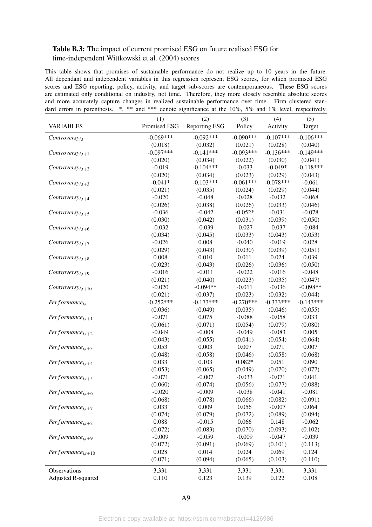#### <span id="page-49-0"></span>Table B.3: The impact of current promised ESG on future realised ESG for time-independent [Wittkowski et al.](#page-26-6) [\(2004\)](#page-26-6) scores

This table shows that promises of sustainable performance do not realize up to 10 years in the future. All dependant and independent variables in this regression represent ESG scores, for which promised ESG scores and ESG reporting, policy, activity, and target sub-scores are contemporaneous. These ESG scores are estimated only conditional on industry, not time. Therefore, they more closely resemble absolute scores and more accurately capture changes in realized sustainable performance over time. Firm clustered standard errors in parenthesis. \*, \*\* and \*\*\* denote significance at the 10%, 5% and 1% level, respectively.

|                               | (1)          | (2)           | (3)         | (4)         | (5)         |
|-------------------------------|--------------|---------------|-------------|-------------|-------------|
| <b>VARIABLES</b>              | Promised ESG | Reporting ESG | Policy      | Activity    | Target      |
| $Controversy_{i,t}$           | $-0.069***$  | $-0.092***$   | $-0.090***$ | $-0.107***$ | $-0.106***$ |
|                               | (0.018)      | (0.032)       | (0.021)     | (0.028)     | (0.040)     |
| $Controversy_{i,t+1}$         | $-0.097***$  | $-0.141***$   | $-0.093***$ | $-0.136***$ | $-0.149***$ |
|                               | (0.020)      | (0.034)       | (0.022)     | (0.030)     | (0.041)     |
| $Controversy_{i,t+2}$         | $-0.019$     | $-0.104***$   | $-0.033$    | $-0.049*$   | $-0.118***$ |
|                               | (0.020)      | (0.034)       | (0.023)     | (0.029)     | (0.043)     |
| $Controversy_{i,t+3}$         | $-0.041*$    | $-0.103***$   | $-0.061***$ | $-0.078***$ | $-0.061$    |
|                               | (0.021)      | (0.035)       | (0.024)     | (0.029)     | (0.044)     |
| $Controversy_{i,t+4}$         | $-0.020$     | $-0.048$      | $-0.028$    | $-0.032$    | $-0.068$    |
|                               | (0.026)      | (0.038)       | (0.026)     | (0.033)     | (0.046)     |
| $Controversy_{i,t+5}$         | $-0.036$     | $-0.042$      | $-0.052*$   | $-0.031$    | $-0.078$    |
|                               | (0.030)      | (0.042)       | (0.031)     | (0.039)     | (0.050)     |
| $Controversy_{i,t+6}$         | $-0.032$     | $-0.039$      | $-0.027$    | $-0.037$    | $-0.084$    |
|                               | (0.034)      | (0.045)       | (0.033)     | (0.043)     | (0.053)     |
| Controversy <sub>i,t+7</sub>  | $-0.026$     | 0.008         | $-0.040$    | $-0.019$    | 0.028       |
|                               | (0.029)      | (0.043)       | (0.030)     | (0.039)     | (0.051)     |
| $Controversy_{i,t+8}$         | 0.008        | 0.010         | 0.011       | 0.024       | 0.039       |
|                               | (0.023)      | (0.043)       | (0.026)     | (0.036)     | (0.050)     |
| Controversy <sub>i.t+9</sub>  | $-0.016$     | $-0.011$      | $-0.022$    | $-0.016$    | $-0.048$    |
|                               | (0.021)      | (0.040)       | (0.023)     | (0.035)     | (0.047)     |
| Controversy <sub>i,t+10</sub> | $-0.020$     | $-0.094**$    | $-0.011$    | $-0.036$    | $-0.098**$  |
|                               | (0.021)      | (0.037)       | (0.023)     | (0.032)     | (0.044)     |
| $Performance_{i,t}$           | $-0.252***$  | $-0.173***$   | $-0.270***$ | $-0.333***$ | $-0.143***$ |
|                               | (0.036)      | (0.049)       | (0.035)     | (0.046)     | (0.055)     |
| $Performance_{i,t+1}$         | $-0.071$     | 0.075         | $-0.088$    | $-0.058$    | 0.033       |
|                               | (0.061)      | (0.071)       | (0.054)     | (0.079)     | (0.080)     |
| Performance <sub>i,t+2</sub>  | $-0.049$     | $-0.008$      | $-0.049$    | $-0.083$    | 0.005       |
|                               | (0.043)      | (0.055)       | (0.041)     | (0.054)     | (0.064)     |
| $Performance_{i,t+3}$         | 0.053        | 0.003         | 0.007       | 0.071       | 0.007       |
|                               | (0.048)      | (0.058)       | (0.046)     | (0.058)     | (0.068)     |
| Performance <sub>i.t+4</sub>  | 0.033        | 0.103         | $0.082*$    | 0.051       | 0.090       |
|                               | (0.053)      | (0.065)       | (0.049)     | (0.070)     | (0.077)     |
| Performance <sub>i.t+5</sub>  | $-0.071$     | $-0.007$      | $-0.033$    | $-0.071$    | 0.041       |
|                               | (0.060)      | (0.074)       | (0.056)     | (0.077)     | (0.088)     |
| $Performance_{i,t+6}$         | $-0.020$     | $-0.009$      | $-0.038$    | $-0.041$    | $-0.081$    |
|                               | (0.068)      | (0.078)       | (0.066)     | (0.082)     | (0.091)     |
| Performance <sub>i.t+7</sub>  | 0.033        | 0.009         | 0.056       | $-0.007$    | 0.064       |
|                               | (0.074)      | (0.079)       | (0.072)     | (0.089)     | (0.094)     |
| Performance <sub>i.t+8</sub>  | 0.088        | $-0.015$      | 0.066       | 0.148       | $-0.062$    |
|                               | (0.072)      | (0.083)       | (0.070)     | (0.093)     | (0.102)     |
| Performance <sub>i.t+9</sub>  | $-0.009$     | $-0.059$      | $-0.009$    | $-0.047$    | $-0.039$    |
|                               | (0.072)      | (0.091)       | (0.069)     | (0.101)     | (0.113)     |
| $Performance_{i,t+10}$        | 0.028        | 0.014         | 0.024       | 0.069       | 0.124       |
|                               | (0.071)      | (0.094)       | (0.065)     | (0.103)     | (0.110)     |
| Observations                  | 3,331        | 3,331         | 3,331       | 3,331       | 3,331       |
| Adjusted R-squared            | 0.110        | 0.123         | 0.139       | 0.122       | 0.108       |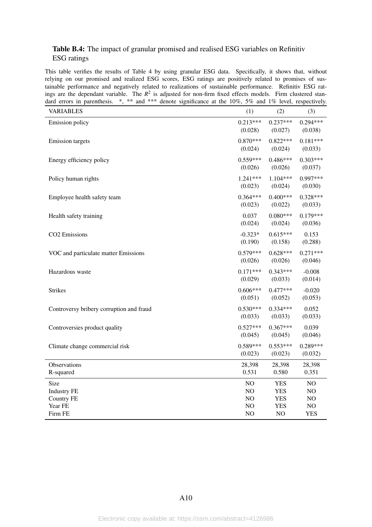#### <span id="page-50-0"></span>Table B.4: The impact of granular promised and realised ESG variables on Refinitiv ESG ratings

This table verifies the results of Table [4](#page-31-0) by using granular ESG data. Specifically, it shows that, without relying on our promised and realized ESG scores, ESG ratings are positively related to promises of sustainable performance and negatively related to realizations of sustainable performance. Refinitiv ESG ratings are the dependant variable. The  $R^2$  is adjusted for non-firm fixed effects models. Firm clustered standard errors in parenthesis. \*, \*\* and \*\*\* denote significance at the 10%, 5% and 1% level, respectively.

| <b>VARIABLES</b>                         | (1)        | (2)        | (3)        |
|------------------------------------------|------------|------------|------------|
| <b>Emission</b> policy                   | $0.213***$ | $0.237***$ | $0.294***$ |
|                                          | (0.028)    | (0.027)    | (0.038)    |
| <b>Emission</b> targets                  | $0.870***$ | $0.822***$ | $0.181***$ |
|                                          | (0.024)    | (0.024)    | (0.033)    |
| Energy efficiency policy                 | $0.559***$ | $0.486***$ | $0.303***$ |
|                                          | (0.026)    | (0.026)    | (0.037)    |
| Policy human rights                      | 1.241***   | 1.104***   | $0.997***$ |
|                                          | (0.023)    | (0.024)    | (0.030)    |
| Employee health safety team              | $0.364***$ | $0.400***$ | $0.328***$ |
|                                          | (0.023)    | (0.022)    | (0.033)    |
| Health safety training                   | 0.037      | $0.080***$ | $0.179***$ |
|                                          | (0.024)    | (0.024)    | (0.036)    |
| CO2 Emissions                            | $-0.323*$  | $0.615***$ | 0.153      |
|                                          | (0.190)    | (0.158)    | (0.288)    |
| VOC and particulate matter Emissions     | $0.579***$ | $0.628***$ | $0.271***$ |
|                                          | (0.026)    | (0.026)    | (0.046)    |
| Hazardous waste                          | $0.171***$ | $0.343***$ | $-0.008$   |
|                                          | (0.029)    | (0.033)    | (0.014)    |
| <b>Strikes</b>                           | $0.606***$ | $0.477***$ | $-0.020$   |
|                                          | (0.051)    | (0.052)    | (0.053)    |
| Controversy bribery corruption and fraud | $0.530***$ | $0.334***$ | 0.052      |
|                                          | (0.033)    | (0.033)    | (0.033)    |
| Controversies product quality            | $0.527***$ | $0.367***$ | 0.039      |
|                                          | (0.045)    | (0.045)    | (0.046)    |
| Climate change commercial risk           | $0.589***$ | $0.553***$ | $0.289***$ |
|                                          | (0.023)    | (0.023)    | (0.032)    |
| Observations                             | 28,398     | 28,398     | 28,398     |
| R-squared                                | 0.531      | 0.580      | 0.351      |
| Size                                     | NO         | <b>YES</b> | NO         |
| <b>Industry FE</b>                       | NO         | <b>YES</b> | NO         |
| <b>Country FE</b>                        | NO         | <b>YES</b> | NO         |
| Year FE                                  | NO         | <b>YES</b> | NO         |
| Firm FE                                  | NO         | NO         | <b>YES</b> |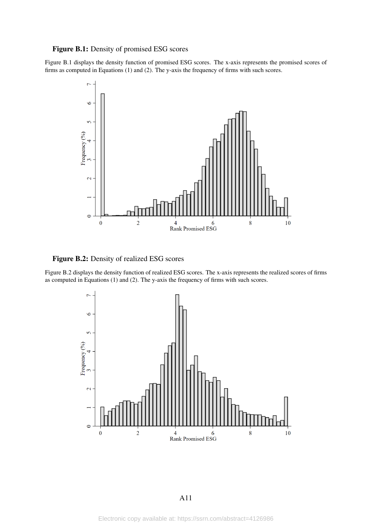#### <span id="page-51-0"></span>Figure B.1: Density of promised ESG scores

Figure [B.1](#page-51-0) displays the density function of promised ESG scores. The x-axis represents the promised scores of firms as computed in Equations [\(1\)](#page-10-0) and [\(2\)](#page-10-1). The y-axis the frequency of firms with such scores.



<span id="page-51-1"></span>Figure B.2: Density of realized ESG scores

Figure [B.2](#page-51-1) displays the density function of realized ESG scores. The x-axis represents the realized scores of firms as computed in Equations [\(1\)](#page-10-0) and [\(2\)](#page-10-1). The y-axis the frequency of firms with such scores.

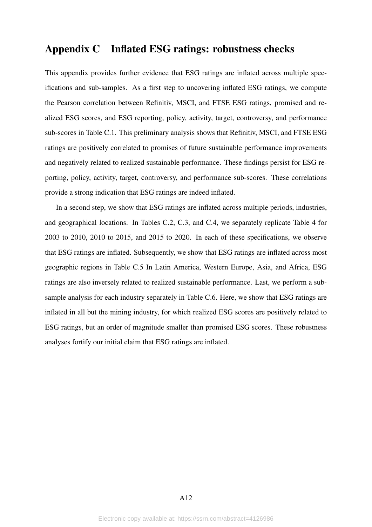# Appendix C Inflated ESG ratings: robustness checks

This appendix provides further evidence that ESG ratings are inflated across multiple specifications and sub-samples. As a first step to uncovering inflated ESG ratings, we compute the Pearson correlation between Refinitiv, MSCI, and FTSE ESG ratings, promised and realized ESG scores, and ESG reporting, policy, activity, target, controversy, and performance sub-scores in Table [C.1.](#page-53-0) This preliminary analysis shows that Refinitiv, MSCI, and FTSE ESG ratings are positively correlated to promises of future sustainable performance improvements and negatively related to realized sustainable performance. These findings persist for ESG reporting, policy, activity, target, controversy, and performance sub-scores. These correlations provide a strong indication that ESG ratings are indeed inflated.

In a second step, we show that ESG ratings are inflated across multiple periods, industries, and geographical locations. In Tables [C.2,](#page-54-0) [C.3,](#page-55-0) and [C.4,](#page-56-0) we separately replicate Table [4](#page-31-0) for 2003 to 2010, 2010 to 2015, and 2015 to 2020. In each of these specifications, we observe that ESG ratings are inflated. Subsequently, we show that ESG ratings are inflated across most geographic regions in Table [C.5](#page-57-0) In Latin America, Western Europe, Asia, and Africa, ESG ratings are also inversely related to realized sustainable performance. Last, we perform a subsample analysis for each industry separately in Table [C.6.](#page-58-0) Here, we show that ESG ratings are inflated in all but the mining industry, for which realized ESG scores are positively related to ESG ratings, but an order of magnitude smaller than promised ESG scores. These robustness analyses fortify our initial claim that ESG ratings are inflated.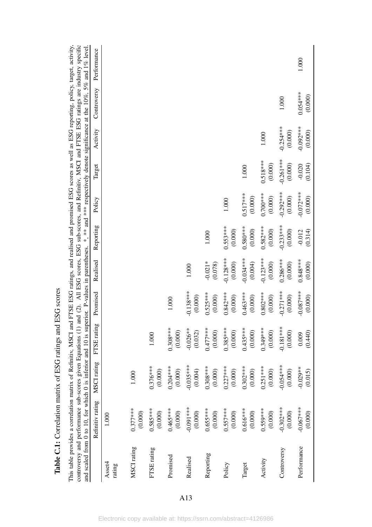<span id="page-53-0"></span>

|                  | and scaled from 0 to 10, for which 0 is inferior and 10 is sup |                        |                        | perior. P-values in parentheses. |                        |                        |                        |                        |                        |                       | *, ** and *** respectively denote significance at the 10%, 5% and 1% level. |
|------------------|----------------------------------------------------------------|------------------------|------------------------|----------------------------------|------------------------|------------------------|------------------------|------------------------|------------------------|-----------------------|-----------------------------------------------------------------------------|
|                  | Refinitiv rating                                               | MSCI rating            | FTSE rating            | Promised                         | Realised               | Reporting              | Policy                 | Target                 | Activity               | Controversy           | Performance                                                                 |
| Asset4<br>rating | 1.000                                                          |                        |                        |                                  |                        |                        |                        |                        |                        |                       |                                                                             |
|                  |                                                                |                        |                        |                                  |                        |                        |                        |                        |                        |                       |                                                                             |
| MSCI rating      | $0.377***$<br>(0.000)                                          | 1.000                  |                        |                                  |                        |                        |                        |                        |                        |                       |                                                                             |
| FTSE rating      | $0.585***$<br>(0.000)                                          | $0.376***$<br>(0.000)  | 1.000                  |                                  |                        |                        |                        |                        |                        |                       |                                                                             |
| Promised         | $0.465***$<br>(0.000)                                          | $0.204***$<br>(0.000)  | $0.308***$<br>(0.000)  | 1.000                            |                        |                        |                        |                        |                        |                       |                                                                             |
| Realised         | $-0.091***$<br>(0.000)                                         | $-0.035***$<br>(0.004) | $-0.026**$<br>(0.032)  | $-0.138***$<br>(0.000)           | 1.000                  |                        |                        |                        |                        |                       |                                                                             |
| Reporting        | $0.653***$<br>(0.000)                                          | $0.308***$<br>(0.000)  | $0.477***$<br>(0.000)  | $0.525***$<br>(0.000)            | $-0.021*$<br>(0.078)   | 1.000                  |                        |                        |                        |                       |                                                                             |
| Policy           | $0.557***$<br>(0.000)                                          | $0.227***$<br>(0.000)  | $0.385***$<br>(0.000)  | $0.842***$<br>(0.000)            | $-0.128***$<br>(0.000) | $0.553***$<br>(0.000)  | 1.000                  |                        |                        |                       |                                                                             |
| Target           | $0.616***$<br>(0.000)                                          | $0.302***$<br>(0.000)  | $0.435***$<br>(0.000)  | $0.463***$<br>(0.000)            | $-0.034***$<br>(0.004) | $0.580***$<br>(0.000)  | $0.517***$<br>(0.000)  | $1.000\,$              |                        |                       |                                                                             |
| Activity         | $0.559***$<br>(0.000)                                          | $0.251***$<br>(0.000)  | $0.349***$<br>(0.000)  | $0.802***$<br>(0.000)            | $-0.123***$<br>(0.000) | $0.582***$<br>(0.000)  | $0.700***$<br>(0.000)  | $0.518***$<br>(0.000)  | 1.000                  |                       |                                                                             |
| Controversy      | $-0.302***$<br>(0.000)                                         | $-0.054***$<br>(0.000) | $-0.181***$<br>(0.000) | $-0.271***$<br>(0.000)           | $0.286***$<br>(0.000)  | $-0.233***$<br>(0.000) | $-0.292***$<br>(0.000) | $-0.261***$<br>(0.000) | $-0.254***$<br>(0.000) | 1.000                 |                                                                             |
| Performance      | $-0.067***$<br>(0.000)                                         | $-0.029**$<br>(0.015)  | (0.440)<br>0.009       | $-0.087***$<br>(0.000)           | $0.848***$<br>(0.000)  | (0.314)<br>$-0.012$    | $-0.072***$<br>(0.000) | (0.104)<br>$-0.020$    | $-0.092***$<br>(0.000) | $0.054***$<br>(0.000) | 1.000                                                                       |

Table C.1: Correlation matrix of ESG ratings and ESG scores Table C.1: Correlation matrix of ESG ratings and ESG scores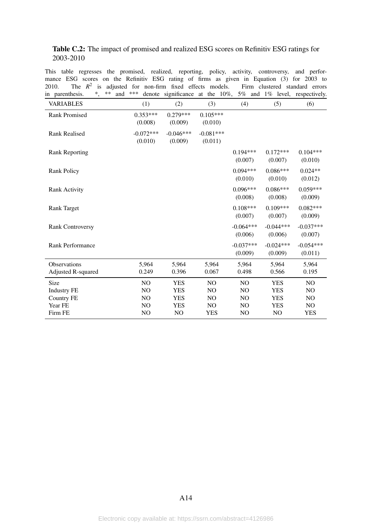#### <span id="page-54-0"></span>Table C.2: The impact of promised and realized ESG scores on Refinitiv ESG ratings for 2003-2010

This table regresses the promised, realized, reporting, policy, activity, controversy, and performance ESG scores on the Refinitiv ESG rating of firms as given in Equation [\(3\)](#page-11-0) for 2003 to 2010. The  $R^2$  is adjusted for non-firm fixed effects models. Firm clustered standard errors in parenthesis. \*, \*\* and \*\*\* denote significance at the 10%, 5% and 1% level, respectively.

| ш рагенинсыз.             | anu | .                      | $\alpha$ denote significance at the $10\%$ , |                        |                        |                        | $J/\theta$ and $I/\theta$ level, respectively. |
|---------------------------|-----|------------------------|----------------------------------------------|------------------------|------------------------|------------------------|------------------------------------------------|
| <b>VARIABLES</b>          |     | (1)                    | (2)                                          | (3)                    | (4)                    | (5)                    | (6)                                            |
| <b>Rank Promised</b>      |     | $0.353***$<br>(0.008)  | $0.279***$<br>(0.009)                        | $0.105***$<br>(0.010)  |                        |                        |                                                |
| <b>Rank Realised</b>      |     | $-0.072***$<br>(0.010) | $-0.046***$<br>(0.009)                       | $-0.081***$<br>(0.011) |                        |                        |                                                |
| <b>Rank Reporting</b>     |     |                        |                                              |                        | $0.194***$<br>(0.007)  | $0.172***$<br>(0.007)  | $0.104***$<br>(0.010)                          |
| <b>Rank Policy</b>        |     |                        |                                              |                        | $0.094***$<br>(0.010)  | $0.086***$<br>(0.010)  | $0.024**$<br>(0.012)                           |
| <b>Rank Activity</b>      |     |                        |                                              |                        | $0.096***$<br>(0.008)  | $0.086***$<br>(0.008)  | $0.059***$<br>(0.009)                          |
| <b>Rank Target</b>        |     |                        |                                              |                        | $0.108***$<br>(0.007)  | $0.109***$<br>(0.007)  | $0.082***$<br>(0.009)                          |
| <b>Rank Controversy</b>   |     |                        |                                              |                        | $-0.064***$<br>(0.006) | $-0.044***$<br>(0.006) | $-0.037***$<br>(0.007)                         |
| <b>Rank Performance</b>   |     |                        |                                              |                        | $-0.037***$<br>(0.009) | $-0.024***$<br>(0.009) | $-0.054***$<br>(0.011)                         |
| Observations              |     | 5,964                  | 5,964                                        | 5,964                  | 5,964                  | 5,964                  | 5,964                                          |
| <b>Adjusted R-squared</b> |     | 0.249                  | 0.396                                        | 0.067                  | 0.498                  | 0.566                  | 0.195                                          |
| Size                      |     | NO                     | <b>YES</b>                                   | N <sub>O</sub>         | N <sub>O</sub>         | <b>YES</b>             | N <sub>O</sub>                                 |
| <b>Industry FE</b>        |     | N <sub>O</sub>         | <b>YES</b>                                   | NO                     | N <sub>O</sub>         | <b>YES</b>             | N <sub>O</sub>                                 |
| <b>Country FE</b>         |     | N <sub>O</sub>         | <b>YES</b>                                   | NO.                    | N <sub>O</sub>         | <b>YES</b>             | N <sub>O</sub>                                 |
| Year FE                   |     | N <sub>O</sub>         | <b>YES</b>                                   | N <sub>O</sub>         | N <sub>O</sub>         | <b>YES</b>             | NO                                             |
| Firm FE                   |     | N <sub>O</sub>         | NO                                           | <b>YES</b>             | N <sub>O</sub>         | NO                     | <b>YES</b>                                     |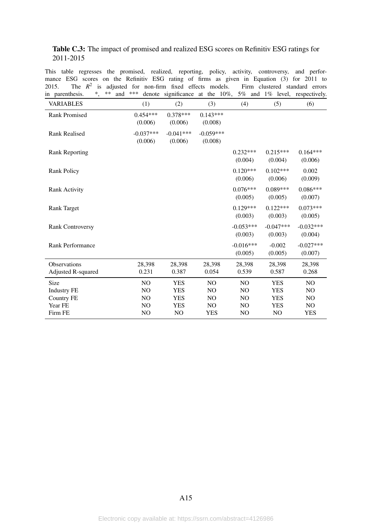#### <span id="page-55-0"></span>Table C.3: The impact of promised and realized ESG scores on Refinitiv ESG ratings for 2011-2015

This table regresses the promised, realized, reporting, policy, activity, controversy, and performance ESG scores on the Refinitiv ESG rating of firms as given in Equation [\(3\)](#page-11-0) for 2011 to 2015. The  $R^2$  is adjusted for non-firm fixed effects models. Firm clustered standard errors in parenthesis. \*, \*\* and \*\*\* denote significance at the 10%, 5% and 1% level, respectively.

| paremments.<br>,      | anu |                        | $\alpha$ . Significance at the $10\%$ , |                        |                        |                        | $\frac{1}{v}$ and $\frac{1}{v}$ identity, respectively. |
|-----------------------|-----|------------------------|-----------------------------------------|------------------------|------------------------|------------------------|---------------------------------------------------------|
| <b>VARIABLES</b>      |     | (1)                    | (2)                                     | (3)                    | (4)                    | (5)                    | (6)                                                     |
| <b>Rank Promised</b>  |     | $0.454***$<br>(0.006)  | $0.378***$<br>(0.006)                   | $0.143***$<br>(0.008)  |                        |                        |                                                         |
| <b>Rank Realised</b>  |     | $-0.037***$<br>(0.006) | $-0.041***$<br>(0.006)                  | $-0.059***$<br>(0.008) |                        |                        |                                                         |
| <b>Rank Reporting</b> |     |                        |                                         |                        | $0.232***$<br>(0.004)  | $0.215***$<br>(0.004)  | $0.164***$<br>(0.006)                                   |
| <b>Rank Policy</b>    |     |                        |                                         |                        | $0.120***$<br>(0.006)  | $0.102***$<br>(0.006)  | 0.002<br>(0.009)                                        |
| <b>Rank Activity</b>  |     |                        |                                         |                        | $0.076***$<br>(0.005)  | $0.089***$<br>(0.005)  | $0.086***$<br>(0.007)                                   |
| <b>Rank Target</b>    |     |                        |                                         |                        | $0.129***$<br>(0.003)  | $0.122***$<br>(0.003)  | $0.073***$<br>(0.005)                                   |
| Rank Controversy      |     |                        |                                         |                        | $-0.053***$<br>(0.003) | $-0.047***$<br>(0.003) | $-0.032***$<br>(0.004)                                  |
| Rank Performance      |     |                        |                                         |                        | $-0.016***$<br>(0.005) | $-0.002$<br>(0.005)    | $-0.027***$<br>(0.007)                                  |
| Observations          |     | 28,398                 | 28,398                                  | 28,398                 | 28,398                 | 28,398                 | 28,398                                                  |
| Adjusted R-squared    |     | 0.231                  | 0.387                                   | 0.054                  | 0.539                  | 0.587                  | 0.268                                                   |
| Size                  |     | N <sub>O</sub>         | <b>YES</b>                              | N <sub>O</sub>         | N <sub>O</sub>         | <b>YES</b>             | NO                                                      |
| <b>Industry FE</b>    |     | NO                     | <b>YES</b>                              | NO                     | N <sub>O</sub>         | <b>YES</b>             | N <sub>O</sub>                                          |
| <b>Country FE</b>     |     | N <sub>O</sub>         | <b>YES</b>                              | N <sub>O</sub>         | N <sub>O</sub>         | <b>YES</b>             | N <sub>O</sub>                                          |
| Year FE               |     | N <sub>O</sub>         | <b>YES</b>                              | N <sub>O</sub>         | N <sub>O</sub>         | <b>YES</b>             | NO                                                      |
| Firm FE               |     | NO                     | NO                                      | <b>YES</b>             | N <sub>O</sub>         | NO                     | <b>YES</b>                                              |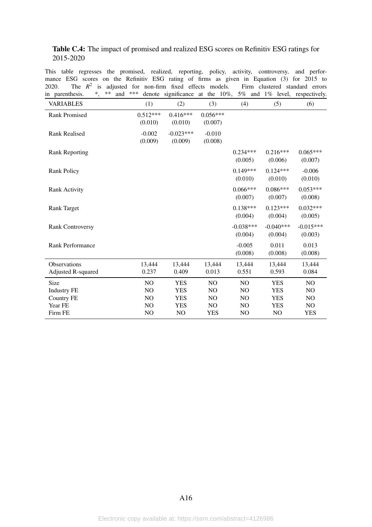#### <span id="page-56-0"></span>Table C.4: The impact of promised and realized ESG scores on Refinitiv ESG ratings for 2015-2020

This table regresses the promised, realized, reporting, policy, activity, controversy, and performance ESG scores on the Refinitiv ESG rating of firms as given in Equation [\(3\)](#page-11-0) for 2015 to 2020. The  $R^2$  is adjusted for non-firm fixed effects models. Firm clustered standard errors in parenthesis. \*, \*\* and \*\*\* denote significance at the 10%, 5% and 1% level, respectively.

| paremments.<br>,                          | anu |                       | $\alpha$ definition and $\alpha$ at the $10\%$ , |                       |                        |                        | $\frac{1}{v}$ and $\frac{1}{v}$ identity, respectively. |
|-------------------------------------------|-----|-----------------------|--------------------------------------------------|-----------------------|------------------------|------------------------|---------------------------------------------------------|
| <b>VARIABLES</b>                          |     | (1)                   | (2)                                              | (3)                   | (4)                    | (5)                    | (6)                                                     |
| <b>Rank Promised</b>                      |     | $0.512***$<br>(0.010) | $0.416***$<br>(0.010)                            | $0.056***$<br>(0.007) |                        |                        |                                                         |
| <b>Rank Realised</b>                      |     | $-0.002$<br>(0.009)   | $-0.023***$<br>(0.009)                           | $-0.010$<br>(0.008)   |                        |                        |                                                         |
| <b>Rank Reporting</b>                     |     |                       |                                                  |                       | $0.234***$<br>(0.005)  | $0.216***$<br>(0.006)  | $0.065***$<br>(0.007)                                   |
| <b>Rank Policy</b>                        |     |                       |                                                  |                       | $0.149***$<br>(0.010)  | $0.124***$<br>(0.010)  | $-0.006$<br>(0.010)                                     |
| <b>Rank Activity</b>                      |     |                       |                                                  |                       | $0.066***$<br>(0.007)  | $0.086***$<br>(0.007)  | $0.053***$<br>(0.008)                                   |
| <b>Rank Target</b>                        |     |                       |                                                  |                       | $0.138***$<br>(0.004)  | $0.123***$<br>(0.004)  | $0.032***$<br>(0.005)                                   |
| <b>Rank Controversy</b>                   |     |                       |                                                  |                       | $-0.038***$<br>(0.004) | $-0.040***$<br>(0.004) | $-0.015***$<br>(0.003)                                  |
| Rank Performance                          |     |                       |                                                  |                       | $-0.005$<br>(0.008)    | 0.011<br>(0.008)       | 0.013<br>(0.008)                                        |
| Observations<br><b>Adjusted R-squared</b> |     | 13,444<br>0.237       | 13.444<br>0.409                                  | 13,444<br>0.013       | 13,444<br>0.551        | 13,444<br>0.593        | 13,444<br>0.084                                         |
| Size                                      |     | NO                    | <b>YES</b>                                       | NO                    | N <sub>O</sub>         | <b>YES</b>             | N <sub>O</sub>                                          |
| <b>Industry FE</b>                        |     | NO                    | <b>YES</b>                                       | NO                    | N <sub>O</sub>         | <b>YES</b>             | NO                                                      |
| <b>Country FE</b>                         |     | NO                    | <b>YES</b>                                       | NO.                   | N <sub>O</sub>         | <b>YES</b>             | N <sub>O</sub>                                          |
| Year FE                                   |     | NO                    | <b>YES</b>                                       | NO                    | NO                     | <b>YES</b>             | NO                                                      |
| Firm FE                                   |     | NO                    | NO                                               | <b>YES</b>            | N <sub>O</sub>         | NO                     | <b>YES</b>                                              |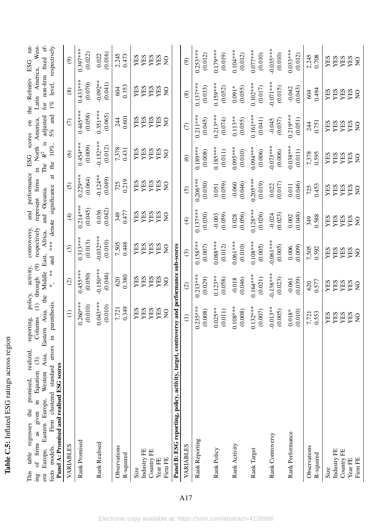| tings across racio<br>$\sum_{i=1}^{n}$<br>č<br>$\frac{1}{2}$ |  |
|--------------------------------------------------------------|--|
| $\ddot{ }$ . Let<br>$\mathbf{H}$<br>:ייטוע<br>IC C<br>J      |  |

|                                      | West-                                                                                                                         |                                              |                                                                                                                   |  |
|--------------------------------------|-------------------------------------------------------------------------------------------------------------------------------|----------------------------------------------|-------------------------------------------------------------------------------------------------------------------|--|
| ESG scores on the Refinitiv ESG rat- | represent firms in North America, Latin America, 1                                                                            | The $R^2$ is adjusted for non-firm fixed ef- | *, ** and *** denote significance at the 10%, $5\%$ and 1% level, respectively.                                   |  |
|                                      |                                                                                                                               |                                              |                                                                                                                   |  |
|                                      |                                                                                                                               |                                              |                                                                                                                   |  |
|                                      |                                                                                                                               |                                              |                                                                                                                   |  |
|                                      |                                                                                                                               |                                              |                                                                                                                   |  |
|                                      |                                                                                                                               |                                              |                                                                                                                   |  |
|                                      |                                                                                                                               |                                              |                                                                                                                   |  |
|                                      |                                                                                                                               |                                              |                                                                                                                   |  |
| and performance                      |                                                                                                                               | and Oceania.                                 |                                                                                                                   |  |
|                                      |                                                                                                                               |                                              |                                                                                                                   |  |
|                                      | reporting, policy, activity, controversy,<br>Columns (1) through (9) respectively<br>Eastern Asia, the Middle East, Africa, a |                                              |                                                                                                                   |  |
|                                      |                                                                                                                               |                                              |                                                                                                                   |  |
|                                      |                                                                                                                               |                                              |                                                                                                                   |  |
|                                      |                                                                                                                               |                                              |                                                                                                                   |  |
| policy, activity,                    |                                                                                                                               |                                              |                                                                                                                   |  |
|                                      |                                                                                                                               |                                              |                                                                                                                   |  |
| reporting,                           |                                                                                                                               |                                              |                                                                                                                   |  |
|                                      |                                                                                                                               |                                              |                                                                                                                   |  |
|                                      |                                                                                                                               |                                              |                                                                                                                   |  |
|                                      |                                                                                                                               |                                              |                                                                                                                   |  |
|                                      |                                                                                                                               |                                              |                                                                                                                   |  |
|                                      |                                                                                                                               |                                              |                                                                                                                   |  |
|                                      | This table regresses the promised, realized, ing of firms as given in Equation (3).                                           |                                              | Europe, Eiastern Europe, rroman and a jarenthesis.<br>ects models. Firm clustered standard errors in parenthesis. |  |
|                                      |                                                                                                                               |                                              |                                                                                                                   |  |
|                                      |                                                                                                                               |                                              |                                                                                                                   |  |
|                                      |                                                                                                                               |                                              |                                                                                                                   |  |

<span id="page-57-0"></span>

| Panel A: Promised and realised ESG scores                   |                                            |                                                    |                                            |                                            |                                            |                                                   |                                                   |                                                   |                                            |
|-------------------------------------------------------------|--------------------------------------------|----------------------------------------------------|--------------------------------------------|--------------------------------------------|--------------------------------------------|---------------------------------------------------|---------------------------------------------------|---------------------------------------------------|--------------------------------------------|
| VARIABLES                                                   | $\ominus$                                  | $\odot$                                            | $\odot$                                    | $\bigoplus$                                | $\odot$                                    | $\circledcirc$                                    | $\in$                                             | $\circledast$                                     | $\widehat{\odot}$                          |
| Rank Promised                                               | $0.260***$<br>(0.010)                      | $0.455***$<br>(0.050)                              | $0.313***$<br>(0.013)                      | $0.214***$<br>(0.045)                      | $0.229***$<br>(0.064)                      | $0.454***$<br>(0.009)                             | $0.445***$<br>(0.058)                             | $0.433***$<br>(0.070)                             | $0.397***$<br>(0.022)                      |
| <b>Rank Realised</b>                                        | $0.043***$<br>(0.010)                      | $-0.150***$<br>(0.046)                             | $-0.032***$<br>(0.010)                     | (0.042)<br>0.036                           | $-0.124**$<br>(0.049)                      | $-0.152***$<br>(0.012)                            | $0.351***$<br>(0.065)                             | $-0.092**$<br>(0.041)                             | (0.016)<br>0.022                           |
| Observations<br>R-squared                                   | 0.349<br>7,721                             | 0.380<br>$620\,$                                   | 0.448<br>7,505                             | 0.477<br>349                               | 0.219<br>725                               | 7,378<br>0.431                                    | 0.601<br>244                                      | 0.353<br>604                                      | 2,245<br>0.473                             |
| Size                                                        | YES                                        | YES                                                | YES                                        | YES                                        | YES                                        | YES                                               | YES                                               | YES                                               | YES                                        |
| Industry FE                                                 | YES                                        | YES                                                | YES                                        | <b>YES</b><br>YES                          | <b>YES</b><br>YES                          | <b>YES</b><br>YES                                 | YES                                               | YES                                               | <b>YES</b><br>YES                          |
| Country FE<br>Year FE                                       | YES<br>YES                                 | YES<br>YES                                         | YES<br>YES                                 | YES                                        | YES                                        | YES                                               | YES<br>YES                                        | YES<br>YES                                        | YES                                        |
| Firm FE                                                     | $\overline{S}$                             | $\mathsf{S}$                                       | $\overline{S}$                             | $\overline{S}$                             | $\overline{S}$                             | $\overline{S}$                                    | $\overline{S}$                                    | $\overline{S}$                                    | $\overline{S}$                             |
| Panel B: ESG reporting, policy, activity, target, controver |                                            | sy and performance sub-scores                      |                                            |                                            |                                            |                                                   |                                                   |                                                   |                                            |
| VARIABLES                                                   | $\bigoplus$                                | $\widehat{\odot}$                                  | $\odot$                                    | $\bigoplus$                                | $\odot$                                    | $\circledcirc$                                    | $\in$                                             | $\circledast$                                     | $\odot$                                    |
| Rank Reporting                                              | $0.235***$<br>(0.008)                      | $0.213***$<br>(0.029)                              | $0.158***$<br>(0.007)                      | $0.137***$<br>(0.030)                      | $0.206***$<br>(0.030)                      | $0.189***$<br>(0.008)                             | $0.211***$<br>(0.045)                             | $0.137***$<br>(0.033)                             | $0.253***$<br>(0.012)                      |
| Rank Policy                                                 | $0.025**$<br>(0.011)                       | $0.123**$<br>(0.058)                               | $0.088***$<br>(0.012)                      | (0.059)<br>$-0.003$                        | (0.059)<br>0.051                           | $0.185***$<br>(0.011)                             | $0.213***$<br>(0.074)                             | $0.159***$<br>(0.052)                             | $0.179***$<br>(0.019)                      |
| Rank Activity                                               | $0.108***$<br>(0.008)                      | (0.046)<br>$-0.018$                                | $0.061***$<br>(0.010)                      | (0.056)<br>0.028                           | (0.046)<br>$-0.060$                        | $0.095***$<br>(0.010)                             | $0.113**$<br>(0.055)                              | $0.091*$<br>(0.055)                               | $0.104***$<br>(0.012)                      |
| Rank Target                                                 | $0.132***$<br>(0.007)                      | $0.164***$<br>(0.021)                              | $0.108***$<br>(0.005)                      | $0.128***$<br>(0.026)                      | $0.205***$<br>(0.019)                      | $0.094***$<br>(0.006)                             | $0.161***$<br>(0.041)                             | $0.102***$<br>(0.017)                             | $0.077***$<br>(0.010)                      |
| Rank Controversy                                            | $-0.013**$<br>(0.005)                      | $-0.138***$<br>(0.023)                             | $-0.061***$<br>(0.005)                     | $-0.024$<br>(0.023)                        | (0.017)<br>0.022                           | $-0.073***$<br>(0.006)                            | $-0.045$<br>(0.037)                               | $-0.071***$<br>(0.015)                            | $-0.035***$<br>(0.010)                     |
| Rank Performance                                            | $0.018*$<br>(0.010)                        | (0.039)<br>$-0.061$                                | (0.009)<br>0.006                           | (0.048)<br>0.002                           | (0.046)<br>0.011                           | $-0.038***$<br>(0.011)                            | $0.219***$<br>(0.051)                             | (0.043)<br>$-0.042$                               | $0.033***$<br>(0.012)                      |
| Observations<br>R-squared                                   | 0.553<br>7,721                             | 0.577<br>620                                       | 7,505<br>0.592                             | 0.588<br>349                               | 0.453<br>725                               | 7,378<br>0.595                                    | 0.751<br>244                                      | 0.494<br>604                                      | 0.708<br>2,245                             |
| Industry FE<br>Country FE<br>Firm FE<br>Year FE<br>Size     | YES<br>YES<br>YES<br>YES<br>$\overline{Q}$ | YES<br><b>YES<br/>YES</b><br>YES<br>$\overline{S}$ | YES<br>YES<br>YES<br>YES<br>$\overline{S}$ | YES<br>YES<br>YES<br>YES<br>$\overline{S}$ | YES<br>YES<br>YES<br>YES<br>$\overline{S}$ | YES<br><b>YES</b><br>YES<br>YES<br>$\overline{S}$ | <b>XES</b><br>YES<br>YES<br>YES<br>$\overline{Q}$ | YES<br><b>YES</b><br>YES<br>YES<br>$\overline{S}$ | YES<br>YES<br>YES<br>YES<br>$\overline{S}$ |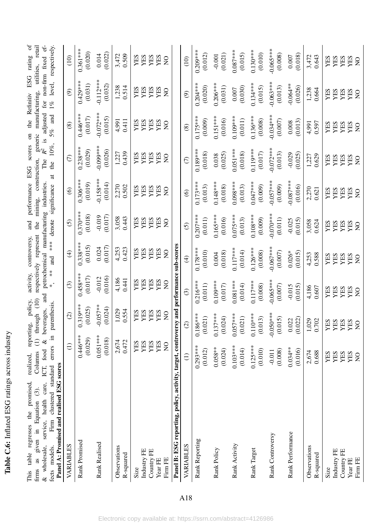| こうこう               |
|--------------------|
|                    |
| motive concern     |
|                    |
| くし                 |
| $\frac{1}{2}$<br>i |
|                    |
| l                  |
|                    |

firms as given in Equation (3). Columns (1) through (10) respectively represent the mining, construction, generic manufacturing, utilities, retail & wholesale, service, health care, ICT, food & beverages, and petrochemica This table regresses the promised, realized, reporting, policy, activity, controversy, and performance ESG scores on the Refinitiv ESG rating of This table regresses the promised, realized, reporting, policy, activity, controversy, and performance ESG scores on the Refinitiv ESG rating of firms as given in Equation [\(3\)](#page-11-0). Columns (1) through (10) respectively represent the mining, construction, generic manufacturing, utilities, retail & wholesale, service, health care, ICT, food & beverages, and petrochemical manufacturing industries. The *R*2 is adjusted for non-firm fixed effects models. Firm clustered standard errors in parenthesis. \*, \*\* and \*\*\* denote significance at the 10%, 5% and 1% level, respectively.

<span id="page-58-0"></span>

| Panel A: Promised and realised ESG scores<br><b>Stanual</b> u<br>naman<br>шш<br>IIIUULIS.<br>nnois<br>S | Ę<br>ern nn o            | parentussis.                     | $\ddot{\phantom{0}}$                | ₫<br>J                   |                                     |                          | $\frac{100}{100}$ significance at the $\frac{10}{10}$ , |                                              | $J$ / $\theta$ and $I$ / $\theta$ it is productively. |                                 |
|---------------------------------------------------------------------------------------------------------|--------------------------|----------------------------------|-------------------------------------|--------------------------|-------------------------------------|--------------------------|---------------------------------------------------------|----------------------------------------------|-------------------------------------------------------|---------------------------------|
| VARIABLES                                                                                               | $\bigoplus$              | $\odot$                          | $\odot$                             | $\bigoplus$              | $\odot$                             | $\circledcirc$           | $\epsilon$                                              | $\circledast$                                | $\circledcirc$                                        | (10)                            |
| Rank Promised                                                                                           | $0.446***$<br>(0.029)    | $0.319***$<br>(0.025)            | $0.458***$<br>(0.017)               | $0.338***$<br>(0.015)    | $0.370***$<br>(0.018)               | $0.306***$<br>(0.019)    | $0.238***$<br>(0.029)                                   | $0.446***$<br>(0.017)                        | $0.429***$<br>(0.031)                                 | $0.361***$<br>(0.020)           |
| Rank Realised                                                                                           | $0.051***$<br>(0.018)    | $-0.057**$<br>(0.024)            | (0.016)<br>$-0.012$                 | (0.017)<br>0.024         | (0.017)<br>$-0.019$                 | $-0.158***$<br>(0.014)   | $-0.099***$<br>(0.026)                                  | $-0.072***$<br>(0.015)                       | $-0.112***$<br>(0.032)                                | (0.022)<br>0.014                |
| Observations<br>R-squared                                                                               | 2,674<br>0.472           | 0.554<br>1,029                   | 4,186<br>0.441                      | 0.423<br>4,253           | $3,058$<br>0.443                    | 0.502<br>2,270           | 0.439<br>1,227                                          | 0.411<br>4,991                               | 1,238<br>0.514                                        | $3,472$<br>0.509                |
| Size                                                                                                    | YES                      | YES                              | <b>YES</b><br>YES                   | <b>YES</b><br>YES        | YES                                 | <b>YES</b><br>YES        | <b>YES</b><br>YES                                       | <b>YES</b><br>YES                            | <b>YES</b><br>YES                                     | <b>YES</b><br>YES               |
| Industry FE<br>Country FE                                                                               | YES<br>YES               | YES<br>YES                       |                                     | YES                      | YES                                 | YES                      | YES                                                     |                                              | YES                                                   | YES                             |
| Firm FE<br>Year FE                                                                                      | YES<br>$\sum_{i=1}^{n}$  | YES<br>$\frac{1}{2}$             | <b>YES</b><br>YES<br>$\overline{S}$ | YES<br>$\overline{S}$    | <b>YES</b><br>YES<br>$\overline{Q}$ | YES<br>$\overline{S}$    | YES<br>$\overline{Q}$                                   | <b>YES</b><br>YES<br>$\overline{Q}$          | YES<br>$\overline{Q}$                                 | YES<br>$\overline{Q}$           |
| Panel B: ESG reporting, policy, activity, target, controversy and performance sub-scores                |                          |                                  |                                     |                          |                                     |                          |                                                         |                                              |                                                       |                                 |
| VARIABLES                                                                                               | $\widehat{\Xi}$          | $\odot$                          | $\odot$                             | $\bigoplus$              | $\odot$                             | $\circledcirc$           | $\in$                                                   | $\circledS$                                  | $\odot$                                               | (10)                            |
| Rank Reporting                                                                                          | $0.293***$<br>(0.012)    | $0.186***$<br>(0.021)            | $0.216***$<br>(0.011)               | $0.178***$<br>(0.010)    | $0.207***$<br>(0.011)               | $0.173***$<br>(0.013)    | $0.189***$<br>(0.018)                                   | $0.175***$<br>(0.009)                        | $0.204***$<br>(0.020)                                 | $0.209***$<br>(0.012)           |
| Rank Policy                                                                                             | $0.058***$<br>(0.024)    | $0.137***$<br>(0.024)            | $0.109***$<br>(0.017)               | (0.018)<br>0.004         | $0.165***$<br>(0.016)               | $0.148***$<br>(0.018)    | (0.025)<br>0.038                                        | $0.151***$<br>(0.016)                        | $0.206***$<br>(0.031)                                 | (0.021)<br>$-0.001$             |
| Rank Activity                                                                                           | $0.103***$<br>(0.014)    | $0.057***$<br>(0.021)            | $0.081***$<br>(0.014)               | $0.117***$<br>(0.014)    | $0.075***$<br>(0.013)               | $0.098***$<br>(0.013)    | $0.051***$<br>(0.018)                                   | $0.109***$<br>(0.011)                        | (0.030)<br>0.007                                      | $0.087***$<br>(0.015)           |
| Rank Target                                                                                             | $0.125***$<br>(0.010)    | $0.110***$<br>(0.013)            | $0.117***$<br>(0.008)               | $0.126***$<br>(0.008)    | $0.108***$<br>(0.009)               | $0.047***$<br>(0.009)    | $0.119***$<br>(0.017)                                   | $0.136***$<br>(0.008)                        | $0.134***$<br>(0.015)                                 | $0.130***$<br>(0.010)           |
| Rank Controversy                                                                                        | (0.008)<br>$-0.011$      | $-0.050***$<br>(0.015)           | $-0.065***$<br>(0.007)              | $-0.067***$<br>(0.007)   | $-0.070***$<br>(0.011)              | $-0.057***$<br>(0.009)   | $-0.072***$<br>(0.013)                                  | $-0.034***$<br>(0.007)                       | $-0.063***$<br>(0.013)                                | $-0.065***$<br>(0.008)          |
| Rank Performance                                                                                        | $0.034***$<br>(0.016)    | $\frac{0.022}{0.022}$            | $-0.015$<br>(0.015)                 | $0.026*$<br>(0.015)      | (0.015)<br>$-0.025$                 | $-0.087***$<br>(0.016)   | (0.025)<br>$-0.029$                                     | (0.013)<br>0.008                             | $-0.064**$<br>(0.026)                                 | (0.018)<br>0.007                |
| Observations<br>R-squared                                                                               | 2,674<br>0.688           | 1,029<br>0.702                   | 4,186<br>0.607                      | 0.588<br>4,253           | 3,058<br>0.624                      | 2,270<br>0.621           | 1,227<br>0.629                                          | 4,991<br>0.597                               | 1,238<br>0.664                                        | 3,472<br>0.643                  |
| Industry FE<br>Country FE<br>Year FE<br>Size                                                            | YES<br>YES<br>YES<br>YES | YES<br>YES<br><b>YES<br/>NES</b> | YES<br>YES<br>YES<br>YES            | YES<br>YES<br>YES<br>YES | YES<br><b>YES<br/>YES</b>           | YES<br>YES<br>YES<br>YES | YES<br>YES<br>YES<br>YES                                | <b>YES</b><br>YES<br>YES<br><b>YES</b><br>NO | YES<br>YES<br><b>YES<br/>YES</b>                      | YES<br><b>YES</b><br>YES<br>YES |
| Firm FE                                                                                                 | $\overline{S}$           |                                  | $\rm S$                             | $\overline{S}$           | $\overline{S}$                      | $\overline{S}$           | $\overline{Q}$                                          |                                              | $\overline{Q}$                                        | $\overline{Q}$                  |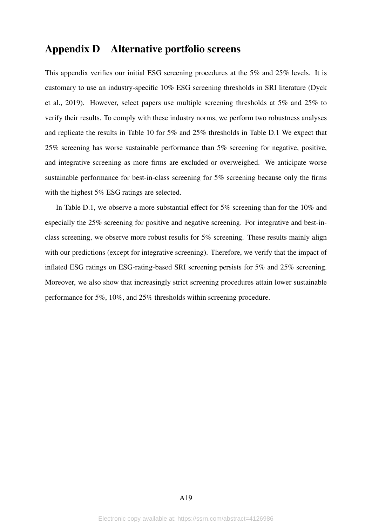# Appendix D Alternative portfolio screens

This appendix verifies our initial ESG screening procedures at the 5% and 25% levels. It is customary to use an industry-specific 10% ESG screening thresholds in SRI literature [\(Dyck](#page-24-1) [et al., 2019\)](#page-24-1). However, select papers use multiple screening thresholds at 5% and 25% to verify their results. To comply with these industry norms, we perform two robustness analyses and replicate the results in Table 10 for 5% and 25% thresholds in Table [D.1](#page-60-0) We expect that 25% screening has worse sustainable performance than 5% screening for negative, positive, and integrative screening as more firms are excluded or overweighed. We anticipate worse sustainable performance for best-in-class screening for 5% screening because only the firms with the highest 5% ESG ratings are selected.

In Table [D.1,](#page-60-0) we observe a more substantial effect for 5% screening than for the 10% and especially the 25% screening for positive and negative screening. For integrative and best-inclass screening, we observe more robust results for 5% screening. These results mainly align with our predictions (except for integrative screening). Therefore, we verify that the impact of inflated ESG ratings on ESG-rating-based SRI screening persists for 5% and 25% screening. Moreover, we also show that increasingly strict screening procedures attain lower sustainable performance for 5%, 10%, and 25% thresholds within screening procedure.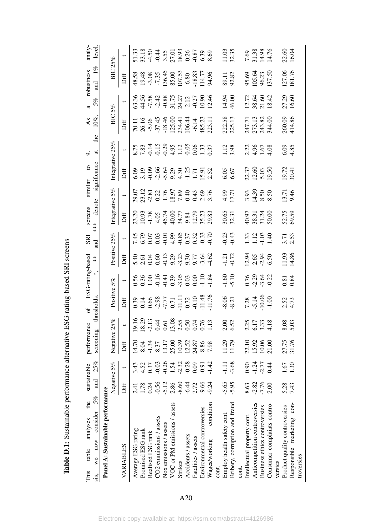<span id="page-60-0"></span>

| the<br>analyses<br>table<br>This |           | sustainable        | performance  |                                                                                                                                                                                                                                                                                                                                              | đ                                                                                                                                                                                                                                                                                                             | ESG-rating-based                                                                                                               |                       | <b>SR</b>                                                                                                                      | screens                                                | similar                                                                                                                          | $\overline{c}$                                                                  |                                                                                    | $\mathsf{A}\mathsf{s}$                                                     |                                                                                                                                            | robustness                                                                              | analy-                                                                            |
|----------------------------------|-----------|--------------------|--------------|----------------------------------------------------------------------------------------------------------------------------------------------------------------------------------------------------------------------------------------------------------------------------------------------------------------------------------------------|---------------------------------------------------------------------------------------------------------------------------------------------------------------------------------------------------------------------------------------------------------------------------------------------------------------|--------------------------------------------------------------------------------------------------------------------------------|-----------------------|--------------------------------------------------------------------------------------------------------------------------------|--------------------------------------------------------|----------------------------------------------------------------------------------------------------------------------------------|---------------------------------------------------------------------------------|------------------------------------------------------------------------------------|----------------------------------------------------------------------------|--------------------------------------------------------------------------------------------------------------------------------------------|-----------------------------------------------------------------------------------------|-----------------------------------------------------------------------------------|
| consider<br>now<br>We<br>SIS,    | and<br>5% | 25%                | screening    |                                                                                                                                                                                                                                                                                                                                              | thresholds                                                                                                                                                                                                                                                                                                    | *.                                                                                                                             | $\stackrel{*}{*}$     | nd<br>and                                                                                                                      | denote<br>***                                          |                                                                                                                                  | significance                                                                    | the                                                                                | $10\%$                                                                     | 5%                                                                                                                                         | $1\%$<br>and                                                                            | level                                                                             |
| Panel A: Sustainable performance |           |                    |              |                                                                                                                                                                                                                                                                                                                                              |                                                                                                                                                                                                                                                                                                               |                                                                                                                                |                       |                                                                                                                                |                                                        |                                                                                                                                  |                                                                                 |                                                                                    |                                                                            |                                                                                                                                            |                                                                                         |                                                                                   |
|                                  |           | Negative 5%        | Negative 25% |                                                                                                                                                                                                                                                                                                                                              | Positive                                                                                                                                                                                                                                                                                                      | 5%                                                                                                                             | Positive 25%          |                                                                                                                                |                                                        | ntegrative 5%                                                                                                                    | Integrative $25\%$                                                              |                                                                                    | $_{\rm BC}$                                                                | 5%                                                                                                                                         | BIC                                                                                     | 25%                                                                               |
| VARIABLES                        | Diff      |                    | Diff         |                                                                                                                                                                                                                                                                                                                                              | Diff                                                                                                                                                                                                                                                                                                          |                                                                                                                                | Diff                  | $\overline{\phantom{0}}$                                                                                                       | Diff                                                   |                                                                                                                                  | Diff                                                                            | $\overline{\phantom{0}}$                                                           | Diff                                                                       |                                                                                                                                            | Diff                                                                                    |                                                                                   |
| Average ESG rating               | 2.41      | 3.43               | 14.70        |                                                                                                                                                                                                                                                                                                                                              | $\begin{array}{c} 0.39 \\ 0.14 \\ 0.66 \\ 0.77 \\ 0.71 \\ 0.71 \\ 0.72 \\ 0.94 \\ 0.94 \\ 0.14 \\ 0.72 \\ 0.94 \\ 0.17 \\ 0.74 \\ 0.17 \\ 0.11 \\ 0.11 \\ 0.12 \\ 0.13 \\ 0.14 \\ 0.14 \\ 0.15 \\ 0.15 \\ 0.17 \\ 0.17 \\ 0.17 \\ 0.17 \\ 0.17 \\ 0.17 \\ 0.17 \\ 0.17 \\ 0.17 \\ 0.17 \\ 0.17 \\ 0.17 \\ 0.$ |                                                                                                                                |                       |                                                                                                                                |                                                        |                                                                                                                                  |                                                                                 |                                                                                    |                                                                            |                                                                                                                                            |                                                                                         |                                                                                   |
| Promised ESG rank                | 1.78      | 4.52               | 8.04         |                                                                                                                                                                                                                                                                                                                                              |                                                                                                                                                                                                                                                                                                               |                                                                                                                                |                       |                                                                                                                                |                                                        |                                                                                                                                  |                                                                                 |                                                                                    |                                                                            |                                                                                                                                            |                                                                                         |                                                                                   |
| Realised ESG rank                | 0.24      | 0.37               | $-1.34$      |                                                                                                                                                                                                                                                                                                                                              |                                                                                                                                                                                                                                                                                                               |                                                                                                                                |                       |                                                                                                                                |                                                        |                                                                                                                                  |                                                                                 |                                                                                    |                                                                            |                                                                                                                                            |                                                                                         |                                                                                   |
| CO2 emmissions / assets          | $-0.56$   | $-0.03$            | 8.37         | $\begin{array}{l} 19.16 \\ 19.29 \\ 13.11 \\ -1.13 \\ 0.61 \\ -1.13 \\ -1.13 \\ -1.13 \\ -1.13 \\ -1.13 \\ -1.13 \\ -1.13 \\ -1.13 \\ -1.13 \\ -1.13 \\ -1.13 \\ -1.13 \\ -1.13 \\ -1.13 \\ -1.13 \\ -1.13 \\ -1.13 \\ -1.13 \\ -1.13 \\ -1.13 \\ -1.13 \\ -1.13 \\ -1.13 \\ -1.13 \\ -1.13 \\ -1.13 \\ -1.13 \\ -1.13 \\ -1.13 \\ -1.13 \\$ |                                                                                                                                                                                                                                                                                                               | $0.56$<br>$0.36$<br>$0.41$<br>$0.36$<br>$0.36$<br>$0.36$<br>$0.36$<br>$0.36$<br>$0.14$<br>$0.36$<br>$0.36$<br>$0.14$<br>$0.36$ |                       | $7.45$<br>$6.05$<br>$6.05$<br>$6.05$<br>$6.05$<br>$6.05$<br>$6.05$<br>$6.05$<br>$6.05$<br>$6.05$<br>$6.05$<br>$6.05$<br>$6.05$ | 23.20<br>10.93<br>11.78<br>14.49.45.2020<br>12.78.2020 | $29.572$<br>$23.781$<br>$25.781$<br>$25.781$<br>$25.781$<br>$25.781$<br>$25.781$<br>$25.781$<br>$25.781$<br>$25.781$<br>$25.781$ |                                                                                 |                                                                                    | 10.11<br>26.16<br>36.43 44<br>57.43 44<br>58.23.11<br>28.43 44<br>48.23.11 |                                                                                                                                            |                                                                                         |                                                                                   |
| Nox emissions / assets           | $-5.12$   | $-0.26$            | 13.17        |                                                                                                                                                                                                                                                                                                                                              |                                                                                                                                                                                                                                                                                                               |                                                                                                                                |                       |                                                                                                                                |                                                        |                                                                                                                                  |                                                                                 |                                                                                    |                                                                            |                                                                                                                                            |                                                                                         |                                                                                   |
| VOC or PM emissions / assets     | 2.86      | 1.54               | 25.00        |                                                                                                                                                                                                                                                                                                                                              |                                                                                                                                                                                                                                                                                                               |                                                                                                                                |                       |                                                                                                                                |                                                        |                                                                                                                                  |                                                                                 |                                                                                    |                                                                            |                                                                                                                                            |                                                                                         |                                                                                   |
| Strikes                          | $-8.60$   | $-2.32$            | 10.39        |                                                                                                                                                                                                                                                                                                                                              |                                                                                                                                                                                                                                                                                                               |                                                                                                                                |                       |                                                                                                                                |                                                        |                                                                                                                                  |                                                                                 |                                                                                    |                                                                            |                                                                                                                                            |                                                                                         |                                                                                   |
| Accidents / assets               | $-6.44$   | $-0.28$            | 12.52        |                                                                                                                                                                                                                                                                                                                                              |                                                                                                                                                                                                                                                                                                               |                                                                                                                                |                       |                                                                                                                                |                                                        |                                                                                                                                  |                                                                                 |                                                                                    |                                                                            |                                                                                                                                            |                                                                                         |                                                                                   |
| Fatalities / assets              | 2.72      | 0.09               | 24.87        |                                                                                                                                                                                                                                                                                                                                              |                                                                                                                                                                                                                                                                                                               |                                                                                                                                |                       |                                                                                                                                |                                                        |                                                                                                                                  |                                                                                 |                                                                                    |                                                                            |                                                                                                                                            |                                                                                         |                                                                                   |
| Environmental controversies      | $-9.66$   | $-0.91$            | 8.86         |                                                                                                                                                                                                                                                                                                                                              |                                                                                                                                                                                                                                                                                                               |                                                                                                                                |                       |                                                                                                                                |                                                        |                                                                                                                                  |                                                                                 |                                                                                    |                                                                            |                                                                                                                                            |                                                                                         |                                                                                   |
| condition<br>Wages/working       | $-9.24$   | $-1.42$            | 7.98         |                                                                                                                                                                                                                                                                                                                                              |                                                                                                                                                                                                                                                                                                               |                                                                                                                                |                       |                                                                                                                                |                                                        |                                                                                                                                  | $6.99$<br>$3.9$<br>$9.9$<br>$9.4$<br>$1.7$<br>$1.9$<br>$1.5$<br>$1.5$<br>$2.52$ | 8.75<br>7.83<br>7.9.95<br>7.9.95<br>7.9.95<br>7.9.95<br>7.9.95<br>7.9.95<br>7.9.95 |                                                                            | $63.36$<br>$44.58$<br>$7.58$<br>$7.48$<br>$7.58$<br>$7.51$<br>$7.51$<br>$7.51$<br>$7.51$<br>$7.50$<br>$7.51$<br>$7.50$<br>$7.50$<br>$7.51$ | 48.58<br>19.48<br>19.645<br>136.45<br>136.53<br>0.80<br>0.80<br>14.77<br>14.77<br>14.77 | 51.33<br>33.180<br>4.50.51.50.50.50.60<br>4.50.50.50.50.50<br>5.33.50.50.50.50.50 |
| cont.                            |           |                    |              |                                                                                                                                                                                                                                                                                                                                              |                                                                                                                                                                                                                                                                                                               |                                                                                                                                |                       |                                                                                                                                |                                                        |                                                                                                                                  |                                                                                 |                                                                                    |                                                                            |                                                                                                                                            |                                                                                         |                                                                                   |
| Employ health safety cont.       | $-5.65$   | $-1.11$            | 11.29        | 2.00<br>6.52                                                                                                                                                                                                                                                                                                                                 | $-8.21$                                                                                                                                                                                                                                                                                                       | $-1.60$                                                                                                                        | $-1.21$<br>$-0.72$    | 0.23                                                                                                                           | 30.65<br>32.31                                         | 4.99<br>17.71                                                                                                                    | 6.67                                                                            | 1.12                                                                               |                                                                            |                                                                                                                                            | 89.11<br>92.82                                                                          | 11.03<br>32.35                                                                    |
| Bribery, corruption and fraud    | $-5.95$   | $-3.68$            | 11.79        |                                                                                                                                                                                                                                                                                                                                              |                                                                                                                                                                                                                                                                                                               |                                                                                                                                |                       |                                                                                                                                |                                                        |                                                                                                                                  |                                                                                 |                                                                                    | 222.58<br>225.13                                                           | 14.94<br>46.00                                                                                                                             |                                                                                         |                                                                                   |
| cont.                            |           |                    |              |                                                                                                                                                                                                                                                                                                                                              |                                                                                                                                                                                                                                                                                                               |                                                                                                                                |                       |                                                                                                                                |                                                        |                                                                                                                                  |                                                                                 |                                                                                    |                                                                            |                                                                                                                                            |                                                                                         |                                                                                   |
| Intellectual property cont.      | 8.63      | 0.90               | 22.10        |                                                                                                                                                                                                                                                                                                                                              |                                                                                                                                                                                                                                                                                                               |                                                                                                                                |                       |                                                                                                                                |                                                        |                                                                                                                                  |                                                                                 |                                                                                    |                                                                            |                                                                                                                                            |                                                                                         |                                                                                   |
| Anticompetition controversies    | $-2.82$   |                    | 15.92        |                                                                                                                                                                                                                                                                                                                                              |                                                                                                                                                                                                                                                                                                               |                                                                                                                                |                       |                                                                                                                                |                                                        |                                                                                                                                  |                                                                                 |                                                                                    |                                                                            |                                                                                                                                            |                                                                                         |                                                                                   |
| Business ethics controversies    | $-7.76$   | $-1.24$<br>$-2.77$ | 10.06        | 2.25<br>6.17<br>4.18                                                                                                                                                                                                                                                                                                                         |                                                                                                                                                                                                                                                                                                               | $0.76$<br>$-2.29$<br>$-3.61$<br>$-0.22$                                                                                        |                       | $1.33$<br>$1.12$<br>$1.40$<br>$1.40$                                                                                           | 40.97<br>88.31<br>50.00<br>50.00                       | 3.93<br>0.39<br>0.50<br>0.50                                                                                                     | 237<br>200<br>200<br>201                                                        |                                                                                    |                                                                            |                                                                                                                                            |                                                                                         |                                                                                   |
| Consumer complaints contro-      | 2.00      | 0.44               | 21.00        |                                                                                                                                                                                                                                                                                                                                              | $7.28$<br>$-5.14$<br>$-1.06$<br>$-1.00$                                                                                                                                                                                                                                                                       |                                                                                                                                | 12.94<br>2.65<br>6.50 |                                                                                                                                |                                                        |                                                                                                                                  |                                                                                 | 2.35<br>4.56<br>4.67<br>4.68                                                       | 247.71<br>273.13<br>243.82<br>344.00                                       | 12.72<br>38.64<br>18.42<br>18.42                                                                                                           | 95.69<br>105.64<br>96.23<br>137.50                                                      | 7.69<br>31.38<br>14.76<br>14.76                                                   |
| versies                          |           |                    |              |                                                                                                                                                                                                                                                                                                                                              |                                                                                                                                                                                                                                                                                                               |                                                                                                                                |                       |                                                                                                                                |                                                        |                                                                                                                                  |                                                                                 |                                                                                    |                                                                            |                                                                                                                                            |                                                                                         |                                                                                   |
| Product quality controversies    | 5.28      | 1.67               | 27.75        | 8.03                                                                                                                                                                                                                                                                                                                                         | 2.52<br>4.73                                                                                                                                                                                                                                                                                                  | $0.81$<br>0.84                                                                                                                 | $\frac{1.93}{14.86}$  | 3.71<br>2.53                                                                                                                   | 52.75<br>59.59                                         | $13.71$<br>9.46                                                                                                                  | 19.72<br>30.41                                                                  | 5.85<br>4.85                                                                       | 260.09<br>414.86                                                           | 27.29<br>16.60                                                                                                                             | 127.06<br>181.76                                                                        | 22.60<br>16.04                                                                    |
| Responsible marketing con-       | 7.43      | 1.30               | 31.76        |                                                                                                                                                                                                                                                                                                                                              |                                                                                                                                                                                                                                                                                                               |                                                                                                                                |                       |                                                                                                                                |                                                        |                                                                                                                                  |                                                                                 |                                                                                    |                                                                            |                                                                                                                                            |                                                                                         |                                                                                   |
| troversies                       |           |                    |              |                                                                                                                                                                                                                                                                                                                                              |                                                                                                                                                                                                                                                                                                               |                                                                                                                                |                       |                                                                                                                                |                                                        |                                                                                                                                  |                                                                                 |                                                                                    |                                                                            |                                                                                                                                            |                                                                                         |                                                                                   |

Table D.1: Sustainable performance alternative ESG-rating-based SRI screens Table D.1: Sustainable performance alternative ESG-rating-based SRI screens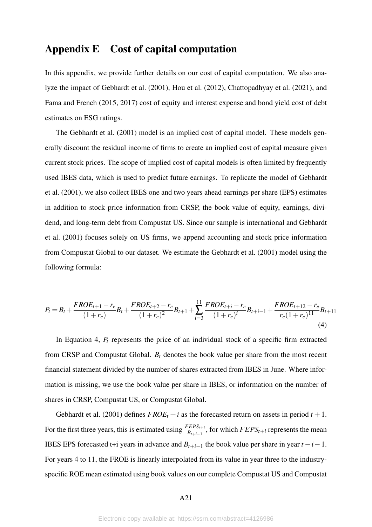# Appendix E Cost of capital computation

In this appendix, we provide further details on our cost of capital computation. We also analyze the impact of [Gebhardt et al.](#page-25-14) [\(2001\)](#page-25-14), [Hou et al.](#page-25-15) [\(2012\)](#page-25-15), [Chattopadhyay et al.](#page-24-13) [\(2021\)](#page-24-13), and [Fama and French](#page-25-12) [\(2015,](#page-25-12) [2017\)](#page-25-13) cost of equity and interest expense and bond yield cost of debt estimates on ESG ratings.

The [Gebhardt et al.](#page-25-14) [\(2001\)](#page-25-14) model is an implied cost of capital model. These models generally discount the residual income of firms to create an implied cost of capital measure given current stock prices. The scope of implied cost of capital models is often limited by frequently used IBES data, which is used to predict future earnings. To replicate the model of [Gebhardt](#page-25-14) [et al.](#page-25-14) [\(2001\)](#page-25-14), we also collect IBES one and two years ahead earnings per share (EPS) estimates in addition to stock price information from CRSP, the book value of equity, earnings, dividend, and long-term debt from Compustat US. Since our sample is international and [Gebhardt](#page-25-14) [et al.](#page-25-14) [\(2001\)](#page-25-14) focuses solely on US firms, we append accounting and stock price information from Compustat Global to our dataset. We estimate the [Gebhardt et al.](#page-25-14) [\(2001\)](#page-25-14) model using the following formula:

<span id="page-61-0"></span>
$$
P_{t} = B_{t} + \frac{FROE_{t+1} - r_{e}}{(1+r_{e})}B_{t} + \frac{FROE_{t+2} - r_{e}}{(1+r_{e})^{2}}B_{t+1} + \sum_{i=3}^{11} \frac{FROE_{t+i} - r_{e}}{(1+r_{e})^{i}}B_{t+i-1} + \frac{FROE_{t+12} - r_{e}}{r_{e}(1+r_{e})^{11}}B_{t+11}
$$
\n(4)

In Equation [4,](#page-61-0) *P<sup>t</sup>* represents the price of an individual stock of a specific firm extracted from CRSP and Compustat Global. *B<sup>t</sup>* denotes the book value per share from the most recent financial statement divided by the number of shares extracted from IBES in June. Where information is missing, we use the book value per share in IBES, or information on the number of shares in CRSP, Compustat US, or Compustat Global.

[Gebhardt et al.](#page-25-14) [\(2001\)](#page-25-14) defines  $FROE_t + i$  as the forecasted return on assets in period  $t + 1$ . For the first three years, this is estimated using  $\frac{FEPS_{t+i}}{B_{t+i-1}}$ , for which  $FEPS_{t+i}$  represents the mean IBES EPS forecasted t+i years in advance and  $B_{t+i-1}$  the book value per share in year  $t-i-1$ . For years 4 to 11, the FROE is linearly interpolated from its value in year three to the industryspecific ROE mean estimated using book values on our complete Compustat US and Compustat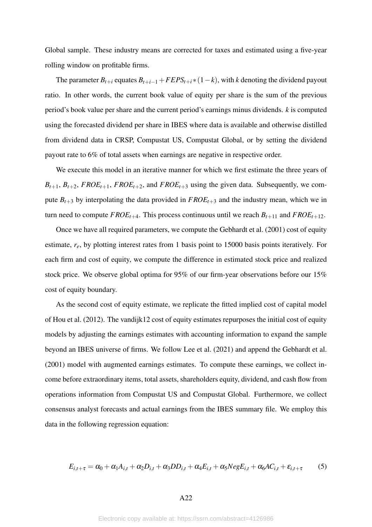Global sample. These industry means are corrected for taxes and estimated using a five-year rolling window on profitable firms.

The parameter  $B_{t+i}$  equates  $B_{t+i-1}$  +  $FEPS_{t+i}$  \*  $(1-k)$ , with *k* denoting the dividend payout ratio. In other words, the current book value of equity per share is the sum of the previous period's book value per share and the current period's earnings minus dividends. *k* is computed using the forecasted dividend per share in IBES where data is available and otherwise distilled from dividend data in CRSP, Compustat US, Compustat Global, or by setting the dividend payout rate to 6% of total assets when earnings are negative in respective order.

We execute this model in an iterative manner for which we first estimate the three years of  $B_{t+1}, B_{t+2}, FROE_{t+1}, FROE_{t+2}$ , and  $FROE_{t+3}$  using the given data. Subsequently, we compute  $B_{t+3}$  by interpolating the data provided in  $FROE_{t+3}$  and the industry mean, which we in turn need to compute  $FROE_{t+4}$ . This process continuous until we reach  $B_{t+11}$  and  $FROE_{t+12}$ .

Once we have all required parameters, we compute the [Gebhardt et al.](#page-25-14) [\(2001\)](#page-25-14) cost of equity estimate, *re*, by plotting interest rates from 1 basis point to 15000 basis points iteratively. For each firm and cost of equity, we compute the difference in estimated stock price and realized stock price. We observe global optima for 95% of our firm-year observations before our 15% cost of equity boundary.

As the second cost of equity estimate, we replicate the fitted implied cost of capital model of [Hou et al.](#page-25-15) [\(2012\)](#page-25-15). The vandijk12 cost of equity estimates repurposes the initial cost of equity models by adjusting the earnings estimates with accounting information to expand the sample beyond an IBES universe of firms. We follow [Lee et al.](#page-25-11) [\(2021\)](#page-25-11) and append the [Gebhardt et al.](#page-25-14) [\(2001\)](#page-25-14) model with augmented earnings estimates. To compute these earnings, we collect income before extraordinary items, total assets, shareholders equity, dividend, and cash flow from operations information from Compustat US and Compustat Global. Furthermore, we collect consensus analyst forecasts and actual earnings from the IBES summary file. We employ this data in the following regression equation:

<span id="page-62-0"></span>
$$
E_{i,t+\tau} = \alpha_0 + \alpha_1 A_{i,t} + \alpha_2 D_{i,t} + \alpha_3 DD_{i,t} + \alpha_4 E_{i,t} + \alpha_5 N e g E_{i,t} + \alpha_6 AC_{i,t} + \varepsilon_{i,t+\tau}
$$
(5)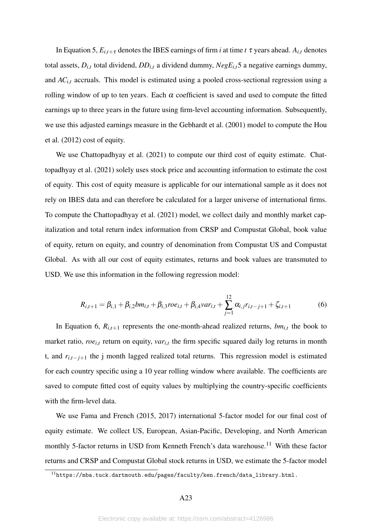In Equation 5,  $E_{i,t+\tau}$  denotes the IBES earnings of firm *i* at time *t*  $\tau$  years ahead.  $A_{i,t}$  denotes total assets,  $D_{i,t}$  total dividend,  $DD_{i,t}$  a dividend dummy,  $NegE_{i,t}$ [5](#page-62-0) a negative earnings dummy, and *AC*<sub>*i*,*t*</sub> accruals. This model is estimated using a pooled cross-sectional regression using a rolling window of up to ten years. Each  $\alpha$  coefficient is saved and used to compute the fitted earnings up to three years in the future using firm-level accounting information. Subsequently, we use this adjusted earnings measure in the [Gebhardt et al.](#page-25-14) [\(2001\)](#page-25-14) model to compute the [Hou](#page-25-15) [et al.](#page-25-15) [\(2012\)](#page-25-15) cost of equity.

We use [Chattopadhyay et al.](#page-24-13) [\(2021\)](#page-24-13) to compute our third cost of equity estimate. [Chat](#page-24-13)[topadhyay et al.](#page-24-13) [\(2021\)](#page-24-13) solely uses stock price and accounting information to estimate the cost of equity. This cost of equity measure is applicable for our international sample as it does not rely on IBES data and can therefore be calculated for a larger universe of international firms. To compute the [Chattopadhyay et al.](#page-24-13) [\(2021\)](#page-24-13) model, we collect daily and monthly market capitalization and total return index information from CRSP and Compustat Global, book value of equity, return on equity, and country of denomination from Compustat US and Compustat Global. As with all our cost of equity estimates, returns and book values are transmuted to USD. We use this information in the following regression model:

<span id="page-63-0"></span>
$$
R_{i,t+1} = \beta_{i,1} + \beta_{i,2}bm_{i,t} + \beta_{i,3}ro_{i,t} + \beta_{i,4}var_{i,t} + \sum_{j=1}^{12} \alpha_{i,j}r_{i,t-j+1} + \zeta_{i,t+1}
$$
(6)

In Equation [6,](#page-63-0)  $R_{i,t+1}$  represents the one-month-ahead realized returns,  $bm_{i,t}$  the book to market ratio,  $roe_{i,t}$  return on equity,  $var_{i,t}$  the firm specific squared daily log returns in month t, and  $r_{i,t-j+1}$  the j month lagged realized total returns. This regression model is estimated for each country specific using a 10 year rolling window where available. The coefficients are saved to compute fitted cost of equity values by multiplying the country-specific coefficients with the firm-level data.

We use [Fama and French](#page-25-12) [\(2015,](#page-25-12) [2017\)](#page-25-13) international 5-factor model for our final cost of equity estimate. We collect US, European, Asian-Pacific, Developing, and North American monthly 5-factor returns in USD from Kenneth French's data warehouse.<sup>[11](#page-63-1)</sup> With these factor returns and CRSP and Compustat Global stock returns in USD, we estimate the 5-factor model

<span id="page-63-1"></span> $^{11}{\tt https://mba.tuck.dartmouth.edu/pages/faculty/ken.french/data\_library.html}$  .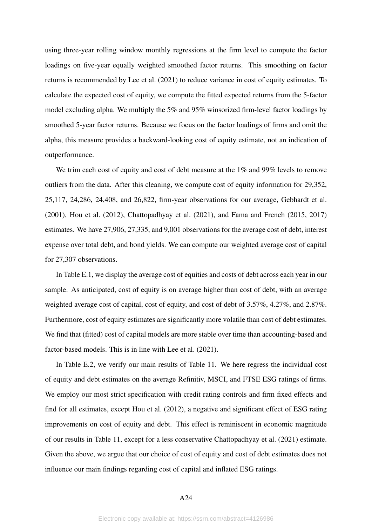using three-year rolling window monthly regressions at the firm level to compute the factor loadings on five-year equally weighted smoothed factor returns. This smoothing on factor returns is recommended by [Lee et al.](#page-25-11) [\(2021\)](#page-25-11) to reduce variance in cost of equity estimates. To calculate the expected cost of equity, we compute the fitted expected returns from the 5-factor model excluding alpha. We multiply the 5% and 95% winsorized firm-level factor loadings by smoothed 5-year factor returns. Because we focus on the factor loadings of firms and omit the alpha, this measure provides a backward-looking cost of equity estimate, not an indication of outperformance.

We trim each cost of equity and cost of debt measure at the 1% and 99% levels to remove outliers from the data. After this cleaning, we compute cost of equity information for 29,352, 25,117, 24,286, 24,408, and 26,822, firm-year observations for our average, [Gebhardt et al.](#page-25-14) [\(2001\)](#page-25-14), [Hou et al.](#page-25-15) [\(2012\)](#page-25-15), [Chattopadhyay et al.](#page-24-13) [\(2021\)](#page-24-13), and [Fama and French](#page-25-12) [\(2015,](#page-25-12) [2017\)](#page-25-13) estimates. We have 27,906, 27,335, and 9,001 observations for the average cost of debt, interest expense over total debt, and bond yields. We can compute our weighted average cost of capital for 27,307 observations.

In Table [E.1,](#page-65-0) we display the average cost of equities and costs of debt across each year in our sample. As anticipated, cost of equity is on average higher than cost of debt, with an average weighted average cost of capital, cost of equity, and cost of debt of 3.57%, 4.27%, and 2.87%. Furthermore, cost of equity estimates are significantly more volatile than cost of debt estimates. We find that (fitted) cost of capital models are more stable over time than accounting-based and factor-based models. This is in line with [Lee et al.](#page-25-11) [\(2021\)](#page-25-11).

In Table [E.2,](#page-66-0) we verify our main results of Table [11.](#page-38-0) We here regress the individual cost of equity and debt estimates on the average Refinitiv, MSCI, and FTSE ESG ratings of firms. We employ our most strict specification with credit rating controls and firm fixed effects and find for all estimates, except [Hou et al.](#page-25-15) [\(2012\)](#page-25-15), a negative and significant effect of ESG rating improvements on cost of equity and debt. This effect is reminiscent in economic magnitude of our results in Table [11,](#page-38-0) except for a less conservative [Chattopadhyay et al.](#page-24-13) [\(2021\)](#page-24-13) estimate. Given the above, we argue that our choice of cost of equity and cost of debt estimates does not influence our main findings regarding cost of capital and inflated ESG ratings.

#### A24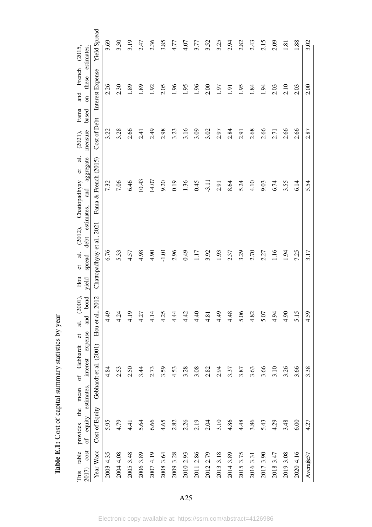<span id="page-65-0"></span>

| estimates.<br>(2015,                                                             | <b>Yield Spread</b>        | 3.69      | 3.30      | 3.19      | 2.47      | 2.36      | 3.85      | 4.77      | 4.07      | 3.77      | 3.52          | 3.25         | 2.94           | 2.82      | 2.43       | 2.15      | 2.09      | 1.81      | 1.88      | 3.02      |
|----------------------------------------------------------------------------------|----------------------------|-----------|-----------|-----------|-----------|-----------|-----------|-----------|-----------|-----------|---------------|--------------|----------------|-----------|------------|-----------|-----------|-----------|-----------|-----------|
| French<br>these<br>and<br>$\overline{5}$                                         | Interest Expense           | 2.26      | 2.30      | .89       | .89       | 1.92      | 2.05      | 1.96      | 1.95      | 1.96      | 2.00          | <b>L61</b>   | $\overline{1}$ | 0.95      | $\dot{84}$ | 1.94      | 2.03      | 2.10      | 2.03      | 2.00      |
| $\ensuremath{\mathsf{F} \text{ama}}$<br>based<br>measure<br>$(2021)$ ,           | Cost of Debt               | 3.22      | 3.28      | 2.66      | 2.41      | 2.49      | 2.98      | 3.23      | 3.16      | 3.09      | 3.02          | 2.97         | 2.84           | 2.91      | 2.68       | 2.66      | 2.71      | 2.66      | 2.66      | 2.87      |
| $\overline{a}$<br>aggregate<br>$\sigma$<br>Chattopadhyay<br>and                  | Fama & French (2015)       | 7.32      | 7.06      | 6.46      | 10.43     | 14.07     | 9.20      | 0.19      | 1.36      | 0.45      | $-3.11$       | 2.91         | 8.64           | 5.24      | 4.10       | 9.03      | 6.74      | 3.55      | 6.14      | 5.54      |
| estimates.<br>(2012),<br>debt<br>$\vec{a}$<br>spread<br>$\sigma$<br>Hou<br>vield | Chattopadhyay et al., 2021 | 6.76      | 5.33      | 4.57      | 4.98      | 4.90      | $-1.01$   | 2.96      | 64.0      | 1.17      | 3.92          | 1.93         | 2.37           | 3.29      | 2.70       | 2.27      | 1.16      | 1.94      | 7.25      | 3.17      |
| $(2001)$ ,<br>bond<br>and<br>ಸ<br>$\sigma$                                       | Hou et al., 2012           | 4.49      | 4.24      | 4.19      | 4.27      | 4.14      | 4.25      | 4.4       | 4.42      | 4.40      | 4.81          | 4.49         | 4.48           | 5.06      | 4.82       | 5.07      | 4.94      | 4.90      | 5.15      | 4.59      |
| equity estimates, interest expense<br>of Gebhardt                                | Gebhardt et al. (2001)     | 4.84      | 2.53      | 2.50      | 3.44      | 2.73      | 3.59      | 4.53      | 3.28      | 3.08      | 2.82          | 2.94         | 3.37           | 3.87      | 3.63       | 3.66      | 3.10      | 3.26      | 3.66      | 3.38      |
| provides the mean<br>$\sigma$ f                                                  | Cost of Equity             | 5.95      | 4.79      | 4.41      | 5.64      | 6.66      | 4.65      | 2.82      | 2.26      | 2.19      | 2.04          | 3.10         | 4.86           | 4.48      | 3.86       | 5.43      | 4.29      | 3.48      | 6.00      | 4.27      |
| cost<br>table<br>2017)<br>This                                                   | Year Wacc                  | 2003 4.35 | 2004 4.08 | 2005 3.48 | 2006 3.89 | 2007 4.19 | 2008 3.64 | 2009 3.28 | 2010 2.93 | 2011 2.86 | 2.79<br>2012: | 3.18<br>2013 | 2014 3.89      | 2015 3.75 | 2016 3.31  | 2017 3.90 | 2018 3.47 | 2019 3.08 | 2020 4.16 | Average57 |

Table E.1: Cost of capital summary statistics by year Table E.1: Cost of capital summary statistics by year

A25